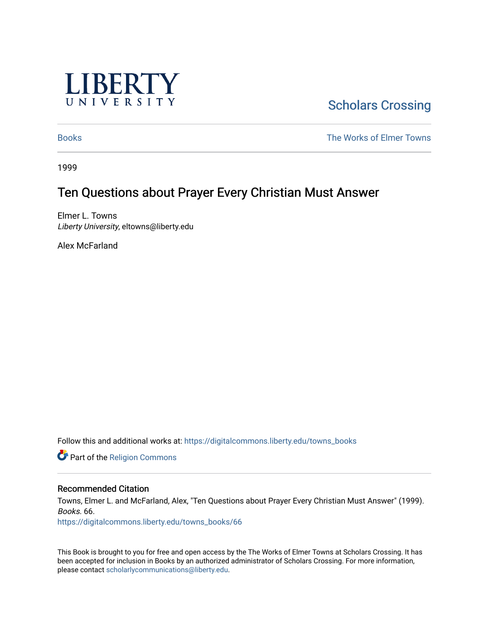

# **Scholars Crossing**

[Books](https://digitalcommons.liberty.edu/towns_books) [The Works of Elmer Towns](https://digitalcommons.liberty.edu/el_towns) 

1999

# Ten Questions about Prayer Every Christian Must Answer

Elmer L. Towns Liberty University, eltowns@liberty.edu

Alex McFarland

Follow this and additional works at: [https://digitalcommons.liberty.edu/towns\\_books](https://digitalcommons.liberty.edu/towns_books?utm_source=digitalcommons.liberty.edu%2Ftowns_books%2F66&utm_medium=PDF&utm_campaign=PDFCoverPages) 

**Part of the [Religion Commons](http://network.bepress.com/hgg/discipline/538?utm_source=digitalcommons.liberty.edu%2Ftowns_books%2F66&utm_medium=PDF&utm_campaign=PDFCoverPages)** 

## Recommended Citation

Towns, Elmer L. and McFarland, Alex, "Ten Questions about Prayer Every Christian Must Answer" (1999). Books. 66.

[https://digitalcommons.liberty.edu/towns\\_books/66](https://digitalcommons.liberty.edu/towns_books/66?utm_source=digitalcommons.liberty.edu%2Ftowns_books%2F66&utm_medium=PDF&utm_campaign=PDFCoverPages)

This Book is brought to you for free and open access by the The Works of Elmer Towns at Scholars Crossing. It has been accepted for inclusion in Books by an authorized administrator of Scholars Crossing. For more information, please contact [scholarlycommunications@liberty.edu.](mailto:scholarlycommunications@liberty.edu)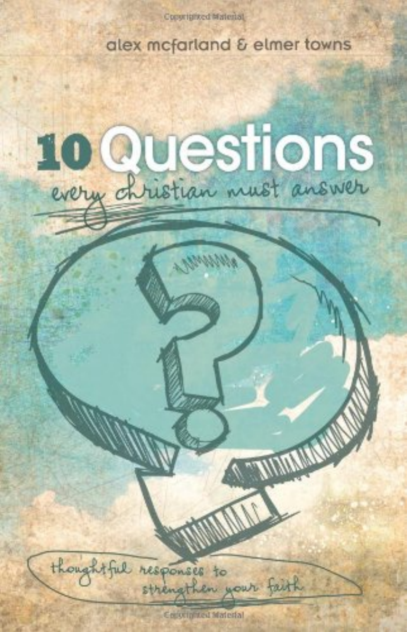Copyrighted Material

alex mcfarland & elmer towns

# 10 Questions

Convertibled Material

thoughtful responses to

WINDOWS

 $\overline{M}$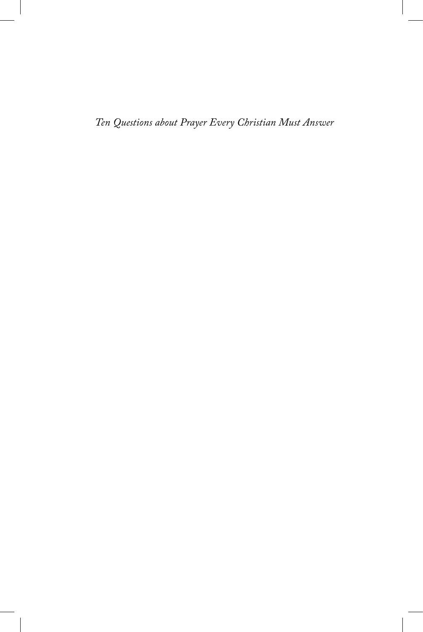*Ten Questions about Prayer Every Christian Must Answer*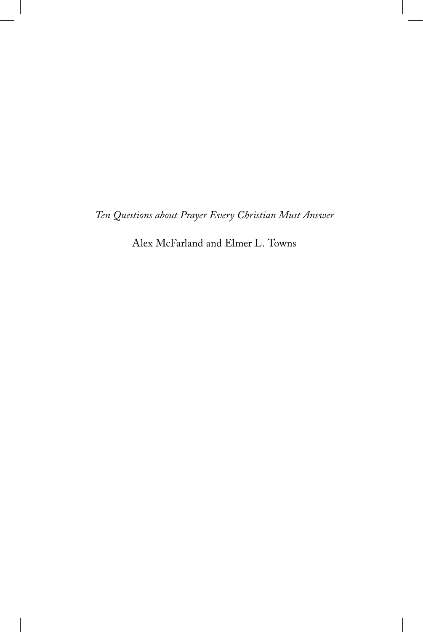*Ten Questions about Prayer Every Christian Must Answer*

Alex McFarland and Elmer L. Towns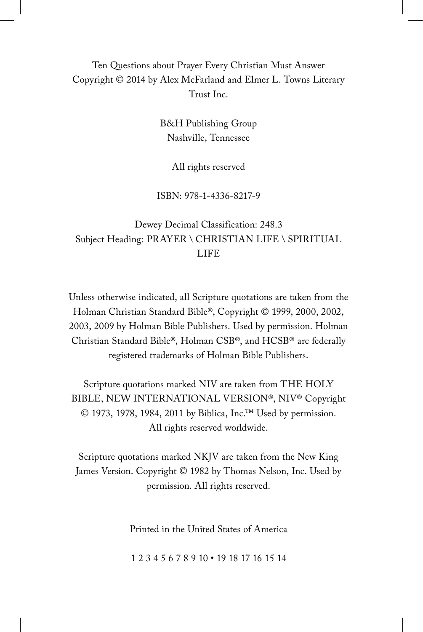# Ten Questions about Prayer Every Christian Must Answer Copyright © 2014 by Alex McFarland and Elmer L. Towns Literary Trust Inc.

B&H Publishing Group Nashville, Tennessee

All rights reserved

ISBN: 978-1-4336-8217-9

# Dewey Decimal Classification: 248.3 Subject Heading: PRAYER \ CHRISTIAN LIFE \ SPIRITUAL LIFE

Unless otherwise indicated, all Scripture quotations are taken from the Holman Christian Standard Bible®, Copyright © 1999, 2000, 2002, 2003, 2009 by Holman Bible Publishers. Used by permission. Holman Christian Standard Bible®, Holman CSB®, and HCSB® are federally registered trademarks of Holman Bible Publishers.

Scripture quotations marked NIV are taken from THE HOLY BIBLE, NEW INTERNATIONAL VERSION®, NIV® Copyright © 1973, 1978, 1984, 2011 by Biblica, Inc.™ Used by permission. All rights reserved worldwide.

Scripture quotations marked NKJV are taken from the New King James Version. Copyright © 1982 by Thomas Nelson, Inc. Used by permission. All rights reserved.

Printed in the United States of America

1 2 3 4 5 6 7 8 9 10 • 19 18 17 16 15 14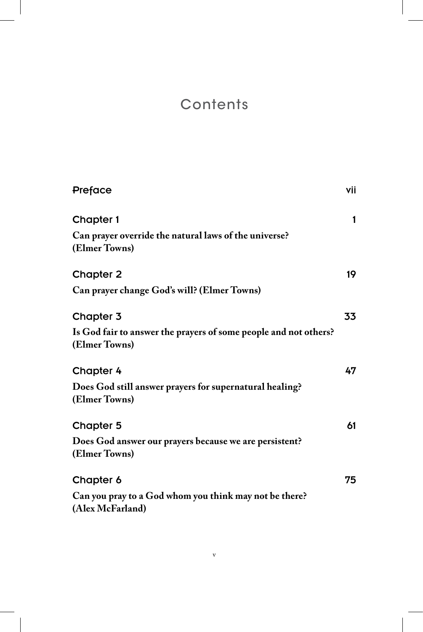# **Contents**

| Preface                                                                           | vii |
|-----------------------------------------------------------------------------------|-----|
| <b>Chapter 1</b>                                                                  | 1   |
| Can prayer override the natural laws of the universe?<br>(Elmer Towns)            |     |
| <b>Chapter 2</b>                                                                  | 19  |
| Can prayer change God's will? (Elmer Towns)                                       |     |
| Chapter 3                                                                         | 33  |
| Is God fair to answer the prayers of some people and not others?<br>(Elmer Towns) |     |
| <b>Chapter 4</b>                                                                  | 47  |
| Does God still answer prayers for supernatural healing?<br>(Elmer Towns)          |     |
| <b>Chapter 5</b>                                                                  | 61  |
| Does God answer our prayers because we are persistent?<br>(Elmer Towns)           |     |
| Chapter 6                                                                         | 75  |
| Can you pray to a God whom you think may not be there?<br>(Alex McFarland)        |     |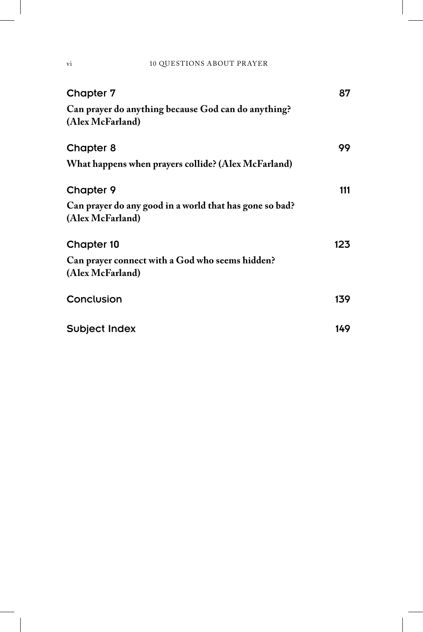## vi 10 QUESTIONS ABOUT PRAYER

| <b>Chapter 7</b>                                                            | 87  |
|-----------------------------------------------------------------------------|-----|
| Can prayer do anything because God can do anything?<br>(Alex McFarland)     |     |
| <b>Chapter 8</b>                                                            | 99. |
| What happens when prayers collide? (Alex McFarland)                         |     |
| Chapter 9                                                                   | 111 |
| Can prayer do any good in a world that has gone so bad?<br>(Alex McFarland) |     |
| <b>Chapter 10</b>                                                           | 123 |
| Can prayer connect with a God who seems hidden?<br>(Alex McFarland)         |     |
| Conclusion                                                                  | 139 |
| Subject Index                                                               | 149 |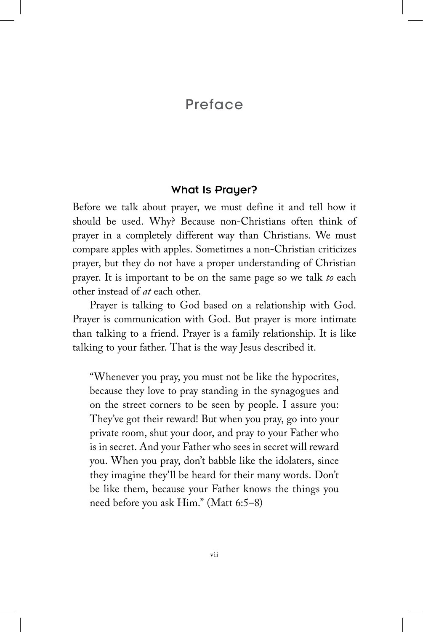# Preface

#### What Is Prayer?

Before we talk about prayer, we must define it and tell how it should be used. Why? Because non-Christians often think of prayer in a completely different way than Christians. We must compare apples with apples. Sometimes a non-Christian criticizes prayer, but they do not have a proper understanding of Christian prayer. It is important to be on the same page so we talk *to* each other instead of *at* each other.

Prayer is talking to God based on a relationship with God. Prayer is communication with God. But prayer is more intimate than talking to a friend. Prayer is a family relationship. It is like talking to your father. That is the way Jesus described it.

"Whenever you pray, you must not be like the hypocrites, because they love to pray standing in the synagogues and on the street corners to be seen by people. I assure you: They've got their reward! But when you pray, go into your private room, shut your door, and pray to your Father who is in secret. And your Father who sees in secret will reward you. When you pray, don't babble like the idolaters, since they imagine they'll be heard for their many words. Don't be like them, because your Father knows the things you need before you ask Him." (Matt 6:5–8)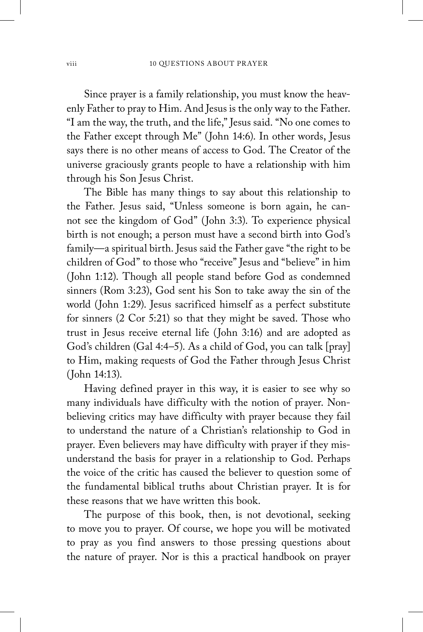Since prayer is a family relationship, you must know the heavenly Father to pray to Him. And Jesus is the only way to the Father. "I am the way, the truth, and the life," Jesus said. "No one comes to the Father except through Me" (John 14:6). In other words, Jesus says there is no other means of access to God. The Creator of the universe graciously grants people to have a relationship with him through his Son Jesus Christ.

The Bible has many things to say about this relationship to the Father. Jesus said, "Unless someone is born again, he cannot see the kingdom of God" (John 3:3). To experience physical birth is not enough; a person must have a second birth into God's family—a spiritual birth. Jesus said the Father gave "the right to be children of God" to those who "receive" Jesus and "believe" in him (John 1:12). Though all people stand before God as condemned sinners (Rom 3:23), God sent his Son to take away the sin of the world (John 1:29). Jesus sacrificed himself as a perfect substitute for sinners (2 Cor 5:21) so that they might be saved. Those who trust in Jesus receive eternal life (John 3:16) and are adopted as God's children (Gal 4:4–5). As a child of God, you can talk [pray] to Him, making requests of God the Father through Jesus Christ (John 14:13).

Having defined prayer in this way, it is easier to see why so many individuals have difficulty with the notion of prayer. Nonbelieving critics may have difficulty with prayer because they fail to understand the nature of a Christian's relationship to God in prayer. Even believers may have difficulty with prayer if they misunderstand the basis for prayer in a relationship to God. Perhaps the voice of the critic has caused the believer to question some of the fundamental biblical truths about Christian prayer. It is for these reasons that we have written this book.

The purpose of this book, then, is not devotional, seeking to move you to prayer. Of course, we hope you will be motivated to pray as you find answers to those pressing questions about the nature of prayer. Nor is this a practical handbook on prayer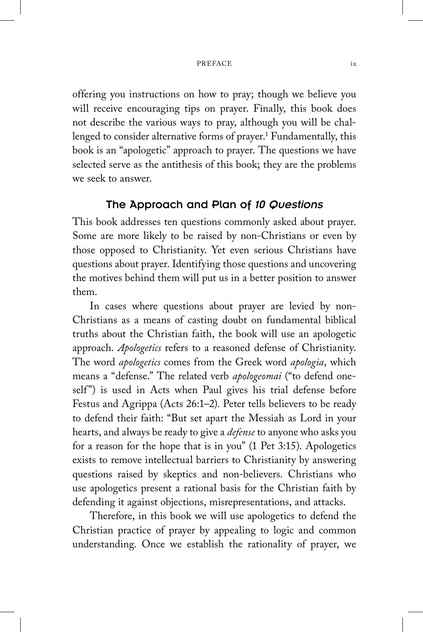#### PREFACE ix

offering you instructions on how to pray; though we believe you will receive encouraging tips on prayer. Finally, this book does not describe the various ways to pray, although you will be challenged to consider alternative forms of prayer.<sup>1</sup> Fundamentally, this book is an "apologetic" approach to prayer. The questions we have selected serve as the antithesis of this book; they are the problems we seek to answer.

#### The Approach and Plan of 10 Questions

This book addresses ten questions commonly asked about prayer. Some are more likely to be raised by non-Christians or even by those opposed to Christianity. Yet even serious Christians have questions about prayer. Identifying those questions and uncovering the motives behind them will put us in a better position to answer them.

In cases where questions about prayer are levied by non-Christians as a means of casting doubt on fundamental biblical truths about the Christian faith, the book will use an apologetic approach. *Apologetics* refers to a reasoned defense of Christianity. The word *apologetics* comes from the Greek word *apologia*, which means a "defense." The related verb *apologeomai* ("to defend oneself") is used in Acts when Paul gives his trial defense before Festus and Agrippa (Acts 26:1–2). Peter tells believers to be ready to defend their faith: "But set apart the Messiah as Lord in your hearts, and always be ready to give a *defense* to anyone who asks you for a reason for the hope that is in you" (1 Pet 3:15). Apologetics exists to remove intellectual barriers to Christianity by answering questions raised by skeptics and non-believers. Christians who use apologetics present a rational basis for the Christian faith by defending it against objections, misrepresentations, and attacks.

Therefore, in this book we will use apologetics to defend the Christian practice of prayer by appealing to logic and common understanding. Once we establish the rationality of prayer, we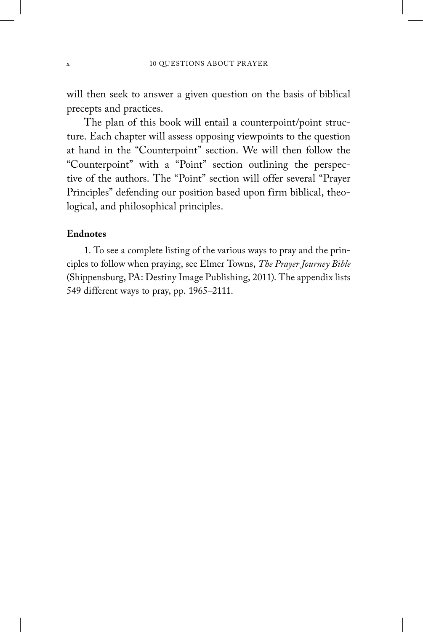will then seek to answer a given question on the basis of biblical precepts and practices.

The plan of this book will entail a counterpoint/point structure. Each chapter will assess opposing viewpoints to the question at hand in the "Counterpoint" section. We will then follow the "Counterpoint" with a "Point" section outlining the perspective of the authors. The "Point" section will offer several "Prayer Principles" defending our position based upon firm biblical, theological, and philosophical principles.

#### **Endnotes**

1. To see a complete listing of the various ways to pray and the principles to follow when praying, see Elmer Towns, *The Prayer Journey Bible* (Shippensburg, PA: Destiny Image Publishing, 2011). The appendix lists 549 different ways to pray, pp. 1965–2111.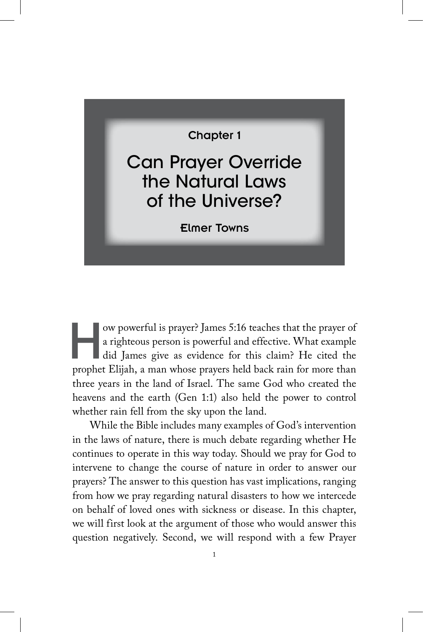

w powerful is prayer? James 5:16 teaches that the prayer of<br>a righteous person is powerful and effective. What example<br>did James give as evidence for this claim? He cited the<br>manhat Elijah a man whose numer hald had min fo a righteous person is powerful and effective. What example did James give as evidence for this claim? He cited the prophet Elijah, a man whose prayers held back rain for more than three years in the land of Israel. The same God who created the heavens and the earth (Gen 1:1) also held the power to control whether rain fell from the sky upon the land.

While the Bible includes many examples of God's intervention in the laws of nature, there is much debate regarding whether He continues to operate in this way today. Should we pray for God to intervene to change the course of nature in order to answer our prayers? The answer to this question has vast implications, ranging from how we pray regarding natural disasters to how we intercede on behalf of loved ones with sickness or disease. In this chapter, we will first look at the argument of those who would answer this question negatively. Second, we will respond with a few Prayer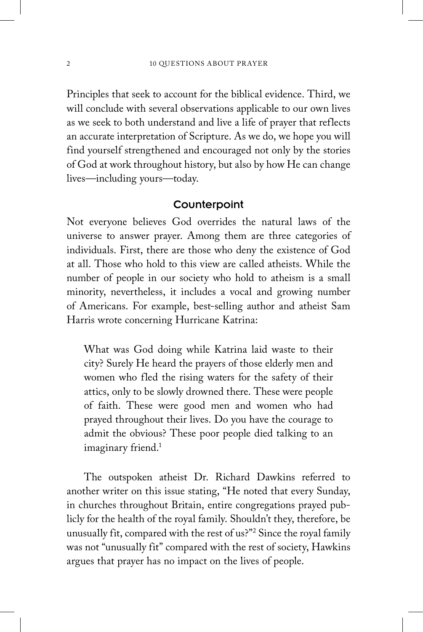Principles that seek to account for the biblical evidence. Third, we will conclude with several observations applicable to our own lives as we seek to both understand and live a life of prayer that reflects an accurate interpretation of Scripture. As we do, we hope you will find yourself strengthened and encouraged not only by the stories of God at work throughout history, but also by how He can change lives—including yours—today.

#### Counterpoint

Not everyone believes God overrides the natural laws of the universe to answer prayer. Among them are three categories of individuals. First, there are those who deny the existence of God at all. Those who hold to this view are called atheists. While the number of people in our society who hold to atheism is a small minority, nevertheless, it includes a vocal and growing number of Americans. For example, best-selling author and atheist Sam Harris wrote concerning Hurricane Katrina:

What was God doing while Katrina laid waste to their city? Surely He heard the prayers of those elderly men and women who fled the rising waters for the safety of their attics, only to be slowly drowned there. These were people of faith. These were good men and women who had prayed throughout their lives. Do you have the courage to admit the obvious? These poor people died talking to an imaginary friend.<sup>1</sup>

The outspoken atheist Dr. Richard Dawkins referred to another writer on this issue stating, "He noted that every Sunday, in churches throughout Britain, entire congregations prayed publicly for the health of the royal family. Shouldn't they, therefore, be unusually fit, compared with the rest of us?"2 Since the royal family was not "unusually fit" compared with the rest of society, Hawkins argues that prayer has no impact on the lives of people.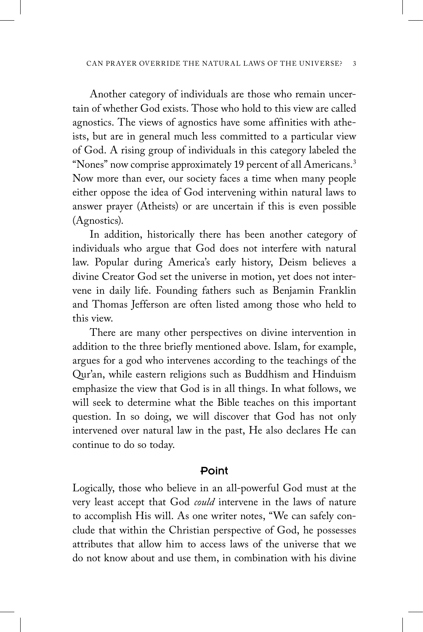Another category of individuals are those who remain uncertain of whether God exists. Those who hold to this view are called agnostics. The views of agnostics have some affinities with atheists, but are in general much less committed to a particular view of God. A rising group of individuals in this category labeled the "Nones" now comprise approximately 19 percent of all Americans.3 Now more than ever, our society faces a time when many people either oppose the idea of God intervening within natural laws to answer prayer (Atheists) or are uncertain if this is even possible (Agnostics).

In addition, historically there has been another category of individuals who argue that God does not interfere with natural law. Popular during America's early history, Deism believes a divine Creator God set the universe in motion, yet does not intervene in daily life. Founding fathers such as Benjamin Franklin and Thomas Jefferson are often listed among those who held to this view.

There are many other perspectives on divine intervention in addition to the three briefly mentioned above. Islam, for example, argues for a god who intervenes according to the teachings of the Qur'an, while eastern religions such as Buddhism and Hinduism emphasize the view that God is in all things. In what follows, we will seek to determine what the Bible teaches on this important question. In so doing, we will discover that God has not only intervened over natural law in the past, He also declares He can continue to do so today.

#### Point

Logically, those who believe in an all-powerful God must at the very least accept that God *could* intervene in the laws of nature to accomplish His will. As one writer notes, "We can safely conclude that within the Christian perspective of God, he possesses attributes that allow him to access laws of the universe that we do not know about and use them, in combination with his divine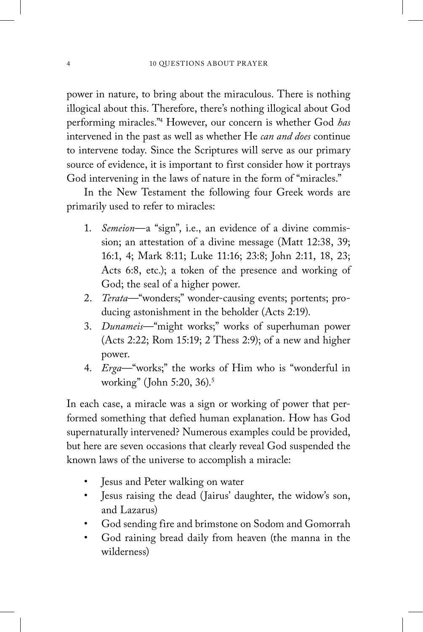power in nature, to bring about the miraculous. There is nothing illogical about this. Therefore, there's nothing illogical about God performing miracles."4 However, our concern is whether God *has* intervened in the past as well as whether He *can and does* continue to intervene today. Since the Scriptures will serve as our primary source of evidence, it is important to first consider how it portrays God intervening in the laws of nature in the form of "miracles."

In the New Testament the following four Greek words are primarily used to refer to miracles:

- 1. *Semeion*—a "sign", i.e., an evidence of a divine commission; an attestation of a divine message (Matt 12:38, 39; 16:1, 4; Mark 8:11; Luke 11:16; 23:8; John 2:11, 18, 23; Acts 6:8, etc.); a token of the presence and working of God; the seal of a higher power.
- 2. *Terata*—"wonders;" wonder-causing events; portents; producing astonishment in the beholder (Acts 2:19).
- 3. *Dunameis*—"might works;" works of superhuman power (Acts 2:22; Rom 15:19; 2 Thess 2:9); of a new and higher power.
- 4. *Erga*—"works;" the works of Him who is "wonderful in working" (John 5:20, 36).5

In each case, a miracle was a sign or working of power that performed something that defied human explanation. How has God supernaturally intervened? Numerous examples could be provided, but here are seven occasions that clearly reveal God suspended the known laws of the universe to accomplish a miracle:

- Jesus and Peter walking on water
- Jesus raising the dead (Jairus' daughter, the widow's son, and Lazarus)
- God sending fire and brimstone on Sodom and Gomorrah
- God raining bread daily from heaven (the manna in the wilderness)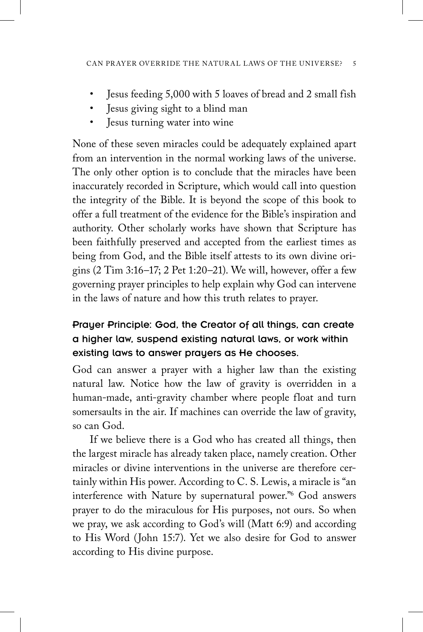- Jesus feeding 5,000 with 5 loaves of bread and 2 small fish
- Jesus giving sight to a blind man
- Jesus turning water into wine

None of these seven miracles could be adequately explained apart from an intervention in the normal working laws of the universe. The only other option is to conclude that the miracles have been inaccurately recorded in Scripture, which would call into question the integrity of the Bible. It is beyond the scope of this book to offer a full treatment of the evidence for the Bible's inspiration and authority. Other scholarly works have shown that Scripture has been faithfully preserved and accepted from the earliest times as being from God, and the Bible itself attests to its own divine origins (2 Tim 3:16–17; 2 Pet 1:20–21). We will, however, offer a few governing prayer principles to help explain why God can intervene in the laws of nature and how this truth relates to prayer.

# Prayer Principle: God, the Creator of all things, can create a higher law, suspend existing natural laws, or work within existing laws to answer prayers as He chooses.

God can answer a prayer with a higher law than the existing natural law. Notice how the law of gravity is overridden in a human-made, anti-gravity chamber where people float and turn somersaults in the air. If machines can override the law of gravity, so can God.

If we believe there is a God who has created all things, then the largest miracle has already taken place, namely creation. Other miracles or divine interventions in the universe are therefore certainly within His power. According to C. S. Lewis, a miracle is "an interference with Nature by supernatural power."6 God answers prayer to do the miraculous for His purposes, not ours. So when we pray, we ask according to God's will (Matt 6:9) and according to His Word (John 15:7). Yet we also desire for God to answer according to His divine purpose.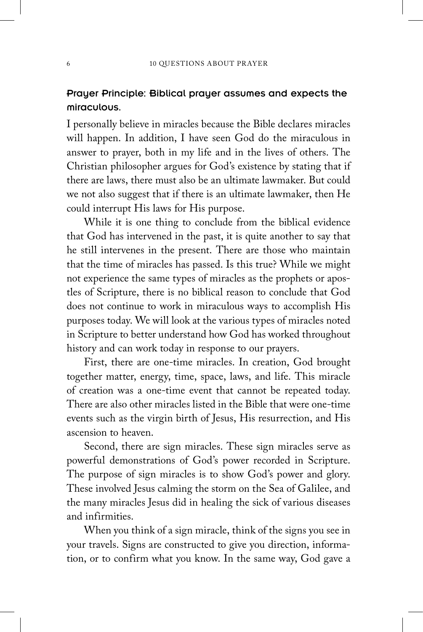## Prayer Principle: Biblical prayer assumes and expects the miraculous.

I personally believe in miracles because the Bible declares miracles will happen. In addition, I have seen God do the miraculous in answer to prayer, both in my life and in the lives of others. The Christian philosopher argues for God's existence by stating that if there are laws, there must also be an ultimate lawmaker. But could we not also suggest that if there is an ultimate lawmaker, then He could interrupt His laws for His purpose.

While it is one thing to conclude from the biblical evidence that God has intervened in the past, it is quite another to say that he still intervenes in the present. There are those who maintain that the time of miracles has passed. Is this true? While we might not experience the same types of miracles as the prophets or apostles of Scripture, there is no biblical reason to conclude that God does not continue to work in miraculous ways to accomplish His purposes today. We will look at the various types of miracles noted in Scripture to better understand how God has worked throughout history and can work today in response to our prayers.

First, there are one-time miracles. In creation, God brought together matter, energy, time, space, laws, and life. This miracle of creation was a one-time event that cannot be repeated today. There are also other miracles listed in the Bible that were one-time events such as the virgin birth of Jesus, His resurrection, and His ascension to heaven.

Second, there are sign miracles. These sign miracles serve as powerful demonstrations of God's power recorded in Scripture. The purpose of sign miracles is to show God's power and glory. These involved Jesus calming the storm on the Sea of Galilee, and the many miracles Jesus did in healing the sick of various diseases and infirmities.

When you think of a sign miracle, think of the signs you see in your travels. Signs are constructed to give you direction, information, or to confirm what you know. In the same way, God gave a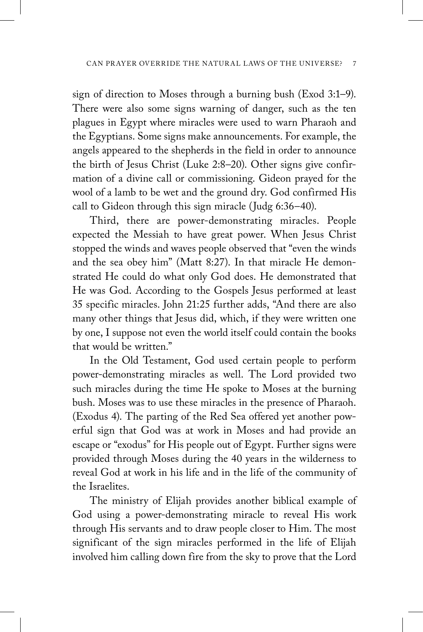sign of direction to Moses through a burning bush (Exod 3:1–9). There were also some signs warning of danger, such as the ten plagues in Egypt where miracles were used to warn Pharaoh and the Egyptians. Some signs make announcements. For example, the angels appeared to the shepherds in the field in order to announce the birth of Jesus Christ (Luke 2:8–20). Other signs give confirmation of a divine call or commissioning. Gideon prayed for the wool of a lamb to be wet and the ground dry. God confirmed His call to Gideon through this sign miracle (Judg 6:36–40).

Third, there are power-demonstrating miracles. People expected the Messiah to have great power. When Jesus Christ stopped the winds and waves people observed that "even the winds and the sea obey him" (Matt 8:27). In that miracle He demonstrated He could do what only God does. He demonstrated that He was God. According to the Gospels Jesus performed at least 35 specific miracles. John 21:25 further adds, "And there are also many other things that Jesus did, which, if they were written one by one, I suppose not even the world itself could contain the books that would be written."

In the Old Testament, God used certain people to perform power-demonstrating miracles as well. The Lord provided two such miracles during the time He spoke to Moses at the burning bush. Moses was to use these miracles in the presence of Pharaoh. (Exodus 4). The parting of the Red Sea offered yet another powerful sign that God was at work in Moses and had provide an escape or "exodus" for His people out of Egypt. Further signs were provided through Moses during the 40 years in the wilderness to reveal God at work in his life and in the life of the community of the Israelites.

The ministry of Elijah provides another biblical example of God using a power-demonstrating miracle to reveal His work through His servants and to draw people closer to Him. The most significant of the sign miracles performed in the life of Elijah involved him calling down fire from the sky to prove that the Lord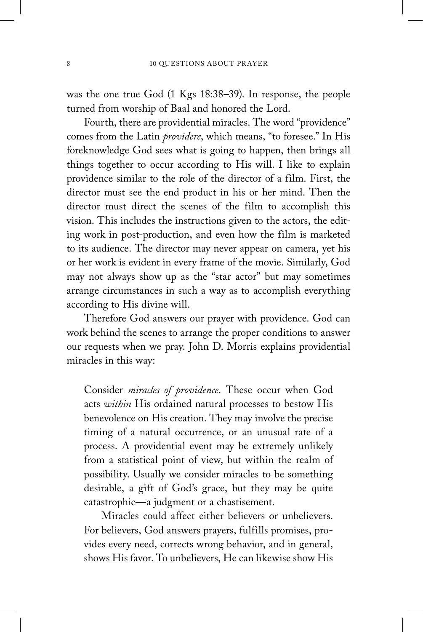was the one true God (1 Kgs 18:38–39). In response, the people turned from worship of Baal and honored the Lord.

Fourth, there are providential miracles. The word "providence" comes from the Latin *providere*, which means, "to foresee." In His foreknowledge God sees what is going to happen, then brings all things together to occur according to His will. I like to explain providence similar to the role of the director of a film. First, the director must see the end product in his or her mind. Then the director must direct the scenes of the film to accomplish this vision. This includes the instructions given to the actors, the editing work in post-production, and even how the film is marketed to its audience. The director may never appear on camera, yet his or her work is evident in every frame of the movie. Similarly, God may not always show up as the "star actor" but may sometimes arrange circumstances in such a way as to accomplish everything according to His divine will.

Therefore God answers our prayer with providence. God can work behind the scenes to arrange the proper conditions to answer our requests when we pray. John D. Morris explains providential miracles in this way:

Consider *miracles of providence*. These occur when God acts *within* His ordained natural processes to bestow His benevolence on His creation. They may involve the precise timing of a natural occurrence, or an unusual rate of a process. A providential event may be extremely unlikely from a statistical point of view, but within the realm of possibility. Usually we consider miracles to be something desirable, a gift of God's grace, but they may be quite catastrophic—a judgment or a chastisement.

Miracles could affect either believers or unbelievers. For believers, God answers prayers, fulfills promises, provides every need, corrects wrong behavior, and in general, shows His favor. To unbelievers, He can likewise show His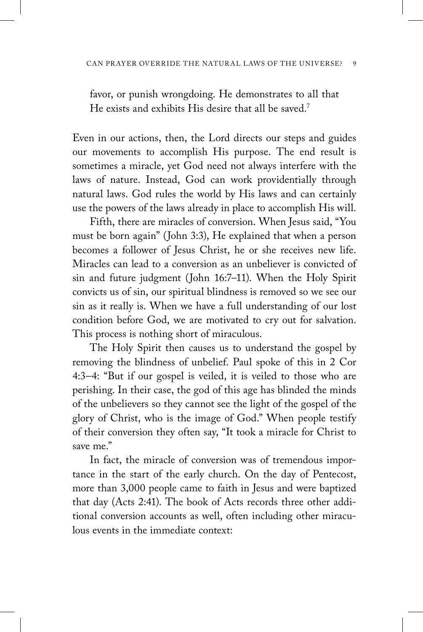favor, or punish wrongdoing. He demonstrates to all that He exists and exhibits His desire that all be saved.7

Even in our actions, then, the Lord directs our steps and guides our movements to accomplish His purpose. The end result is sometimes a miracle, yet God need not always interfere with the laws of nature. Instead, God can work providentially through natural laws. God rules the world by His laws and can certainly use the powers of the laws already in place to accomplish His will.

Fifth, there are miracles of conversion. When Jesus said, "You must be born again" (John 3:3), He explained that when a person becomes a follower of Jesus Christ, he or she receives new life. Miracles can lead to a conversion as an unbeliever is convicted of sin and future judgment (John 16:7–11). When the Holy Spirit convicts us of sin, our spiritual blindness is removed so we see our sin as it really is. When we have a full understanding of our lost condition before God, we are motivated to cry out for salvation. This process is nothing short of miraculous.

The Holy Spirit then causes us to understand the gospel by removing the blindness of unbelief. Paul spoke of this in 2 Cor 4:3–4: "But if our gospel is veiled, it is veiled to those who are perishing. In their case, the god of this age has blinded the minds of the unbelievers so they cannot see the light of the gospel of the glory of Christ, who is the image of God." When people testify of their conversion they often say, "It took a miracle for Christ to save me."

In fact, the miracle of conversion was of tremendous importance in the start of the early church. On the day of Pentecost, more than 3,000 people came to faith in Jesus and were baptized that day (Acts 2:41). The book of Acts records three other additional conversion accounts as well, often including other miraculous events in the immediate context: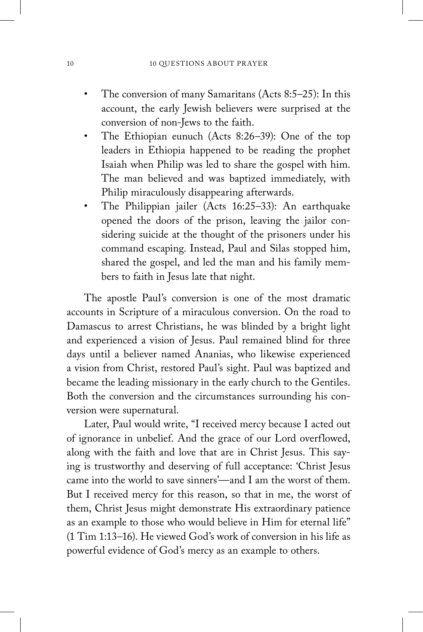- The conversion of many Samaritans (Acts 8:5–25): In this account, the early Jewish believers were surprised at the conversion of non-Jews to the faith.
- The Ethiopian eunuch (Acts 8:26–39): One of the top leaders in Ethiopia happened to be reading the prophet Isaiah when Philip was led to share the gospel with him. The man believed and was baptized immediately, with Philip miraculously disappearing afterwards.
- The Philippian jailer (Acts 16:25–33): An earthquake opened the doors of the prison, leaving the jailor considering suicide at the thought of the prisoners under his command escaping. Instead, Paul and Silas stopped him, shared the gospel, and led the man and his family members to faith in Jesus late that night.

The apostle Paul's conversion is one of the most dramatic accounts in Scripture of a miraculous conversion. On the road to Damascus to arrest Christians, he was blinded by a bright light and experienced a vision of Jesus. Paul remained blind for three days until a believer named Ananias, who likewise experienced a vision from Christ, restored Paul's sight. Paul was baptized and became the leading missionary in the early church to the Gentiles. Both the conversion and the circumstances surrounding his conversion were supernatural.

Later, Paul would write, "I received mercy because I acted out of ignorance in unbelief. And the grace of our Lord overflowed, along with the faith and love that are in Christ Jesus. This saying is trustworthy and deserving of full acceptance: 'Christ Jesus came into the world to save sinners'—and I am the worst of them. But I received mercy for this reason, so that in me, the worst of them, Christ Jesus might demonstrate His extraordinary patience as an example to those who would believe in Him for eternal life" (1 Tim 1:13–16). He viewed God's work of conversion in his life as powerful evidence of God's mercy as an example to others.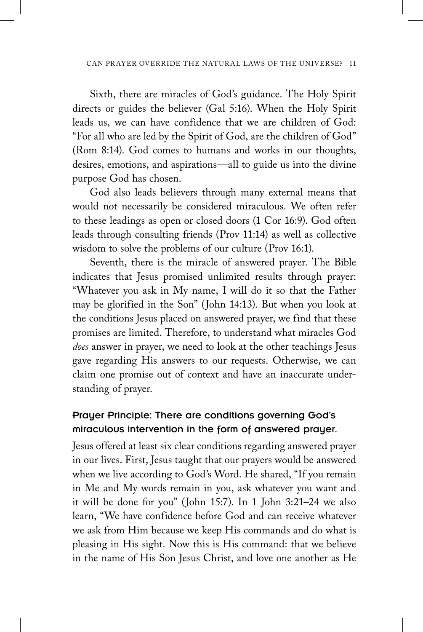Sixth, there are miracles of God's guidance. The Holy Spirit directs or guides the believer (Gal 5:16). When the Holy Spirit leads us, we can have confidence that we are children of God: "For all who are led by the Spirit of God, are the children of God" (Rom 8:14). God comes to humans and works in our thoughts, desires, emotions, and aspirations—all to guide us into the divine purpose God has chosen.

God also leads believers through many external means that would not necessarily be considered miraculous. We often refer to these leadings as open or closed doors (1 Cor 16:9). God often leads through consulting friends (Prov 11:14) as well as collective wisdom to solve the problems of our culture (Prov 16:1).

Seventh, there is the miracle of answered prayer. The Bible indicates that Jesus promised unlimited results through prayer: "Whatever you ask in My name, I will do it so that the Father may be glorified in the Son" (John 14:13). But when you look at the conditions Jesus placed on answered prayer, we find that these promises are limited. Therefore, to understand what miracles God *does* answer in prayer, we need to look at the other teachings Jesus gave regarding His answers to our requests. Otherwise, we can claim one promise out of context and have an inaccurate understanding of prayer.

# Prayer Principle: There are conditions governing God's miraculous intervention in the form of answered prayer.

Jesus offered at least six clear conditions regarding answered prayer in our lives. First, Jesus taught that our prayers would be answered when we live according to God's Word. He shared, "If you remain in Me and My words remain in you, ask whatever you want and it will be done for you" (John 15:7). In 1 John 3:21–24 we also learn, "We have confidence before God and can receive whatever we ask from Him because we keep His commands and do what is pleasing in His sight. Now this is His command: that we believe in the name of His Son Jesus Christ, and love one another as He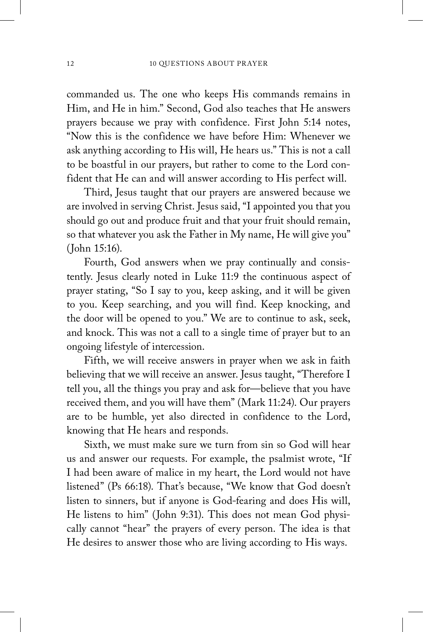commanded us. The one who keeps His commands remains in Him, and He in him." Second, God also teaches that He answers prayers because we pray with confidence. First John 5:14 notes, "Now this is the confidence we have before Him: Whenever we ask anything according to His will, He hears us." This is not a call to be boastful in our prayers, but rather to come to the Lord confident that He can and will answer according to His perfect will.

Third, Jesus taught that our prayers are answered because we are involved in serving Christ. Jesus said, "I appointed you that you should go out and produce fruit and that your fruit should remain, so that whatever you ask the Father in My name, He will give you" (John 15:16).

Fourth, God answers when we pray continually and consistently. Jesus clearly noted in Luke 11:9 the continuous aspect of prayer stating, "So I say to you, keep asking, and it will be given to you. Keep searching, and you will find. Keep knocking, and the door will be opened to you." We are to continue to ask, seek, and knock. This was not a call to a single time of prayer but to an ongoing lifestyle of intercession.

Fifth, we will receive answers in prayer when we ask in faith believing that we will receive an answer. Jesus taught, "Therefore I tell you, all the things you pray and ask for—believe that you have received them, and you will have them" (Mark 11:24). Our prayers are to be humble, yet also directed in confidence to the Lord, knowing that He hears and responds.

Sixth, we must make sure we turn from sin so God will hear us and answer our requests. For example, the psalmist wrote, "If I had been aware of malice in my heart, the Lord would not have listened" (Ps 66:18). That's because, "We know that God doesn't listen to sinners, but if anyone is God-fearing and does His will, He listens to him" (John 9:31). This does not mean God physically cannot "hear" the prayers of every person. The idea is that He desires to answer those who are living according to His ways.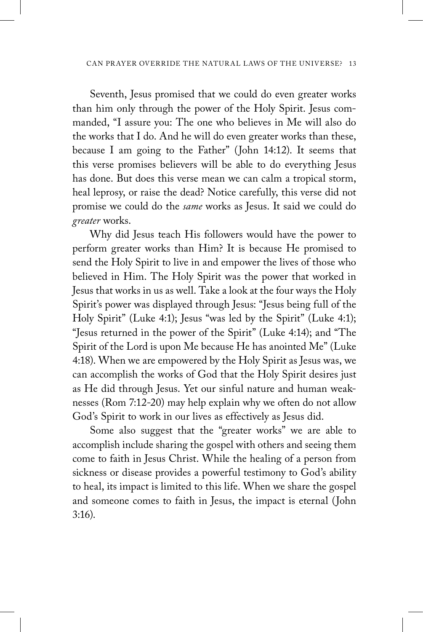Seventh, Jesus promised that we could do even greater works than him only through the power of the Holy Spirit. Jesus commanded, "I assure you: The one who believes in Me will also do the works that I do. And he will do even greater works than these, because I am going to the Father" (John 14:12). It seems that this verse promises believers will be able to do everything Jesus has done. But does this verse mean we can calm a tropical storm, heal leprosy, or raise the dead? Notice carefully, this verse did not promise we could do the *same* works as Jesus. It said we could do *greater* works.

Why did Jesus teach His followers would have the power to perform greater works than Him? It is because He promised to send the Holy Spirit to live in and empower the lives of those who believed in Him. The Holy Spirit was the power that worked in Jesus that works in us as well. Take a look at the four ways the Holy Spirit's power was displayed through Jesus: "Jesus being full of the Holy Spirit" (Luke 4:1); Jesus "was led by the Spirit" (Luke 4:1); "Jesus returned in the power of the Spirit" (Luke 4:14); and "The Spirit of the Lord is upon Me because He has anointed Me" (Luke 4:18). When we are empowered by the Holy Spirit as Jesus was, we can accomplish the works of God that the Holy Spirit desires just as He did through Jesus. Yet our sinful nature and human weaknesses (Rom 7:12-20) may help explain why we often do not allow God's Spirit to work in our lives as effectively as Jesus did.

Some also suggest that the "greater works" we are able to accomplish include sharing the gospel with others and seeing them come to faith in Jesus Christ. While the healing of a person from sickness or disease provides a powerful testimony to God's ability to heal, its impact is limited to this life. When we share the gospel and someone comes to faith in Jesus, the impact is eternal (John 3:16).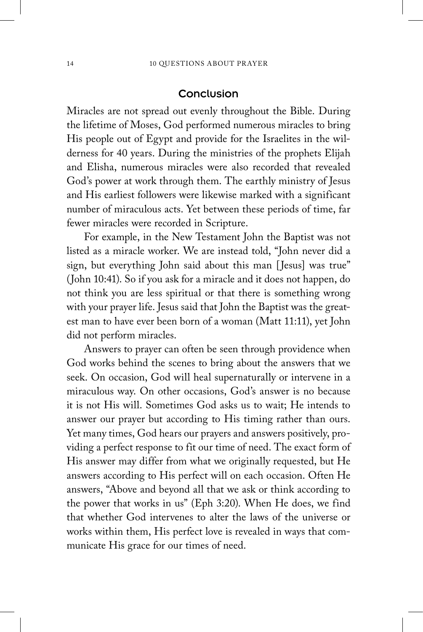#### Conclusion

Miracles are not spread out evenly throughout the Bible. During the lifetime of Moses, God performed numerous miracles to bring His people out of Egypt and provide for the Israelites in the wilderness for 40 years. During the ministries of the prophets Elijah and Elisha, numerous miracles were also recorded that revealed God's power at work through them. The earthly ministry of Jesus and His earliest followers were likewise marked with a significant number of miraculous acts. Yet between these periods of time, far fewer miracles were recorded in Scripture.

For example, in the New Testament John the Baptist was not listed as a miracle worker. We are instead told, "John never did a sign, but everything John said about this man [Jesus] was true" (John 10:41). So if you ask for a miracle and it does not happen, do not think you are less spiritual or that there is something wrong with your prayer life. Jesus said that John the Baptist was the greatest man to have ever been born of a woman (Matt 11:11), yet John did not perform miracles.

Answers to prayer can often be seen through providence when God works behind the scenes to bring about the answers that we seek. On occasion, God will heal supernaturally or intervene in a miraculous way. On other occasions, God's answer is no because it is not His will. Sometimes God asks us to wait; He intends to answer our prayer but according to His timing rather than ours. Yet many times, God hears our prayers and answers positively, providing a perfect response to fit our time of need. The exact form of His answer may differ from what we originally requested, but He answers according to His perfect will on each occasion. Often He answers, "Above and beyond all that we ask or think according to the power that works in us" (Eph 3:20). When He does, we find that whether God intervenes to alter the laws of the universe or works within them, His perfect love is revealed in ways that communicate His grace for our times of need.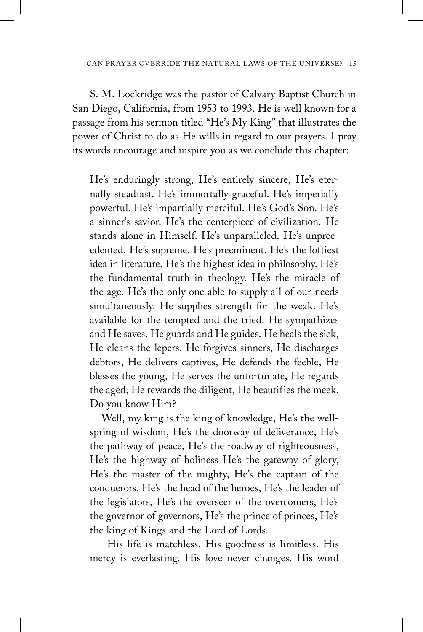#### Can Prayer Override the Natural Laws of the Universe? 15

S. M. Lockridge was the pastor of Calvary Baptist Church in San Diego, California, from 1953 to 1993. He is well known for a passage from his sermon titled "He's My King" that illustrates the power of Christ to do as He wills in regard to our prayers. I pray its words encourage and inspire you as we conclude this chapter:

He's enduringly strong, He's entirely sincere, He's eternally steadfast. He's immortally graceful. He's imperially powerful. He's impartially merciful. He's God's Son. He's a sinner's savior. He's the centerpiece of civilization. He stands alone in Himself. He's unparalleled. He's unprecedented. He's supreme. He's preeminent. He's the loftiest idea in literature. He's the highest idea in philosophy. He's the fundamental truth in theology. He's the miracle of the age. He's the only one able to supply all of our needs simultaneously. He supplies strength for the weak. He's available for the tempted and the tried. He sympathizes and He saves. He guards and He guides. He heals the sick, He cleans the lepers. He forgives sinners, He discharges debtors, He delivers captives, He defends the feeble, He blesses the young, He serves the unfortunate, He regards the aged, He rewards the diligent, He beautifies the meek. Do you know Him?

Well, my king is the king of knowledge, He's the wellspring of wisdom, He's the doorway of deliverance, He's the pathway of peace, He's the roadway of righteousness, He's the highway of holiness He's the gateway of glory, He's the master of the mighty, He's the captain of the conquerors, He's the head of the heroes, He's the leader of the legislators, He's the overseer of the overcomers, He's the governor of governors, He's the prince of princes, He's the king of Kings and the Lord of Lords.

His life is matchless. His goodness is limitless. His mercy is everlasting. His love never changes. His word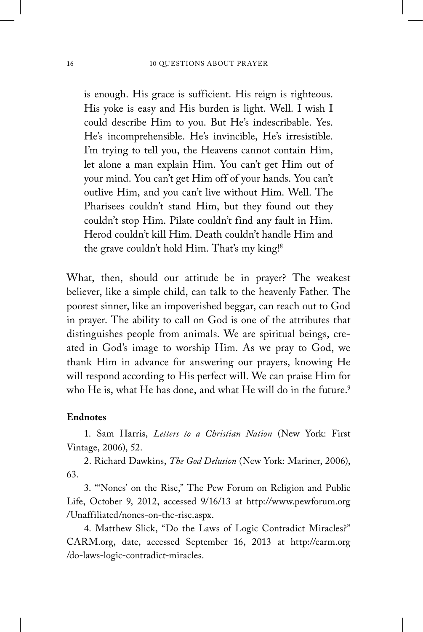is enough. His grace is sufficient. His reign is righteous. His yoke is easy and His burden is light. Well. I wish I could describe Him to you. But He's indescribable. Yes. He's incomprehensible. He's invincible, He's irresistible. I'm trying to tell you, the Heavens cannot contain Him, let alone a man explain Him. You can't get Him out of your mind. You can't get Him off of your hands. You can't outlive Him, and you can't live without Him. Well. The Pharisees couldn't stand Him, but they found out they couldn't stop Him. Pilate couldn't find any fault in Him. Herod couldn't kill Him. Death couldn't handle Him and the grave couldn't hold Him. That's my king!8

What, then, should our attitude be in prayer? The weakest believer, like a simple child, can talk to the heavenly Father. The poorest sinner, like an impoverished beggar, can reach out to God in prayer. The ability to call on God is one of the attributes that distinguishes people from animals. We are spiritual beings, created in God's image to worship Him. As we pray to God, we thank Him in advance for answering our prayers, knowing He will respond according to His perfect will. We can praise Him for who He is, what He has done, and what He will do in the future.<sup>9</sup>

#### **Endnotes**

1. Sam Harris, *Letters to a Christian Nation* (New York: First Vintage, 2006), 52.

2. Richard Dawkins, *The God Delusion* (New York: Mariner, 2006), 63.

3. "'Nones' on the Rise," The Pew Forum on Religion and Public Life, October 9, 2012, accessed 9/16/13 at http://www.pewforum.org /Unaffiliated/nones-on-the-rise.aspx.

4. Matthew Slick, "Do the Laws of Logic Contradict Miracles?" CARM.org, date, accessed September 16, 2013 at http://carm.org /do-laws-logic-contradict-miracles.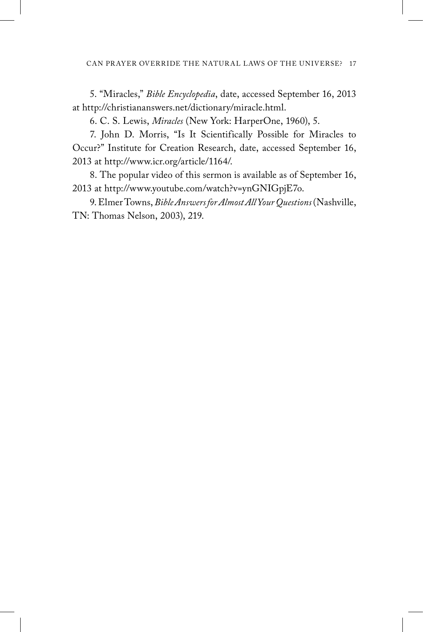5. "Miracles," *Bible Encyclopedia*, date, accessed September 16, 2013 at http://christiananswers.net/dictionary/miracle.html.

6. C. S. Lewis, *Miracles* (New York: HarperOne, 1960), 5.

7. John D. Morris, "Is It Scientifically Possible for Miracles to Occur?" Institute for Creation Research, date, accessed September 16, 2013 at http://www.icr.org/article/1164/.

8. The popular video of this sermon is available as of September 16, 2013 at http://www.youtube.com/watch?v=ynGNIGpjE7o.

9. Elmer Towns, *Bible Answers for Almost All Your Questions* (Nashville, TN: Thomas Nelson, 2003), 219.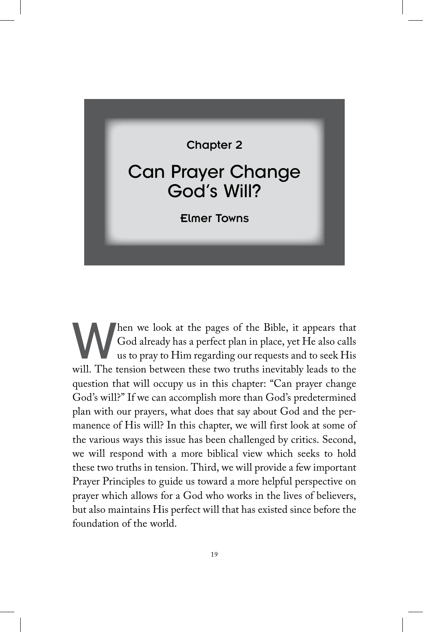

When we look at the pages of the Bible, it appears that<br>God already has a perfect plan in place, yet He also calls<br>us to pray to Him regarding our requests and to seek His<br>will The tension hetween these two turble in with God already has a perfect plan in place, yet He also calls us to pray to Him regarding our requests and to seek His will. The tension between these two truths inevitably leads to the question that will occupy us in this chapter: "Can prayer change God's will?" If we can accomplish more than God's predetermined plan with our prayers, what does that say about God and the permanence of His will? In this chapter, we will first look at some of the various ways this issue has been challenged by critics. Second, we will respond with a more biblical view which seeks to hold these two truths in tension. Third, we will provide a few important Prayer Principles to guide us toward a more helpful perspective on prayer which allows for a God who works in the lives of believers, but also maintains His perfect will that has existed since before the foundation of the world.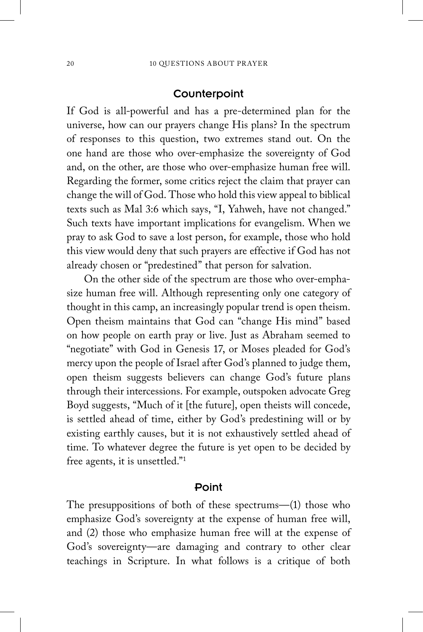#### Counterpoint

If God is all-powerful and has a pre-determined plan for the universe, how can our prayers change His plans? In the spectrum of responses to this question, two extremes stand out. On the one hand are those who over-emphasize the sovereignty of God and, on the other, are those who over-emphasize human free will. Regarding the former, some critics reject the claim that prayer can change the will of God. Those who hold this view appeal to biblical texts such as Mal 3:6 which says, "I, Yahweh, have not changed." Such texts have important implications for evangelism. When we pray to ask God to save a lost person, for example, those who hold this view would deny that such prayers are effective if God has not already chosen or "predestined" that person for salvation.

On the other side of the spectrum are those who over-emphasize human free will. Although representing only one category of thought in this camp, an increasingly popular trend is open theism. Open theism maintains that God can "change His mind" based on how people on earth pray or live. Just as Abraham seemed to "negotiate" with God in Genesis 17, or Moses pleaded for God's mercy upon the people of Israel after God's planned to judge them, open theism suggests believers can change God's future plans through their intercessions. For example, outspoken advocate Greg Boyd suggests, "Much of it [the future], open theists will concede, is settled ahead of time, either by God's predestining will or by existing earthly causes, but it is not exhaustively settled ahead of time. To whatever degree the future is yet open to be decided by free agents, it is unsettled."1

#### Point

The presuppositions of both of these spectrums—(1) those who emphasize God's sovereignty at the expense of human free will, and (2) those who emphasize human free will at the expense of God's sovereignty—are damaging and contrary to other clear teachings in Scripture. In what follows is a critique of both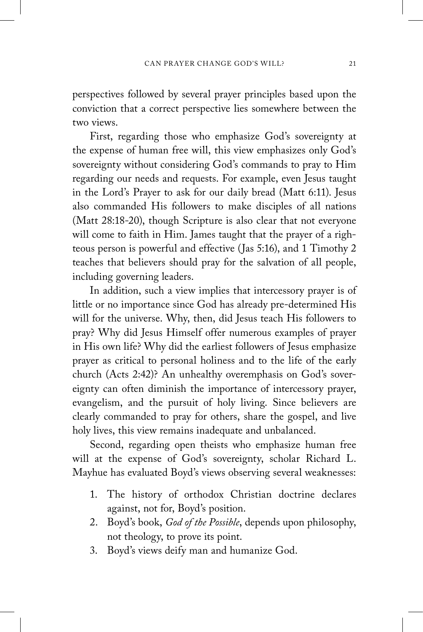perspectives followed by several prayer principles based upon the conviction that a correct perspective lies somewhere between the two views.

First, regarding those who emphasize God's sovereignty at the expense of human free will, this view emphasizes only God's sovereignty without considering God's commands to pray to Him regarding our needs and requests. For example, even Jesus taught in the Lord's Prayer to ask for our daily bread (Matt 6:11). Jesus also commanded His followers to make disciples of all nations (Matt 28:18-20), though Scripture is also clear that not everyone will come to faith in Him. James taught that the prayer of a righteous person is powerful and effective (Jas 5:16), and 1 Timothy 2 teaches that believers should pray for the salvation of all people, including governing leaders.

In addition, such a view implies that intercessory prayer is of little or no importance since God has already pre-determined His will for the universe. Why, then, did Jesus teach His followers to pray? Why did Jesus Himself offer numerous examples of prayer in His own life? Why did the earliest followers of Jesus emphasize prayer as critical to personal holiness and to the life of the early church (Acts 2:42)? An unhealthy overemphasis on God's sovereignty can often diminish the importance of intercessory prayer, evangelism, and the pursuit of holy living. Since believers are clearly commanded to pray for others, share the gospel, and live holy lives, this view remains inadequate and unbalanced.

Second, regarding open theists who emphasize human free will at the expense of God's sovereignty, scholar Richard L. Mayhue has evaluated Boyd's views observing several weaknesses:

- 1. The history of orthodox Christian doctrine declares against, not for, Boyd's position.
- 2. Boyd's book, *God of the Possible*, depends upon philosophy, not theology, to prove its point.
- 3. Boyd's views deify man and humanize God.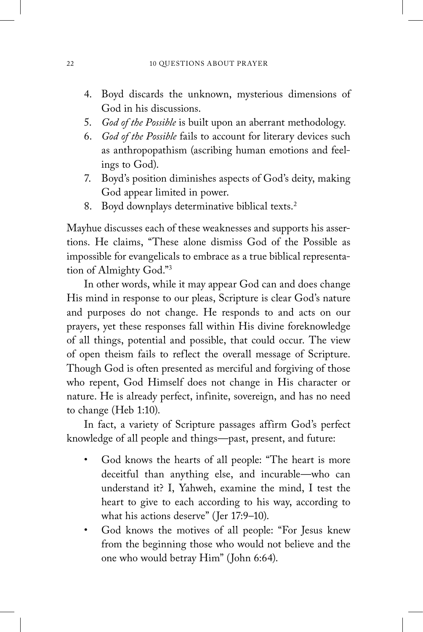- 4. Boyd discards the unknown, mysterious dimensions of God in his discussions.
- 5. *God of the Possible* is built upon an aberrant methodology.
- 6. *God of the Possible* fails to account for literary devices such as anthropopathism (ascribing human emotions and feelings to God).
- 7. Boyd's position diminishes aspects of God's deity, making God appear limited in power.
- 8. Boyd downplays determinative biblical texts.<sup>2</sup>

Mayhue discusses each of these weaknesses and supports his assertions. He claims, "These alone dismiss God of the Possible as impossible for evangelicals to embrace as a true biblical representation of Almighty God."3

In other words, while it may appear God can and does change His mind in response to our pleas, Scripture is clear God's nature and purposes do not change. He responds to and acts on our prayers, yet these responses fall within His divine foreknowledge of all things, potential and possible, that could occur. The view of open theism fails to reflect the overall message of Scripture. Though God is often presented as merciful and forgiving of those who repent, God Himself does not change in His character or nature. He is already perfect, infinite, sovereign, and has no need to change (Heb 1:10).

In fact, a variety of Scripture passages affirm God's perfect knowledge of all people and things—past, present, and future:

- God knows the hearts of all people: "The heart is more deceitful than anything else, and incurable—who can understand it? I, Yahweh, examine the mind, I test the heart to give to each according to his way, according to what his actions deserve" (Jer 17:9–10).
- God knows the motives of all people: "For Jesus knew from the beginning those who would not believe and the one who would betray Him" (John 6:64).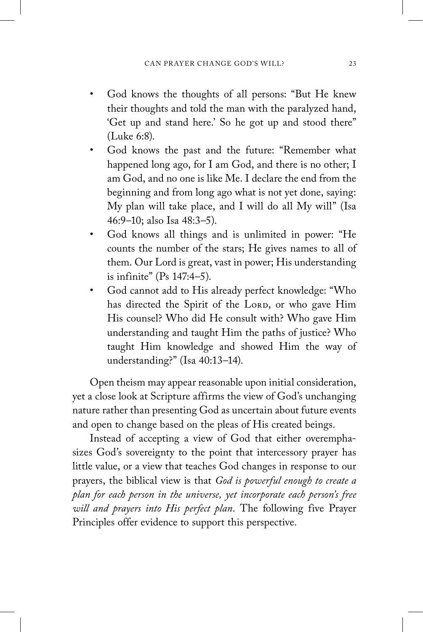- God knows the thoughts of all persons: "But He knew their thoughts and told the man with the paralyzed hand, 'Get up and stand here.' So he got up and stood there" (Luke 6:8).
- God knows the past and the future: "Remember what happened long ago, for I am God, and there is no other; I am God, and no one is like Me. I declare the end from the beginning and from long ago what is not yet done, saying: My plan will take place, and I will do all My will" (Isa 46:9–10; also Isa 48:3–5).
- God knows all things and is unlimited in power: "He counts the number of the stars; He gives names to all of them. Our Lord is great, vast in power; His understanding is infinite" (Ps 147:4–5).
- God cannot add to His already perfect knowledge: "Who has directed the Spirit of the LORD, or who gave Him His counsel? Who did He consult with? Who gave Him understanding and taught Him the paths of justice? Who taught Him knowledge and showed Him the way of understanding?" (Isa 40:13–14).

Open theism may appear reasonable upon initial consideration, yet a close look at Scripture affirms the view of God's unchanging nature rather than presenting God as uncertain about future events and open to change based on the pleas of His created beings.

Instead of accepting a view of God that either overemphasizes God's sovereignty to the point that intercessory prayer has little value, or a view that teaches God changes in response to our prayers, the biblical view is that *God is powerful enough to create a plan for each person in the universe, yet incorporate each person's free will and prayers into His perfect plan*. The following five Prayer Principles offer evidence to support this perspective.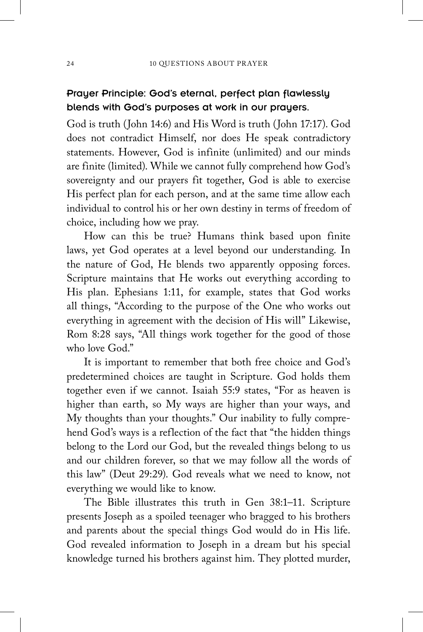# Prayer Principle: God's eternal, perfect plan flawlessly blends with God's purposes at work in our prayers.

God is truth (John 14:6) and His Word is truth (John 17:17). God does not contradict Himself, nor does He speak contradictory statements. However, God is infinite (unlimited) and our minds are finite (limited). While we cannot fully comprehend how God's sovereignty and our prayers fit together, God is able to exercise His perfect plan for each person, and at the same time allow each individual to control his or her own destiny in terms of freedom of choice, including how we pray.

How can this be true? Humans think based upon finite laws, yet God operates at a level beyond our understanding. In the nature of God, He blends two apparently opposing forces. Scripture maintains that He works out everything according to His plan. Ephesians 1:11, for example, states that God works all things, "According to the purpose of the One who works out everything in agreement with the decision of His will" Likewise, Rom 8:28 says, "All things work together for the good of those who love God."

It is important to remember that both free choice and God's predetermined choices are taught in Scripture. God holds them together even if we cannot. Isaiah 55:9 states, "For as heaven is higher than earth, so My ways are higher than your ways, and My thoughts than your thoughts." Our inability to fully comprehend God's ways is a reflection of the fact that "the hidden things belong to the Lord our God, but the revealed things belong to us and our children forever, so that we may follow all the words of this law" (Deut 29:29). God reveals what we need to know, not everything we would like to know.

The Bible illustrates this truth in Gen 38:1–11. Scripture presents Joseph as a spoiled teenager who bragged to his brothers and parents about the special things God would do in His life. God revealed information to Joseph in a dream but his special knowledge turned his brothers against him. They plotted murder,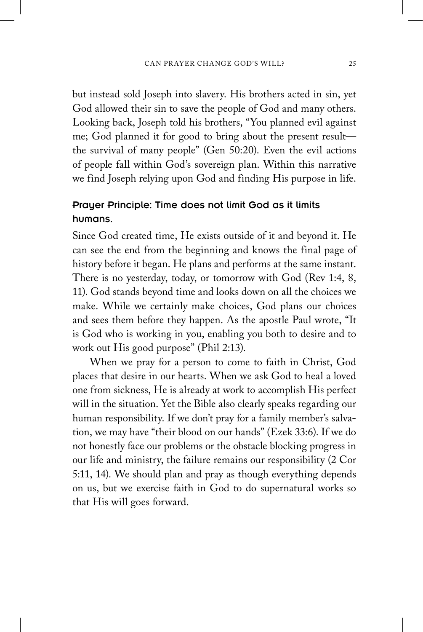but instead sold Joseph into slavery. His brothers acted in sin, yet God allowed their sin to save the people of God and many others. Looking back, Joseph told his brothers, "You planned evil against me; God planned it for good to bring about the present result the survival of many people" (Gen 50:20). Even the evil actions of people fall within God's sovereign plan. Within this narrative we find Joseph relying upon God and finding His purpose in life.

# Prayer Principle: Time does not limit God as it limits humans.

Since God created time, He exists outside of it and beyond it. He can see the end from the beginning and knows the final page of history before it began. He plans and performs at the same instant. There is no yesterday, today, or tomorrow with God (Rev 1:4, 8, 11). God stands beyond time and looks down on all the choices we make. While we certainly make choices, God plans our choices and sees them before they happen. As the apostle Paul wrote, "It is God who is working in you, enabling you both to desire and to work out His good purpose" (Phil 2:13).

When we pray for a person to come to faith in Christ, God places that desire in our hearts. When we ask God to heal a loved one from sickness, He is already at work to accomplish His perfect will in the situation. Yet the Bible also clearly speaks regarding our human responsibility. If we don't pray for a family member's salvation, we may have "their blood on our hands" (Ezek 33:6). If we do not honestly face our problems or the obstacle blocking progress in our life and ministry, the failure remains our responsibility (2 Cor 5:11, 14). We should plan and pray as though everything depends on us, but we exercise faith in God to do supernatural works so that His will goes forward.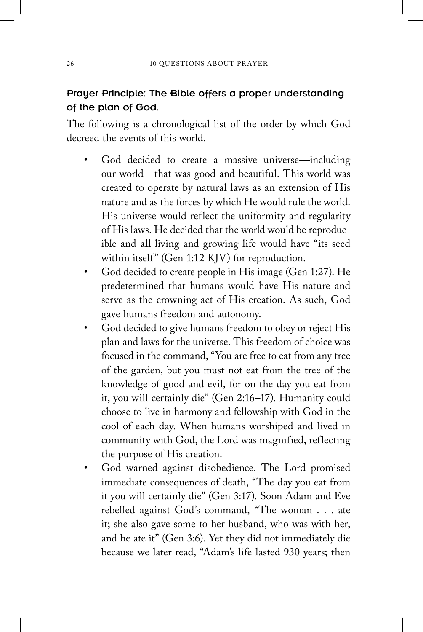# Prayer Principle: The Bible offers a proper understanding of the plan of God.

The following is a chronological list of the order by which God decreed the events of this world.

- God decided to create a massive universe—including our world—that was good and beautiful. This world was created to operate by natural laws as an extension of His nature and as the forces by which He would rule the world. His universe would reflect the uniformity and regularity of His laws. He decided that the world would be reproducible and all living and growing life would have "its seed within itself" (Gen 1:12 KJV) for reproduction.
- God decided to create people in His image (Gen 1:27). He predetermined that humans would have His nature and serve as the crowning act of His creation. As such, God gave humans freedom and autonomy.
- God decided to give humans freedom to obey or reject His plan and laws for the universe. This freedom of choice was focused in the command, "You are free to eat from any tree of the garden, but you must not eat from the tree of the knowledge of good and evil, for on the day you eat from it, you will certainly die" (Gen 2:16–17). Humanity could choose to live in harmony and fellowship with God in the cool of each day. When humans worshiped and lived in community with God, the Lord was magnified, reflecting the purpose of His creation.
- God warned against disobedience. The Lord promised immediate consequences of death, "The day you eat from it you will certainly die" (Gen 3:17). Soon Adam and Eve rebelled against God's command, "The woman . . . ate it; she also gave some to her husband, who was with her, and he ate it" (Gen 3:6). Yet they did not immediately die because we later read, "Adam's life lasted 930 years; then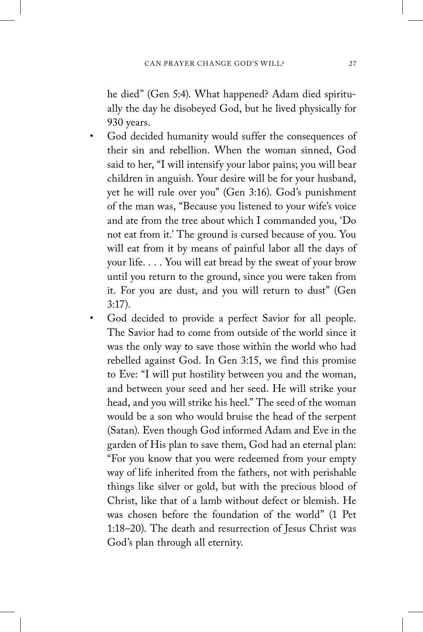he died" (Gen 5:4). What happened? Adam died spiritually the day he disobeyed God, but he lived physically for 930 years.

- God decided humanity would suffer the consequences of their sin and rebellion. When the woman sinned, God said to her, "I will intensify your labor pains; you will bear children in anguish. Your desire will be for your husband, yet he will rule over you" (Gen 3:16). God's punishment of the man was, "Because you listened to your wife's voice and ate from the tree about which I commanded you, 'Do not eat from it.' The ground is cursed because of you. You will eat from it by means of painful labor all the days of your life. . . . You will eat bread by the sweat of your brow until you return to the ground, since you were taken from it. For you are dust, and you will return to dust" (Gen 3:17).
- God decided to provide a perfect Savior for all people. The Savior had to come from outside of the world since it was the only way to save those within the world who had rebelled against God. In Gen 3:15, we find this promise to Eve: "I will put hostility between you and the woman, and between your seed and her seed. He will strike your head, and you will strike his heel." The seed of the woman would be a son who would bruise the head of the serpent (Satan). Even though God informed Adam and Eve in the garden of His plan to save them, God had an eternal plan: "For you know that you were redeemed from your empty way of life inherited from the fathers, not with perishable things like silver or gold, but with the precious blood of Christ, like that of a lamb without defect or blemish. He was chosen before the foundation of the world" (1 Pet 1:18–20). The death and resurrection of Jesus Christ was God's plan through all eternity.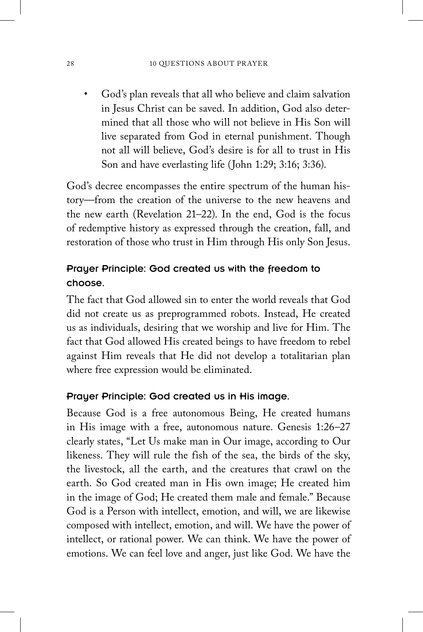• God's plan reveals that all who believe and claim salvation in Jesus Christ can be saved. In addition, God also determined that all those who will not believe in His Son will live separated from God in eternal punishment. Though not all will believe, God's desire is for all to trust in His Son and have everlasting life (John 1:29; 3:16; 3:36).

God's decree encompasses the entire spectrum of the human history—from the creation of the universe to the new heavens and the new earth (Revelation 21–22). In the end, God is the focus of redemptive history as expressed through the creation, fall, and restoration of those who trust in Him through His only Son Jesus.

# Prayer Principle: God created us with the freedom to choose.

The fact that God allowed sin to enter the world reveals that God did not create us as preprogrammed robots. Instead, He created us as individuals, desiring that we worship and live for Him. The fact that God allowed His created beings to have freedom to rebel against Him reveals that He did not develop a totalitarian plan where free expression would be eliminated.

### Prayer Principle: God created us in His image.

Because God is a free autonomous Being, He created humans in His image with a free, autonomous nature. Genesis 1:26–27 clearly states, "Let Us make man in Our image, according to Our likeness. They will rule the fish of the sea, the birds of the sky, the livestock, all the earth, and the creatures that crawl on the earth. So God created man in His own image; He created him in the image of God; He created them male and female." Because God is a Person with intellect, emotion, and will, we are likewise composed with intellect, emotion, and will. We have the power of intellect, or rational power. We can think. We have the power of emotions. We can feel love and anger, just like God. We have the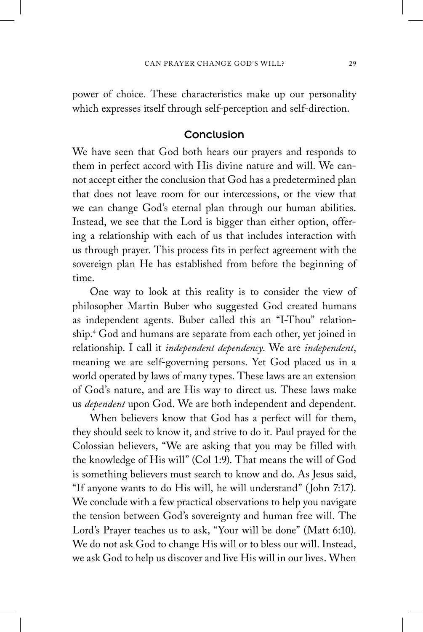power of choice. These characteristics make up our personality which expresses itself through self-perception and self-direction.

### **Conclusion**

We have seen that God both hears our prayers and responds to them in perfect accord with His divine nature and will. We cannot accept either the conclusion that God has a predetermined plan that does not leave room for our intercessions, or the view that we can change God's eternal plan through our human abilities. Instead, we see that the Lord is bigger than either option, offering a relationship with each of us that includes interaction with us through prayer. This process fits in perfect agreement with the sovereign plan He has established from before the beginning of time.

One way to look at this reality is to consider the view of philosopher Martin Buber who suggested God created humans as independent agents. Buber called this an "I-Thou" relationship.4 God and humans are separate from each other, yet joined in relationship. I call it *independent dependency*. We are *independent*, meaning we are self-governing persons. Yet God placed us in a world operated by laws of many types. These laws are an extension of God's nature, and are His way to direct us. These laws make us *dependent* upon God. We are both independent and dependent.

When believers know that God has a perfect will for them, they should seek to know it, and strive to do it. Paul prayed for the Colossian believers, "We are asking that you may be filled with the knowledge of His will" (Col 1:9). That means the will of God is something believers must search to know and do. As Jesus said, "If anyone wants to do His will, he will understand" (John 7:17). We conclude with a few practical observations to help you navigate the tension between God's sovereignty and human free will. The Lord's Prayer teaches us to ask, "Your will be done" (Matt 6:10). We do not ask God to change His will or to bless our will. Instead, we ask God to help us discover and live His will in our lives. When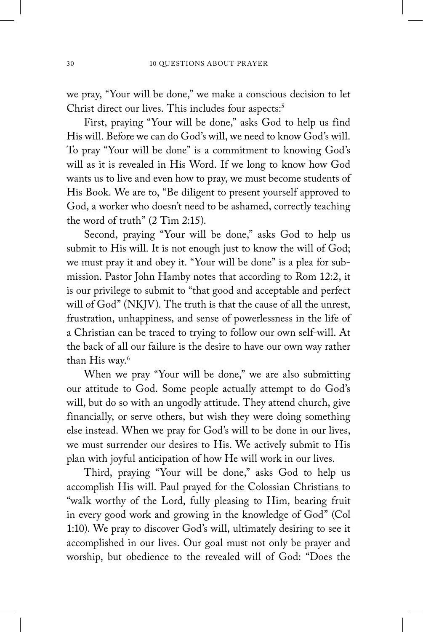we pray, "Your will be done," we make a conscious decision to let Christ direct our lives. This includes four aspects:<sup>5</sup>

First, praying "Your will be done," asks God to help us find His will. Before we can do God's will, we need to know God's will. To pray "Your will be done" is a commitment to knowing God's will as it is revealed in His Word. If we long to know how God wants us to live and even how to pray, we must become students of His Book. We are to, "Be diligent to present yourself approved to God, a worker who doesn't need to be ashamed, correctly teaching the word of truth" (2 Tim 2:15).

Second, praying "Your will be done," asks God to help us submit to His will. It is not enough just to know the will of God; we must pray it and obey it. "Your will be done" is a plea for submission. Pastor John Hamby notes that according to Rom 12:2, it is our privilege to submit to "that good and acceptable and perfect will of God" (NKJV). The truth is that the cause of all the unrest, frustration, unhappiness, and sense of powerlessness in the life of a Christian can be traced to trying to follow our own self-will. At the back of all our failure is the desire to have our own way rather than His way.<sup>6</sup>

When we pray "Your will be done," we are also submitting our attitude to God. Some people actually attempt to do God's will, but do so with an ungodly attitude. They attend church, give financially, or serve others, but wish they were doing something else instead. When we pray for God's will to be done in our lives, we must surrender our desires to His. We actively submit to His plan with joyful anticipation of how He will work in our lives.

Third, praying "Your will be done," asks God to help us accomplish His will. Paul prayed for the Colossian Christians to "walk worthy of the Lord, fully pleasing to Him, bearing fruit in every good work and growing in the knowledge of God" (Col 1:10). We pray to discover God's will, ultimately desiring to see it accomplished in our lives. Our goal must not only be prayer and worship, but obedience to the revealed will of God: "Does the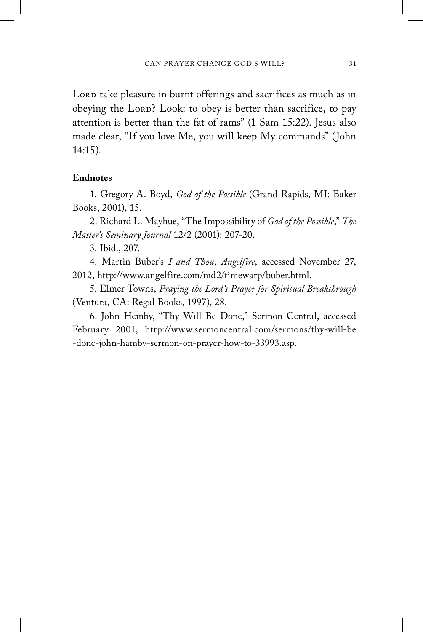LORD take pleasure in burnt offerings and sacrifices as much as in obeying the Lorp? Look: to obey is better than sacrifice, to pay attention is better than the fat of rams" (1 Sam 15:22). Jesus also made clear, "If you love Me, you will keep My commands" (John 14:15).

#### **Endnotes**

1. Gregory A. Boyd, *God of the Possible* (Grand Rapids, MI: Baker Books, 2001), 15.

2. Richard L. Mayhue, "The Impossibility of *God of the Possible*," *The Master's Seminary Journal* 12/2 (2001): 207-20.

3. Ibid., 207.

4. Martin Buber's *I and Thou*, *Angelfire*, accessed November 27, 2012, http://www.angelfire.com/md2/timewarp/buber.html.

5. Elmer Towns, *Praying the Lord's Prayer for Spiritual Breakthrough* (Ventura, CA: Regal Books, 1997), 28.

6. John Hemby, "Thy Will Be Done," Sermon Central, accessed February 2001, http://www.sermoncentral.com/sermons/thy-will-be -done-john-hamby-sermon-on-prayer-how-to-33993.asp.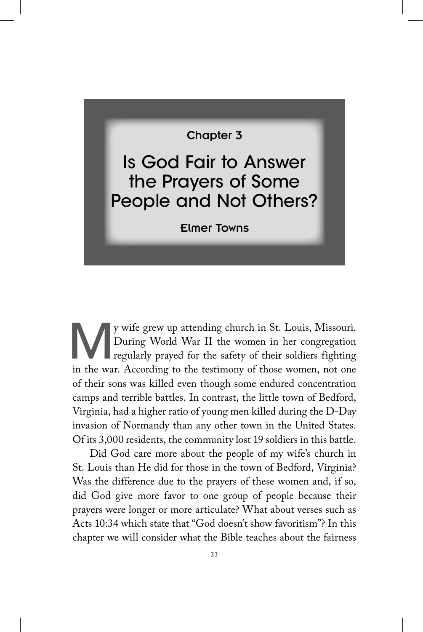

We you attending church in St. Louis, Missouri.<br>
During World War II the women in her congregation<br>
regularly prayed for the safety of their soldiers fighting<br>
in the user Assembly to the testimony of these ways and see During World War II the women in her congregation regularly prayed for the safety of their soldiers fighting in the war. According to the testimony of those women, not one of their sons was killed even though some endured concentration camps and terrible battles. In contrast, the little town of Bedford, Virginia, had a higher ratio of young men killed during the D-Day invasion of Normandy than any other town in the United States. Of its 3,000 residents, the community lost 19 soldiers in this battle.

Did God care more about the people of my wife's church in St. Louis than He did for those in the town of Bedford, Virginia? Was the difference due to the prayers of these women and, if so, did God give more favor to one group of people because their prayers were longer or more articulate? What about verses such as Acts 10:34 which state that "God doesn't show favoritism"? In this chapter we will consider what the Bible teaches about the fairness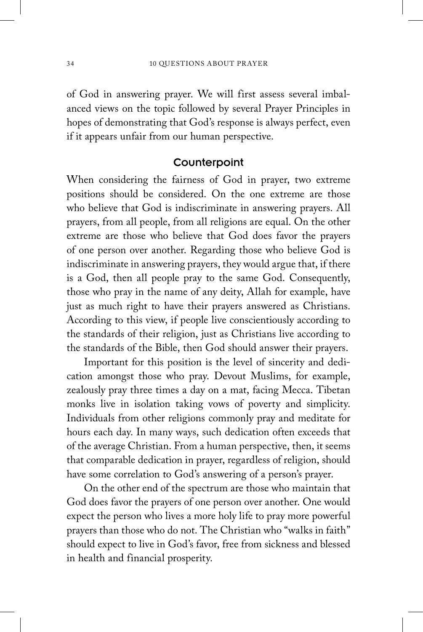of God in answering prayer. We will first assess several imbalanced views on the topic followed by several Prayer Principles in hopes of demonstrating that God's response is always perfect, even if it appears unfair from our human perspective.

### **Counterpoint**

When considering the fairness of God in prayer, two extreme positions should be considered. On the one extreme are those who believe that God is indiscriminate in answering prayers. All prayers, from all people, from all religions are equal. On the other extreme are those who believe that God does favor the prayers of one person over another. Regarding those who believe God is indiscriminate in answering prayers, they would argue that, if there is a God, then all people pray to the same God. Consequently, those who pray in the name of any deity, Allah for example, have just as much right to have their prayers answered as Christians. According to this view, if people live conscientiously according to the standards of their religion, just as Christians live according to the standards of the Bible, then God should answer their prayers.

Important for this position is the level of sincerity and dedication amongst those who pray. Devout Muslims, for example, zealously pray three times a day on a mat, facing Mecca. Tibetan monks live in isolation taking vows of poverty and simplicity. Individuals from other religions commonly pray and meditate for hours each day. In many ways, such dedication often exceeds that of the average Christian. From a human perspective, then, it seems that comparable dedication in prayer, regardless of religion, should have some correlation to God's answering of a person's prayer.

On the other end of the spectrum are those who maintain that God does favor the prayers of one person over another. One would expect the person who lives a more holy life to pray more powerful prayers than those who do not. The Christian who "walks in faith" should expect to live in God's favor, free from sickness and blessed in health and financial prosperity.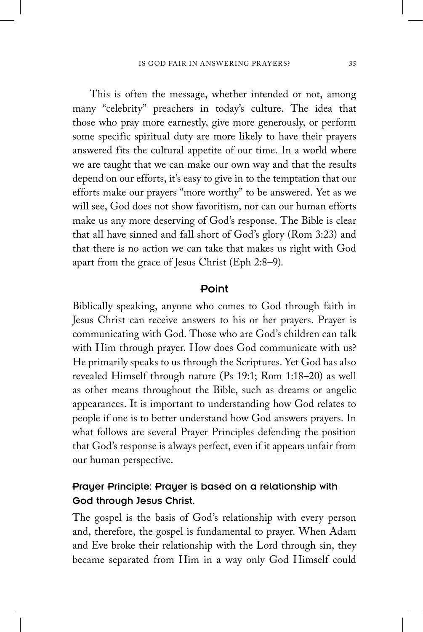This is often the message, whether intended or not, among many "celebrity" preachers in today's culture. The idea that those who pray more earnestly, give more generously, or perform some specific spiritual duty are more likely to have their prayers answered fits the cultural appetite of our time. In a world where we are taught that we can make our own way and that the results depend on our efforts, it's easy to give in to the temptation that our efforts make our prayers "more worthy" to be answered. Yet as we will see, God does not show favoritism, nor can our human efforts make us any more deserving of God's response. The Bible is clear that all have sinned and fall short of God's glory (Rom 3:23) and that there is no action we can take that makes us right with God apart from the grace of Jesus Christ (Eph 2:8–9).

### Point

Biblically speaking, anyone who comes to God through faith in Jesus Christ can receive answers to his or her prayers. Prayer is communicating with God. Those who are God's children can talk with Him through prayer. How does God communicate with us? He primarily speaks to us through the Scriptures. Yet God has also revealed Himself through nature (Ps 19:1; Rom 1:18–20) as well as other means throughout the Bible, such as dreams or angelic appearances. It is important to understanding how God relates to people if one is to better understand how God answers prayers. In what follows are several Prayer Principles defending the position that God's response is always perfect, even if it appears unfair from our human perspective.

### Prayer Principle: Prayer is based on a relationship with God through Jesus Christ.

The gospel is the basis of God's relationship with every person and, therefore, the gospel is fundamental to prayer. When Adam and Eve broke their relationship with the Lord through sin, they became separated from Him in a way only God Himself could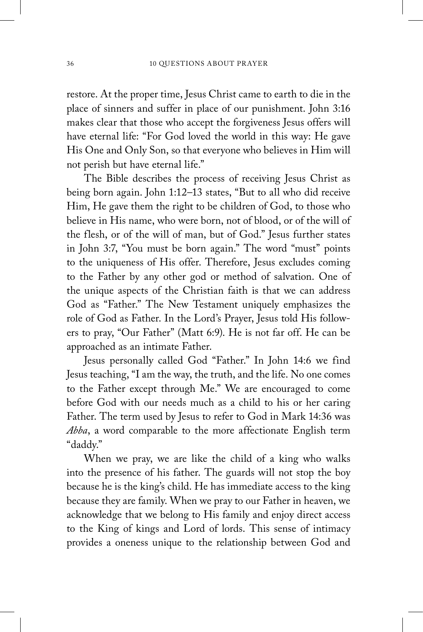restore. At the proper time, Jesus Christ came to earth to die in the place of sinners and suffer in place of our punishment. John 3:16 makes clear that those who accept the forgiveness Jesus offers will have eternal life: "For God loved the world in this way: He gave His One and Only Son, so that everyone who believes in Him will not perish but have eternal life."

The Bible describes the process of receiving Jesus Christ as being born again. John 1:12–13 states, "But to all who did receive Him, He gave them the right to be children of God, to those who believe in His name, who were born, not of blood, or of the will of the flesh, or of the will of man, but of God." Jesus further states in John 3:7, "You must be born again." The word "must" points to the uniqueness of His offer. Therefore, Jesus excludes coming to the Father by any other god or method of salvation. One of the unique aspects of the Christian faith is that we can address God as "Father." The New Testament uniquely emphasizes the role of God as Father. In the Lord's Prayer, Jesus told His followers to pray, "Our Father" (Matt 6:9). He is not far off. He can be approached as an intimate Father.

Jesus personally called God "Father." In John 14:6 we find Jesus teaching, "I am the way, the truth, and the life. No one comes to the Father except through Me." We are encouraged to come before God with our needs much as a child to his or her caring Father. The term used by Jesus to refer to God in Mark 14:36 was *Abba*, a word comparable to the more affectionate English term "daddy."

When we pray, we are like the child of a king who walks into the presence of his father. The guards will not stop the boy because he is the king's child. He has immediate access to the king because they are family. When we pray to our Father in heaven, we acknowledge that we belong to His family and enjoy direct access to the King of kings and Lord of lords. This sense of intimacy provides a oneness unique to the relationship between God and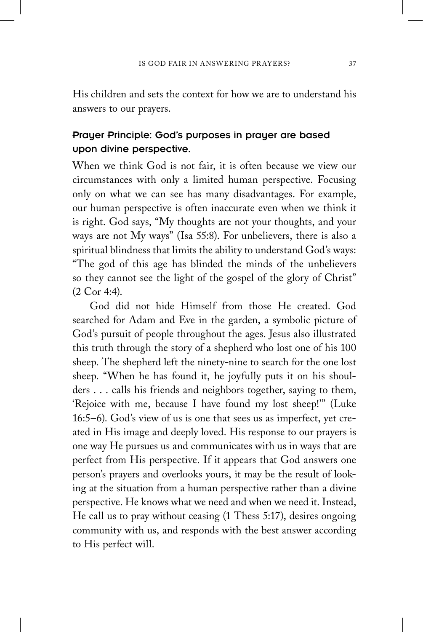His children and sets the context for how we are to understand his answers to our prayers.

# Prayer Principle: God's purposes in prayer are based upon divine perspective.

When we think God is not fair, it is often because we view our circumstances with only a limited human perspective. Focusing only on what we can see has many disadvantages. For example, our human perspective is often inaccurate even when we think it is right. God says, "My thoughts are not your thoughts, and your ways are not My ways" (Isa 55:8). For unbelievers, there is also a spiritual blindness that limits the ability to understand God's ways: "The god of this age has blinded the minds of the unbelievers so they cannot see the light of the gospel of the glory of Christ" (2 Cor 4:4).

God did not hide Himself from those He created. God searched for Adam and Eve in the garden, a symbolic picture of God's pursuit of people throughout the ages. Jesus also illustrated this truth through the story of a shepherd who lost one of his 100 sheep. The shepherd left the ninety-nine to search for the one lost sheep. "When he has found it, he joyfully puts it on his shoulders . . . calls his friends and neighbors together, saying to them, 'Rejoice with me, because I have found my lost sheep!'" (Luke 16:5–6). God's view of us is one that sees us as imperfect, yet created in His image and deeply loved. His response to our prayers is one way He pursues us and communicates with us in ways that are perfect from His perspective. If it appears that God answers one person's prayers and overlooks yours, it may be the result of looking at the situation from a human perspective rather than a divine perspective. He knows what we need and when we need it. Instead, He call us to pray without ceasing (1 Thess 5:17), desires ongoing community with us, and responds with the best answer according to His perfect will.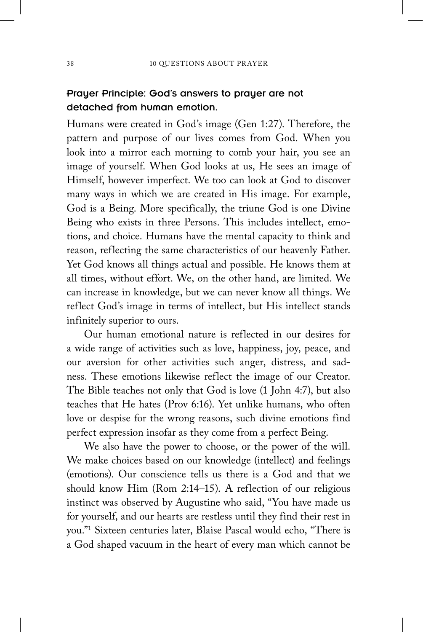# Prayer Principle: God's answers to prayer are not detached from human emotion.

Humans were created in God's image (Gen 1:27). Therefore, the pattern and purpose of our lives comes from God. When you look into a mirror each morning to comb your hair, you see an image of yourself. When God looks at us, He sees an image of Himself, however imperfect. We too can look at God to discover many ways in which we are created in His image. For example, God is a Being. More specifically, the triune God is one Divine Being who exists in three Persons. This includes intellect, emotions, and choice. Humans have the mental capacity to think and reason, reflecting the same characteristics of our heavenly Father. Yet God knows all things actual and possible. He knows them at all times, without effort. We, on the other hand, are limited. We can increase in knowledge, but we can never know all things. We reflect God's image in terms of intellect, but His intellect stands infinitely superior to ours.

Our human emotional nature is reflected in our desires for a wide range of activities such as love, happiness, joy, peace, and our aversion for other activities such anger, distress, and sadness. These emotions likewise reflect the image of our Creator. The Bible teaches not only that God is love (1 John 4:7), but also teaches that He hates (Prov 6:16). Yet unlike humans, who often love or despise for the wrong reasons, such divine emotions find perfect expression insofar as they come from a perfect Being.

We also have the power to choose, or the power of the will. We make choices based on our knowledge (intellect) and feelings (emotions). Our conscience tells us there is a God and that we should know Him (Rom 2:14–15). A reflection of our religious instinct was observed by Augustine who said, "You have made us for yourself, and our hearts are restless until they find their rest in you."1 Sixteen centuries later, Blaise Pascal would echo, "There is a God shaped vacuum in the heart of every man which cannot be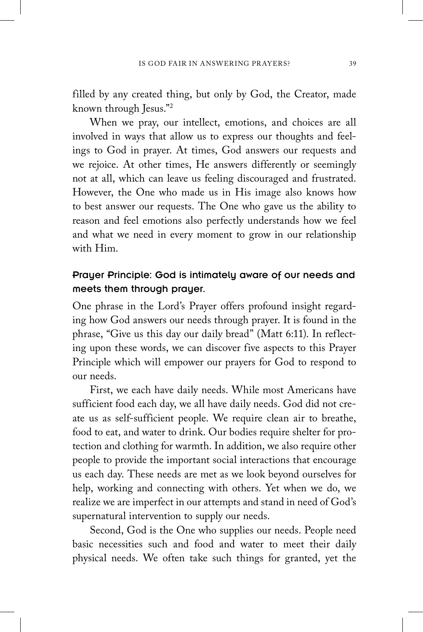filled by any created thing, but only by God, the Creator, made known through Jesus."2

When we pray, our intellect, emotions, and choices are all involved in ways that allow us to express our thoughts and feelings to God in prayer. At times, God answers our requests and we rejoice. At other times, He answers differently or seemingly not at all, which can leave us feeling discouraged and frustrated. However, the One who made us in His image also knows how to best answer our requests. The One who gave us the ability to reason and feel emotions also perfectly understands how we feel and what we need in every moment to grow in our relationship with Him.

# Prayer Principle: God is intimately aware of our needs and meets them through prayer.

One phrase in the Lord's Prayer offers profound insight regarding how God answers our needs through prayer. It is found in the phrase, "Give us this day our daily bread" (Matt 6:11). In reflecting upon these words, we can discover five aspects to this Prayer Principle which will empower our prayers for God to respond to our needs.

First, we each have daily needs. While most Americans have sufficient food each day, we all have daily needs. God did not create us as self-sufficient people. We require clean air to breathe, food to eat, and water to drink. Our bodies require shelter for protection and clothing for warmth. In addition, we also require other people to provide the important social interactions that encourage us each day. These needs are met as we look beyond ourselves for help, working and connecting with others. Yet when we do, we realize we are imperfect in our attempts and stand in need of God's supernatural intervention to supply our needs.

Second, God is the One who supplies our needs. People need basic necessities such and food and water to meet their daily physical needs. We often take such things for granted, yet the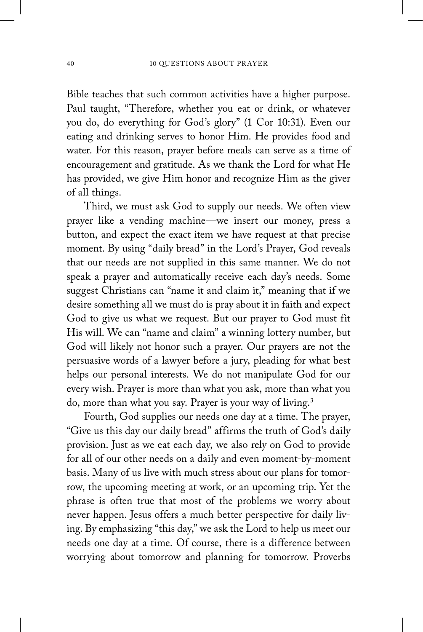Bible teaches that such common activities have a higher purpose. Paul taught, "Therefore, whether you eat or drink, or whatever you do, do everything for God's glory" (1 Cor 10:31). Even our eating and drinking serves to honor Him. He provides food and water. For this reason, prayer before meals can serve as a time of encouragement and gratitude. As we thank the Lord for what He has provided, we give Him honor and recognize Him as the giver of all things.

Third, we must ask God to supply our needs. We often view prayer like a vending machine—we insert our money, press a button, and expect the exact item we have request at that precise moment. By using "daily bread" in the Lord's Prayer, God reveals that our needs are not supplied in this same manner. We do not speak a prayer and automatically receive each day's needs. Some suggest Christians can "name it and claim it," meaning that if we desire something all we must do is pray about it in faith and expect God to give us what we request. But our prayer to God must fit His will. We can "name and claim" a winning lottery number, but God will likely not honor such a prayer. Our prayers are not the persuasive words of a lawyer before a jury, pleading for what best helps our personal interests. We do not manipulate God for our every wish. Prayer is more than what you ask, more than what you do, more than what you say. Prayer is your way of living.3

Fourth, God supplies our needs one day at a time. The prayer, "Give us this day our daily bread" affirms the truth of God's daily provision. Just as we eat each day, we also rely on God to provide for all of our other needs on a daily and even moment-by-moment basis. Many of us live with much stress about our plans for tomorrow, the upcoming meeting at work, or an upcoming trip. Yet the phrase is often true that most of the problems we worry about never happen. Jesus offers a much better perspective for daily living. By emphasizing "this day," we ask the Lord to help us meet our needs one day at a time. Of course, there is a difference between worrying about tomorrow and planning for tomorrow. Proverbs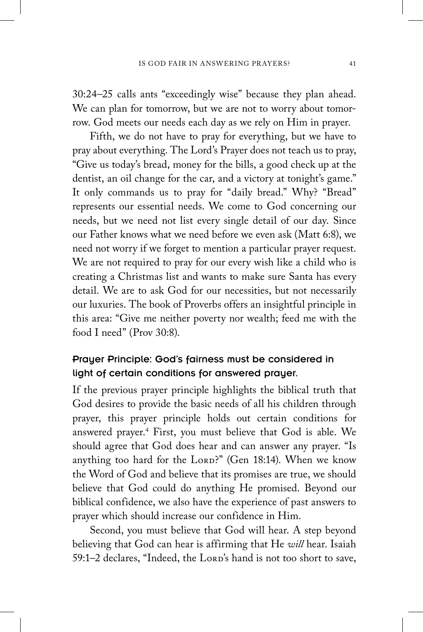30:24–25 calls ants "exceedingly wise" because they plan ahead. We can plan for tomorrow, but we are not to worry about tomorrow. God meets our needs each day as we rely on Him in prayer.

Fifth, we do not have to pray for everything, but we have to pray about everything. The Lord's Prayer does not teach us to pray, "Give us today's bread, money for the bills, a good check up at the dentist, an oil change for the car, and a victory at tonight's game." It only commands us to pray for "daily bread." Why? "Bread" represents our essential needs. We come to God concerning our needs, but we need not list every single detail of our day. Since our Father knows what we need before we even ask (Matt 6:8), we need not worry if we forget to mention a particular prayer request. We are not required to pray for our every wish like a child who is creating a Christmas list and wants to make sure Santa has every detail. We are to ask God for our necessities, but not necessarily our luxuries. The book of Proverbs offers an insightful principle in this area: "Give me neither poverty nor wealth; feed me with the food I need" (Prov 30:8).

### Prayer Principle: God's fairness must be considered in light of certain conditions for answered prayer.

If the previous prayer principle highlights the biblical truth that God desires to provide the basic needs of all his children through prayer, this prayer principle holds out certain conditions for answered prayer.4 First, you must believe that God is able. We should agree that God does hear and can answer any prayer. "Is anything too hard for the Lord?" (Gen 18:14). When we know the Word of God and believe that its promises are true, we should believe that God could do anything He promised. Beyond our biblical confidence, we also have the experience of past answers to prayer which should increase our confidence in Him.

Second, you must believe that God will hear. A step beyond believing that God can hear is affirming that He *will* hear. Isaiah 59:1–2 declares, "Indeed, the Lorp's hand is not too short to save,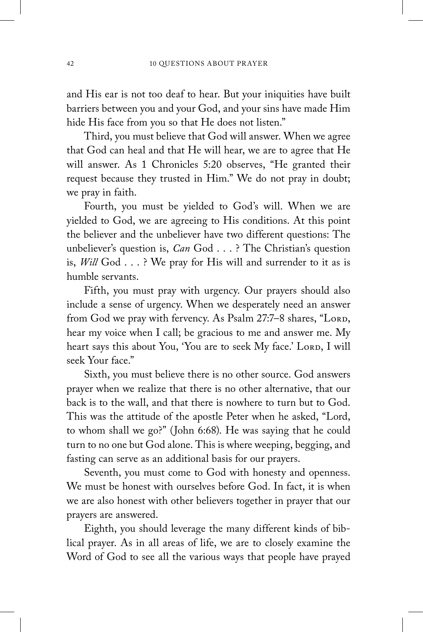and His ear is not too deaf to hear. But your iniquities have built barriers between you and your God, and your sins have made Him hide His face from you so that He does not listen."

Third, you must believe that God will answer. When we agree that God can heal and that He will hear, we are to agree that He will answer. As 1 Chronicles 5:20 observes, "He granted their request because they trusted in Him." We do not pray in doubt; we pray in faith.

Fourth, you must be yielded to God's will. When we are yielded to God, we are agreeing to His conditions. At this point the believer and the unbeliever have two different questions: The unbeliever's question is, *Can* God . . . ? The Christian's question is, *Will* God . . . ? We pray for His will and surrender to it as is humble servants.

Fifth, you must pray with urgency. Our prayers should also include a sense of urgency. When we desperately need an answer from God we pray with fervency. As Psalm 27:7–8 shares, "Lord, hear my voice when I call; be gracious to me and answer me. My heart says this about You, 'You are to seek My face.' Lord, I will seek Your face."

Sixth, you must believe there is no other source. God answers prayer when we realize that there is no other alternative, that our back is to the wall, and that there is nowhere to turn but to God. This was the attitude of the apostle Peter when he asked, "Lord, to whom shall we go?" (John 6:68). He was saying that he could turn to no one but God alone. This is where weeping, begging, and fasting can serve as an additional basis for our prayers.

Seventh, you must come to God with honesty and openness. We must be honest with ourselves before God. In fact, it is when we are also honest with other believers together in prayer that our prayers are answered.

Eighth, you should leverage the many different kinds of biblical prayer. As in all areas of life, we are to closely examine the Word of God to see all the various ways that people have prayed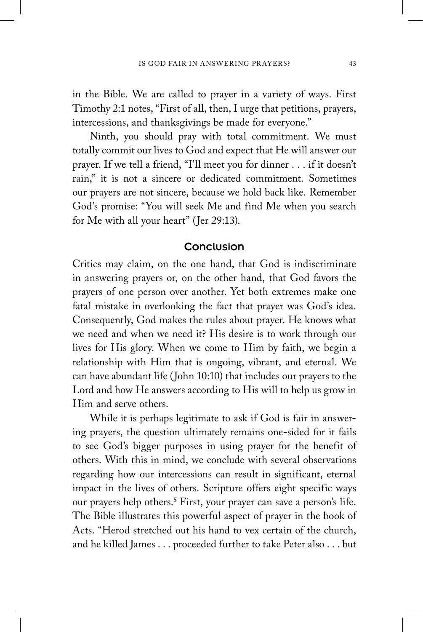in the Bible. We are called to prayer in a variety of ways. First Timothy 2:1 notes, "First of all, then, I urge that petitions, prayers, intercessions, and thanksgivings be made for everyone."

Ninth, you should pray with total commitment. We must totally commit our lives to God and expect that He will answer our prayer. If we tell a friend, "I'll meet you for dinner . . . if it doesn't rain," it is not a sincere or dedicated commitment. Sometimes our prayers are not sincere, because we hold back like. Remember God's promise: "You will seek Me and find Me when you search for Me with all your heart" (Jer 29:13).

### Conclusion

Critics may claim, on the one hand, that God is indiscriminate in answering prayers or, on the other hand, that God favors the prayers of one person over another. Yet both extremes make one fatal mistake in overlooking the fact that prayer was God's idea. Consequently, God makes the rules about prayer. He knows what we need and when we need it? His desire is to work through our lives for His glory. When we come to Him by faith, we begin a relationship with Him that is ongoing, vibrant, and eternal. We can have abundant life (John 10:10) that includes our prayers to the Lord and how He answers according to His will to help us grow in Him and serve others.

While it is perhaps legitimate to ask if God is fair in answering prayers, the question ultimately remains one-sided for it fails to see God's bigger purposes in using prayer for the benefit of others. With this in mind, we conclude with several observations regarding how our intercessions can result in significant, eternal impact in the lives of others. Scripture offers eight specific ways our prayers help others.5 First, your prayer can save a person's life. The Bible illustrates this powerful aspect of prayer in the book of Acts. "Herod stretched out his hand to vex certain of the church, and he killed James . . . proceeded further to take Peter also . . . but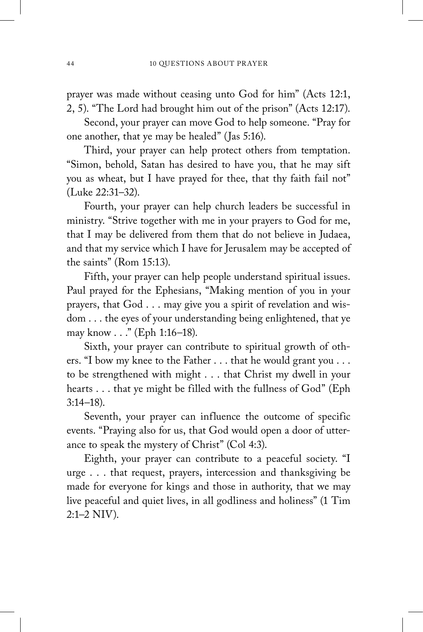prayer was made without ceasing unto God for him" (Acts 12:1, 2, 5). "The Lord had brought him out of the prison" (Acts 12:17).

Second, your prayer can move God to help someone. "Pray for one another, that ye may be healed" (Jas 5:16).

Third, your prayer can help protect others from temptation. "Simon, behold, Satan has desired to have you, that he may sift you as wheat, but I have prayed for thee, that thy faith fail not" (Luke 22:31–32).

Fourth, your prayer can help church leaders be successful in ministry. "Strive together with me in your prayers to God for me, that I may be delivered from them that do not believe in Judaea, and that my service which I have for Jerusalem may be accepted of the saints" (Rom 15:13).

Fifth, your prayer can help people understand spiritual issues. Paul prayed for the Ephesians, "Making mention of you in your prayers, that God . . . may give you a spirit of revelation and wisdom . . . the eyes of your understanding being enlightened, that ye may know . . ." (Eph 1:16–18).

Sixth, your prayer can contribute to spiritual growth of others. "I bow my knee to the Father . . . that he would grant you . . . to be strengthened with might . . . that Christ my dwell in your hearts . . . that ye might be filled with the fullness of God" (Eph 3:14–18).

Seventh, your prayer can influence the outcome of specific events. "Praying also for us, that God would open a door of utterance to speak the mystery of Christ" (Col 4:3).

Eighth, your prayer can contribute to a peaceful society. "I urge . . . that request, prayers, intercession and thanksgiving be made for everyone for kings and those in authority, that we may live peaceful and quiet lives, in all godliness and holiness" (1 Tim 2:1–2 NIV).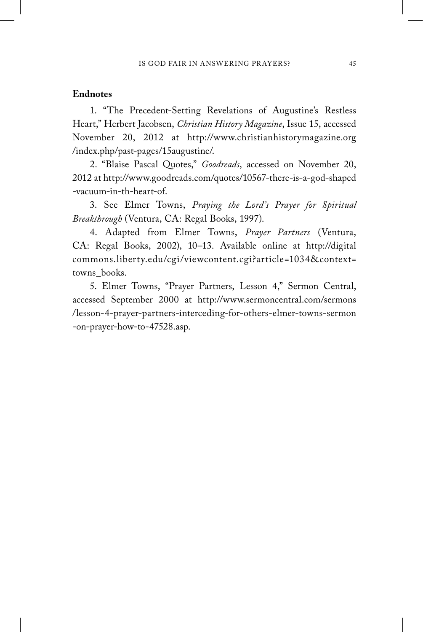#### **Endnotes**

1. "The Precedent-Setting Revelations of Augustine's Restless Heart," Herbert Jacobsen, *Christian History Magazine*, Issue 15, accessed November 20, 2012 at http://www.christianhistorymagazine.org /index.php/past-pages/15augustine/.

2. "Blaise Pascal Quotes," *Goodreads*, accessed on November 20, 2012 at http://www.goodreads.com/quotes/10567-there-is-a-god-shaped -vacuum-in-th-heart-of.

3. See Elmer Towns, *Praying the Lord's Prayer for Spiritual Breakthrough* (Ventura, CA: Regal Books, 1997).

4. Adapted from Elmer Towns, *Prayer Partners* (Ventura, CA: Regal Books, 2002), 10–13. Available online at http://digital commons.liberty.edu/cgi/viewcontent.cgi?article=1034&context= towns\_books.

5. Elmer Towns, "Prayer Partners, Lesson 4," Sermon Central, accessed September 2000 at http://www.sermoncentral.com/sermons /lesson-4-prayer-partners-interceding-for-others-elmer-towns-sermon -on-prayer-how-to-47528.asp.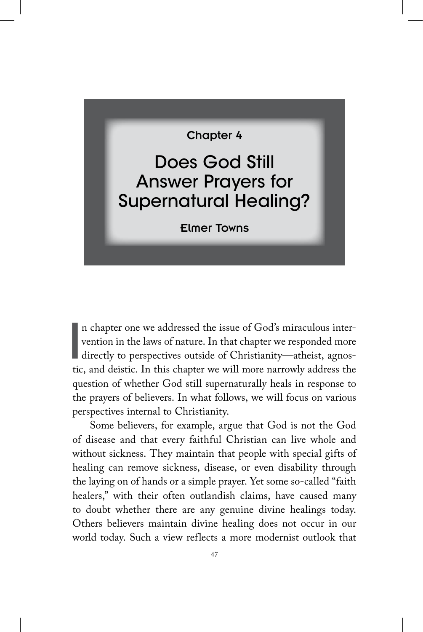

I n chapter one we addressed the issue of God's miraculous intervention in the laws of nature. In that chapter we responded more directly to perspectives outside of Christianity—atheist, agnostic, and deistic. In this chapter we will more narrowly address the question of whether God still supernaturally heals in response to the prayers of believers. In what follows, we will focus on various perspectives internal to Christianity.

Some believers, for example, argue that God is not the God of disease and that every faithful Christian can live whole and without sickness. They maintain that people with special gifts of healing can remove sickness, disease, or even disability through the laying on of hands or a simple prayer. Yet some so-called "faith healers," with their often outlandish claims, have caused many to doubt whether there are any genuine divine healings today. Others believers maintain divine healing does not occur in our world today. Such a view reflects a more modernist outlook that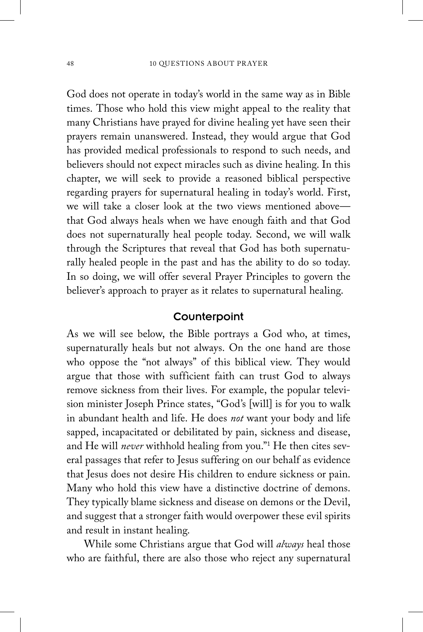God does not operate in today's world in the same way as in Bible times. Those who hold this view might appeal to the reality that many Christians have prayed for divine healing yet have seen their prayers remain unanswered. Instead, they would argue that God has provided medical professionals to respond to such needs, and believers should not expect miracles such as divine healing. In this chapter, we will seek to provide a reasoned biblical perspective regarding prayers for supernatural healing in today's world. First, we will take a closer look at the two views mentioned above that God always heals when we have enough faith and that God does not supernaturally heal people today. Second, we will walk through the Scriptures that reveal that God has both supernaturally healed people in the past and has the ability to do so today. In so doing, we will offer several Prayer Principles to govern the believer's approach to prayer as it relates to supernatural healing.

### Counterpoint

As we will see below, the Bible portrays a God who, at times, supernaturally heals but not always. On the one hand are those who oppose the "not always" of this biblical view. They would argue that those with sufficient faith can trust God to always remove sickness from their lives. For example, the popular television minister Joseph Prince states, "God's [will] is for you to walk in abundant health and life. He does *not* want your body and life sapped, incapacitated or debilitated by pain, sickness and disease, and He will *never* withhold healing from you."1 He then cites several passages that refer to Jesus suffering on our behalf as evidence that Jesus does not desire His children to endure sickness or pain. Many who hold this view have a distinctive doctrine of demons. They typically blame sickness and disease on demons or the Devil, and suggest that a stronger faith would overpower these evil spirits and result in instant healing.

While some Christians argue that God will *always* heal those who are faithful, there are also those who reject any supernatural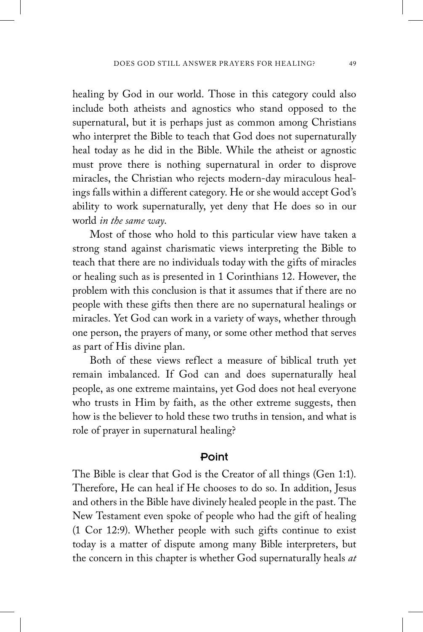healing by God in our world. Those in this category could also include both atheists and agnostics who stand opposed to the supernatural, but it is perhaps just as common among Christians who interpret the Bible to teach that God does not supernaturally heal today as he did in the Bible. While the atheist or agnostic must prove there is nothing supernatural in order to disprove miracles, the Christian who rejects modern-day miraculous healings falls within a different category. He or she would accept God's ability to work supernaturally, yet deny that He does so in our world *in the same way*.

Most of those who hold to this particular view have taken a strong stand against charismatic views interpreting the Bible to teach that there are no individuals today with the gifts of miracles or healing such as is presented in 1 Corinthians 12. However, the problem with this conclusion is that it assumes that if there are no people with these gifts then there are no supernatural healings or miracles. Yet God can work in a variety of ways, whether through one person, the prayers of many, or some other method that serves as part of His divine plan.

Both of these views reflect a measure of biblical truth yet remain imbalanced. If God can and does supernaturally heal people, as one extreme maintains, yet God does not heal everyone who trusts in Him by faith, as the other extreme suggests, then how is the believer to hold these two truths in tension, and what is role of prayer in supernatural healing?

### Point

The Bible is clear that God is the Creator of all things (Gen 1:1). Therefore, He can heal if He chooses to do so. In addition, Jesus and others in the Bible have divinely healed people in the past. The New Testament even spoke of people who had the gift of healing (1 Cor 12:9). Whether people with such gifts continue to exist today is a matter of dispute among many Bible interpreters, but the concern in this chapter is whether God supernaturally heals *at*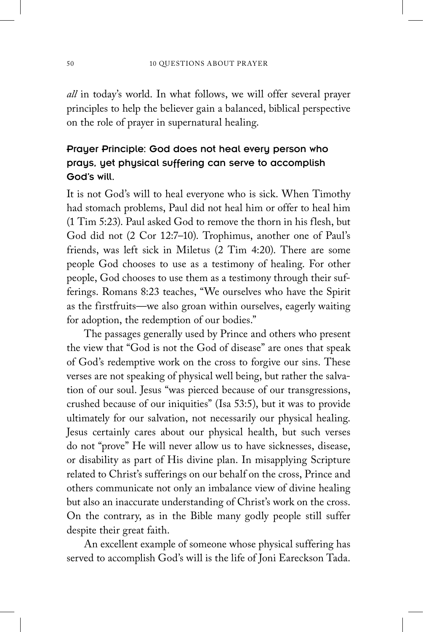*all* in today's world. In what follows, we will offer several prayer principles to help the believer gain a balanced, biblical perspective on the role of prayer in supernatural healing.

# Prayer Principle: God does not heal every person who prays, yet physical suffering can serve to accomplish God's will.

It is not God's will to heal everyone who is sick. When Timothy had stomach problems, Paul did not heal him or offer to heal him (1 Tim 5:23). Paul asked God to remove the thorn in his flesh, but God did not (2 Cor 12:7–10). Trophimus, another one of Paul's friends, was left sick in Miletus (2 Tim 4:20). There are some people God chooses to use as a testimony of healing. For other people, God chooses to use them as a testimony through their sufferings. Romans 8:23 teaches, "We ourselves who have the Spirit as the firstfruits—we also groan within ourselves, eagerly waiting for adoption, the redemption of our bodies."

The passages generally used by Prince and others who present the view that "God is not the God of disease" are ones that speak of God's redemptive work on the cross to forgive our sins. These verses are not speaking of physical well being, but rather the salvation of our soul. Jesus "was pierced because of our transgressions, crushed because of our iniquities" (Isa 53:5), but it was to provide ultimately for our salvation, not necessarily our physical healing. Jesus certainly cares about our physical health, but such verses do not "prove" He will never allow us to have sicknesses, disease, or disability as part of His divine plan. In misapplying Scripture related to Christ's sufferings on our behalf on the cross, Prince and others communicate not only an imbalance view of divine healing but also an inaccurate understanding of Christ's work on the cross. On the contrary, as in the Bible many godly people still suffer despite their great faith.

An excellent example of someone whose physical suffering has served to accomplish God's will is the life of Joni Eareckson Tada.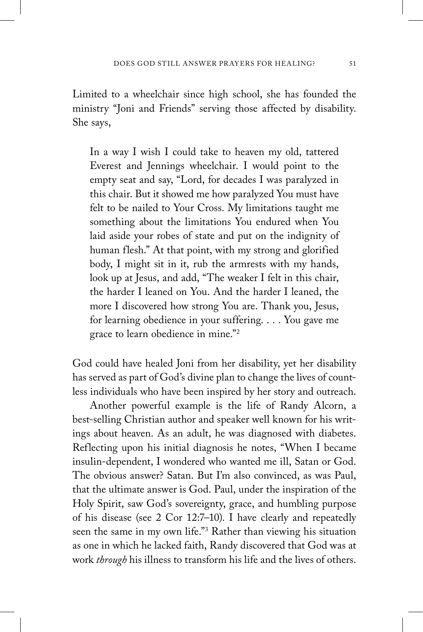Limited to a wheelchair since high school, she has founded the ministry "Joni and Friends" serving those affected by disability. She says,

In a way I wish I could take to heaven my old, tattered Everest and Jennings wheelchair. I would point to the empty seat and say, "Lord, for decades I was paralyzed in this chair. But it showed me how paralyzed You must have felt to be nailed to Your Cross. My limitations taught me something about the limitations You endured when You laid aside your robes of state and put on the indignity of human flesh." At that point, with my strong and glorified body, I might sit in it, rub the armrests with my hands, look up at Jesus, and add, "The weaker I felt in this chair, the harder I leaned on You. And the harder I leaned, the more I discovered how strong You are. Thank you, Jesus, for learning obedience in your suffering. . . . You gave me grace to learn obedience in mine."2

God could have healed Joni from her disability, yet her disability has served as part of God's divine plan to change the lives of countless individuals who have been inspired by her story and outreach.

Another powerful example is the life of Randy Alcorn, a best-selling Christian author and speaker well known for his writings about heaven. As an adult, he was diagnosed with diabetes. Reflecting upon his initial diagnosis he notes, "When I became insulin-dependent, I wondered who wanted me ill, Satan or God. The obvious answer? Satan. But I'm also convinced, as was Paul, that the ultimate answer is God. Paul, under the inspiration of the Holy Spirit, saw God's sovereignty, grace, and humbling purpose of his disease (see 2 Cor 12:7–10). I have clearly and repeatedly seen the same in my own life."3 Rather than viewing his situation as one in which he lacked faith, Randy discovered that God was at work *through* his illness to transform his life and the lives of others.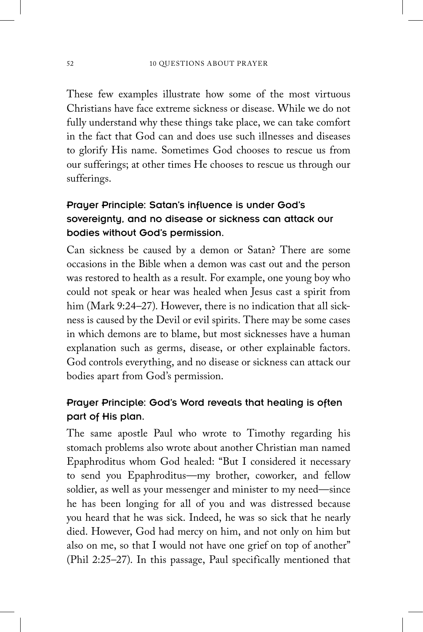These few examples illustrate how some of the most virtuous Christians have face extreme sickness or disease. While we do not fully understand why these things take place, we can take comfort in the fact that God can and does use such illnesses and diseases to glorify His name. Sometimes God chooses to rescue us from our sufferings; at other times He chooses to rescue us through our sufferings.

# Prayer Principle: Satan's influence is under God's sovereignty, and no disease or sickness can attack our bodies without God's permission.

Can sickness be caused by a demon or Satan? There are some occasions in the Bible when a demon was cast out and the person was restored to health as a result. For example, one young boy who could not speak or hear was healed when Jesus cast a spirit from him (Mark 9:24–27). However, there is no indication that all sickness is caused by the Devil or evil spirits. There may be some cases in which demons are to blame, but most sicknesses have a human explanation such as germs, disease, or other explainable factors. God controls everything, and no disease or sickness can attack our bodies apart from God's permission.

## Prayer Principle: God's Word reveals that healing is often part of His plan.

The same apostle Paul who wrote to Timothy regarding his stomach problems also wrote about another Christian man named Epaphroditus whom God healed: "But I considered it necessary to send you Epaphroditus—my brother, coworker, and fellow soldier, as well as your messenger and minister to my need—since he has been longing for all of you and was distressed because you heard that he was sick. Indeed, he was so sick that he nearly died. However, God had mercy on him, and not only on him but also on me, so that I would not have one grief on top of another" (Phil 2:25–27). In this passage, Paul specifically mentioned that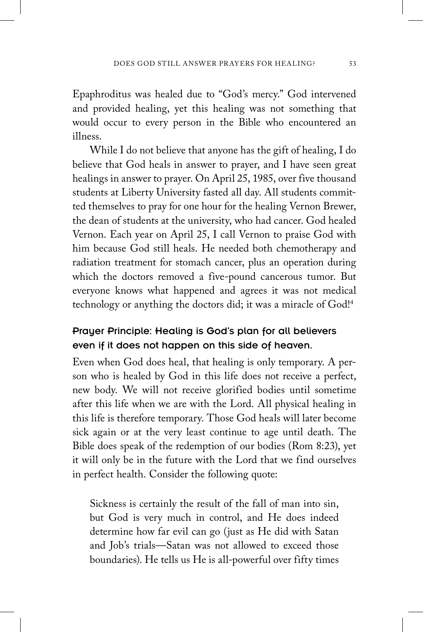Epaphroditus was healed due to "God's mercy." God intervened and provided healing, yet this healing was not something that would occur to every person in the Bible who encountered an illness.

While I do not believe that anyone has the gift of healing, I do believe that God heals in answer to prayer, and I have seen great healings in answer to prayer. On April 25, 1985, over five thousand students at Liberty University fasted all day. All students committed themselves to pray for one hour for the healing Vernon Brewer, the dean of students at the university, who had cancer. God healed Vernon. Each year on April 25, I call Vernon to praise God with him because God still heals. He needed both chemotherapy and radiation treatment for stomach cancer, plus an operation during which the doctors removed a five-pound cancerous tumor. But everyone knows what happened and agrees it was not medical technology or anything the doctors did; it was a miracle of God!4

# Prayer Principle: Healing is God's plan for all believers even if it does not happen on this side of heaven.

Even when God does heal, that healing is only temporary. A person who is healed by God in this life does not receive a perfect, new body. We will not receive glorified bodies until sometime after this life when we are with the Lord. All physical healing in this life is therefore temporary. Those God heals will later become sick again or at the very least continue to age until death. The Bible does speak of the redemption of our bodies (Rom 8:23), yet it will only be in the future with the Lord that we find ourselves in perfect health. Consider the following quote:

Sickness is certainly the result of the fall of man into sin, but God is very much in control, and He does indeed determine how far evil can go (just as He did with Satan and Job's trials—Satan was not allowed to exceed those boundaries). He tells us He is all-powerful over fifty times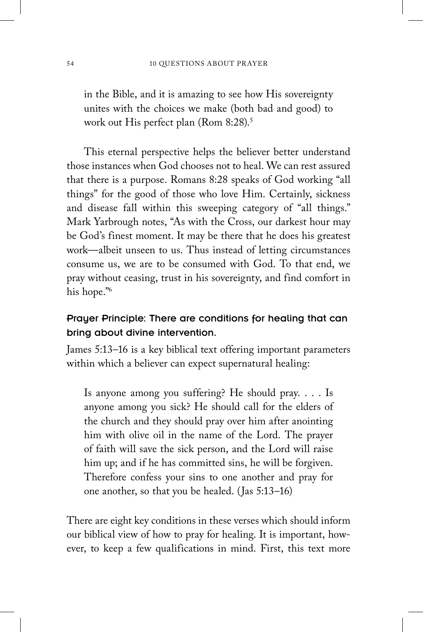in the Bible, and it is amazing to see how His sovereignty unites with the choices we make (both bad and good) to work out His perfect plan (Rom 8:28).<sup>5</sup>

This eternal perspective helps the believer better understand those instances when God chooses not to heal. We can rest assured that there is a purpose. Romans 8:28 speaks of God working "all things" for the good of those who love Him. Certainly, sickness and disease fall within this sweeping category of "all things." Mark Yarbrough notes, "As with the Cross, our darkest hour may be God's finest moment. It may be there that he does his greatest work—albeit unseen to us. Thus instead of letting circumstances consume us, we are to be consumed with God. To that end, we pray without ceasing, trust in his sovereignty, and find comfort in his hope."6

## Prayer Principle: There are conditions for healing that can bring about divine intervention.

James 5:13–16 is a key biblical text offering important parameters within which a believer can expect supernatural healing:

Is anyone among you suffering? He should pray. . . . Is anyone among you sick? He should call for the elders of the church and they should pray over him after anointing him with olive oil in the name of the Lord. The prayer of faith will save the sick person, and the Lord will raise him up; and if he has committed sins, he will be forgiven. Therefore confess your sins to one another and pray for one another, so that you be healed. (Jas 5:13–16)

There are eight key conditions in these verses which should inform our biblical view of how to pray for healing. It is important, however, to keep a few qualifications in mind. First, this text more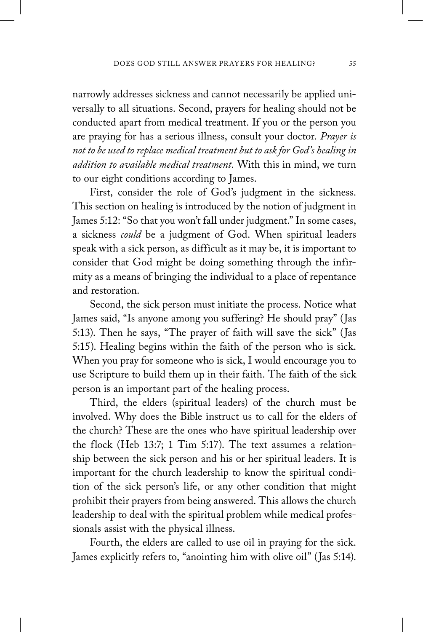narrowly addresses sickness and cannot necessarily be applied universally to all situations. Second, prayers for healing should not be conducted apart from medical treatment. If you or the person you are praying for has a serious illness, consult your doctor. *Prayer is not to be used to replace medical treatment but to ask for God's healing in addition to available medical treatment.* With this in mind, we turn to our eight conditions according to James.

First, consider the role of God's judgment in the sickness. This section on healing is introduced by the notion of judgment in James 5:12: "So that you won't fall under judgment." In some cases, a sickness *could* be a judgment of God. When spiritual leaders speak with a sick person, as difficult as it may be, it is important to consider that God might be doing something through the infirmity as a means of bringing the individual to a place of repentance and restoration.

Second, the sick person must initiate the process. Notice what James said, "Is anyone among you suffering? He should pray" (Jas 5:13). Then he says, "The prayer of faith will save the sick" (Jas 5:15). Healing begins within the faith of the person who is sick. When you pray for someone who is sick, I would encourage you to use Scripture to build them up in their faith. The faith of the sick person is an important part of the healing process.

Third, the elders (spiritual leaders) of the church must be involved. Why does the Bible instruct us to call for the elders of the church? These are the ones who have spiritual leadership over the flock (Heb 13:7; 1 Tim 5:17). The text assumes a relationship between the sick person and his or her spiritual leaders. It is important for the church leadership to know the spiritual condition of the sick person's life, or any other condition that might prohibit their prayers from being answered. This allows the church leadership to deal with the spiritual problem while medical professionals assist with the physical illness.

Fourth, the elders are called to use oil in praying for the sick. James explicitly refers to, "anointing him with olive oil" (Jas 5:14).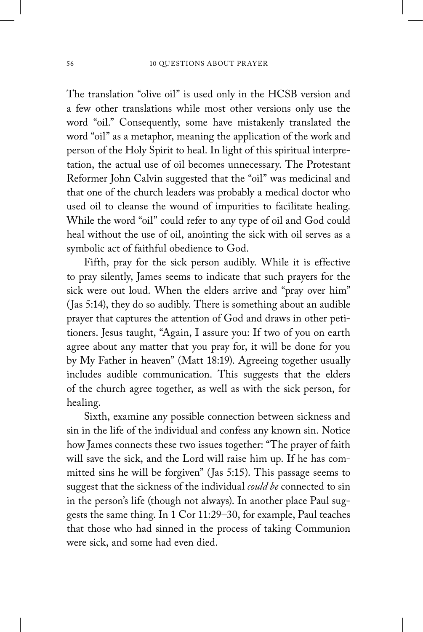The translation "olive oil" is used only in the HCSB version and a few other translations while most other versions only use the word "oil." Consequently, some have mistakenly translated the word "oil" as a metaphor, meaning the application of the work and person of the Holy Spirit to heal. In light of this spiritual interpretation, the actual use of oil becomes unnecessary. The Protestant Reformer John Calvin suggested that the "oil" was medicinal and that one of the church leaders was probably a medical doctor who used oil to cleanse the wound of impurities to facilitate healing. While the word "oil" could refer to any type of oil and God could heal without the use of oil, anointing the sick with oil serves as a symbolic act of faithful obedience to God.

Fifth, pray for the sick person audibly. While it is effective to pray silently, James seems to indicate that such prayers for the sick were out loud. When the elders arrive and "pray over him" (Jas 5:14), they do so audibly. There is something about an audible prayer that captures the attention of God and draws in other petitioners. Jesus taught, "Again, I assure you: If two of you on earth agree about any matter that you pray for, it will be done for you by My Father in heaven" (Matt 18:19). Agreeing together usually includes audible communication. This suggests that the elders of the church agree together, as well as with the sick person, for healing.

Sixth, examine any possible connection between sickness and sin in the life of the individual and confess any known sin. Notice how James connects these two issues together: "The prayer of faith will save the sick, and the Lord will raise him up. If he has committed sins he will be forgiven" (Jas 5:15). This passage seems to suggest that the sickness of the individual *could be* connected to sin in the person's life (though not always). In another place Paul suggests the same thing. In 1 Cor 11:29–30, for example, Paul teaches that those who had sinned in the process of taking Communion were sick, and some had even died.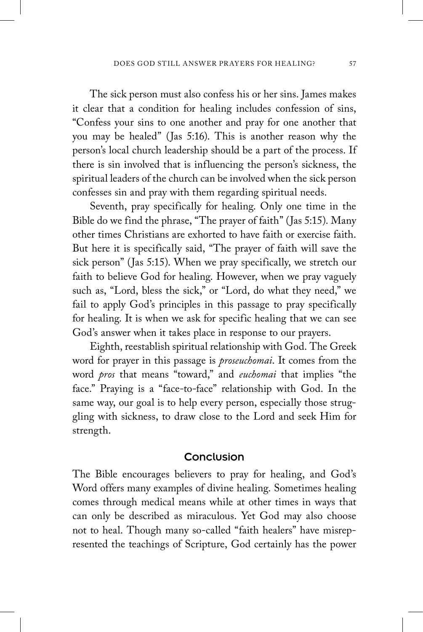The sick person must also confess his or her sins. James makes it clear that a condition for healing includes confession of sins, "Confess your sins to one another and pray for one another that you may be healed" (Jas 5:16). This is another reason why the person's local church leadership should be a part of the process. If there is sin involved that is influencing the person's sickness, the spiritual leaders of the church can be involved when the sick person confesses sin and pray with them regarding spiritual needs.

Seventh, pray specifically for healing. Only one time in the Bible do we find the phrase, "The prayer of faith" (Jas 5:15). Many other times Christians are exhorted to have faith or exercise faith. But here it is specifically said, "The prayer of faith will save the sick person" (Jas 5:15). When we pray specifically, we stretch our faith to believe God for healing. However, when we pray vaguely such as, "Lord, bless the sick," or "Lord, do what they need," we fail to apply God's principles in this passage to pray specifically for healing. It is when we ask for specific healing that we can see God's answer when it takes place in response to our prayers.

Eighth, reestablish spiritual relationship with God. The Greek word for prayer in this passage is *proseuchomai*. It comes from the word *pros* that means "toward," and *euchomai* that implies "the face." Praying is a "face-to-face" relationship with God. In the same way, our goal is to help every person, especially those struggling with sickness, to draw close to the Lord and seek Him for strength.

### **Conclusion**

The Bible encourages believers to pray for healing, and God's Word offers many examples of divine healing. Sometimes healing comes through medical means while at other times in ways that can only be described as miraculous. Yet God may also choose not to heal. Though many so-called "faith healers" have misrepresented the teachings of Scripture, God certainly has the power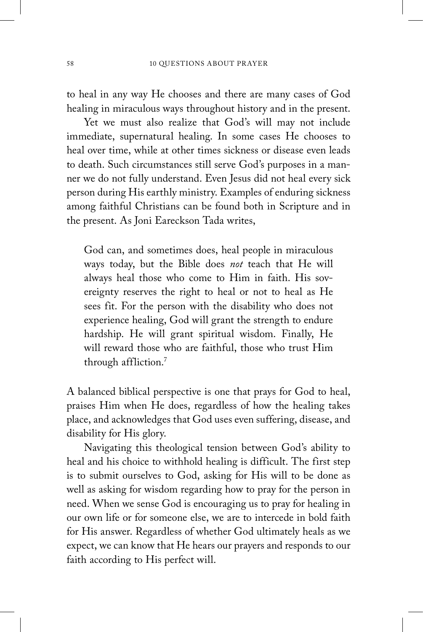to heal in any way He chooses and there are many cases of God healing in miraculous ways throughout history and in the present.

Yet we must also realize that God's will may not include immediate, supernatural healing. In some cases He chooses to heal over time, while at other times sickness or disease even leads to death. Such circumstances still serve God's purposes in a manner we do not fully understand. Even Jesus did not heal every sick person during His earthly ministry. Examples of enduring sickness among faithful Christians can be found both in Scripture and in the present. As Joni Eareckson Tada writes,

God can, and sometimes does, heal people in miraculous ways today, but the Bible does *not* teach that He will always heal those who come to Him in faith. His sovereignty reserves the right to heal or not to heal as He sees fit. For the person with the disability who does not experience healing, God will grant the strength to endure hardship. He will grant spiritual wisdom. Finally, He will reward those who are faithful, those who trust Him through affliction.7

A balanced biblical perspective is one that prays for God to heal, praises Him when He does, regardless of how the healing takes place, and acknowledges that God uses even suffering, disease, and disability for His glory.

Navigating this theological tension between God's ability to heal and his choice to withhold healing is difficult. The first step is to submit ourselves to God, asking for His will to be done as well as asking for wisdom regarding how to pray for the person in need. When we sense God is encouraging us to pray for healing in our own life or for someone else, we are to intercede in bold faith for His answer. Regardless of whether God ultimately heals as we expect, we can know that He hears our prayers and responds to our faith according to His perfect will.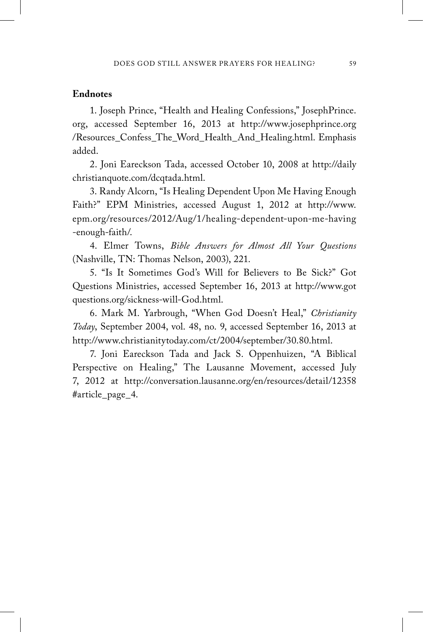#### **Endnotes**

1. Joseph Prince, "Health and Healing Confessions," JosephPrince. org, accessed September 16, 2013 at http://www.josephprince.org /Resources\_Confess\_The\_Word\_Health\_And\_Healing.html. Emphasis added.

2. Joni Eareckson Tada, accessed October 10, 2008 at http://daily christianquote.com/dcqtada.html.

3. Randy Alcorn, "Is Healing Dependent Upon Me Having Enough Faith?" EPM Ministries, accessed August 1, 2012 at http://www. epm.org/resources/2012/Aug/1/healing-dependent-upon-me-having -enough-faith/.

4. Elmer Towns, *Bible Answers for Almost All Your Questions* (Nashville, TN: Thomas Nelson, 2003), 221.

5. "Is It Sometimes God's Will for Believers to Be Sick?" Got Questions Ministries, accessed September 16, 2013 at http://www.got questions.org/sickness-will-God.html.

6. Mark M. Yarbrough, "When God Doesn't Heal," *Christianity Today*, September 2004, vol. 48, no. 9, accessed September 16, 2013 at http://www.christianitytoday.com/ct/2004/september/30.80.html.

7. Joni Eareckson Tada and Jack S. Oppenhuizen, "A Biblical Perspective on Healing," The Lausanne Movement, accessed July 7, 2012 at http://conversation.lausanne.org/en/resources/detail/12358 #article\_page\_4.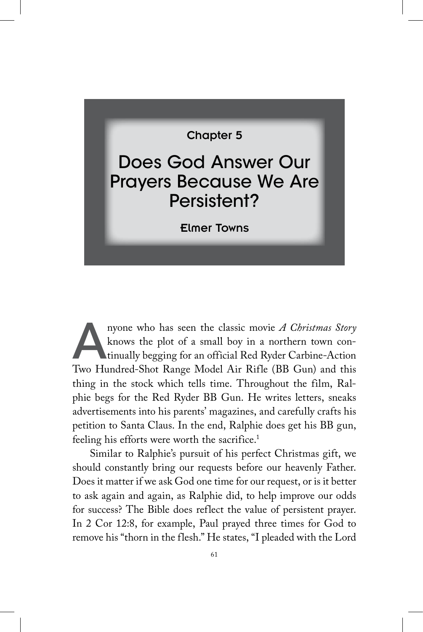

Anyone who has seen the classic movie *A Christmas Story*<br>knows the plot of a small boy in a northern town con-<br>tinually begging for an official Red Ryder Carbine-Action<br>True Hundred Shat Banga Madal Air Bifle (BB Cun) and knows the plot of a small boy in a northern town continually begging for an official Red Ryder Carbine-Action Two Hundred-Shot Range Model Air Rifle (BB Gun) and this thing in the stock which tells time. Throughout the film, Ralphie begs for the Red Ryder BB Gun. He writes letters, sneaks advertisements into his parents' magazines, and carefully crafts his petition to Santa Claus. In the end, Ralphie does get his BB gun, feeling his efforts were worth the sacrifice.<sup>1</sup>

Similar to Ralphie's pursuit of his perfect Christmas gift, we should constantly bring our requests before our heavenly Father. Does it matter if we ask God one time for our request, or is it better to ask again and again, as Ralphie did, to help improve our odds for success? The Bible does reflect the value of persistent prayer. In 2 Cor 12:8, for example, Paul prayed three times for God to remove his "thorn in the flesh." He states, "I pleaded with the Lord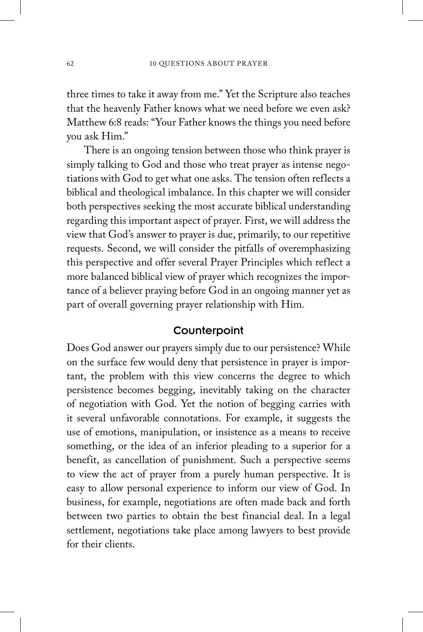three times to take it away from me." Yet the Scripture also teaches that the heavenly Father knows what we need before we even ask? Matthew 6:8 reads: "Your Father knows the things you need before you ask Him."

There is an ongoing tension between those who think prayer is simply talking to God and those who treat prayer as intense negotiations with God to get what one asks. The tension often reflects a biblical and theological imbalance. In this chapter we will consider both perspectives seeking the most accurate biblical understanding regarding this important aspect of prayer. First, we will address the view that God's answer to prayer is due, primarily, to our repetitive requests. Second, we will consider the pitfalls of overemphasizing this perspective and offer several Prayer Principles which reflect a more balanced biblical view of prayer which recognizes the importance of a believer praying before God in an ongoing manner yet as part of overall governing prayer relationship with Him.

### **Counterpoint**

Does God answer our prayers simply due to our persistence? While on the surface few would deny that persistence in prayer is important, the problem with this view concerns the degree to which persistence becomes begging, inevitably taking on the character of negotiation with God. Yet the notion of begging carries with it several unfavorable connotations. For example, it suggests the use of emotions, manipulation, or insistence as a means to receive something, or the idea of an inferior pleading to a superior for a benefit, as cancellation of punishment. Such a perspective seems to view the act of prayer from a purely human perspective. It is easy to allow personal experience to inform our view of God. In business, for example, negotiations are often made back and forth between two parties to obtain the best financial deal. In a legal settlement, negotiations take place among lawyers to best provide for their clients.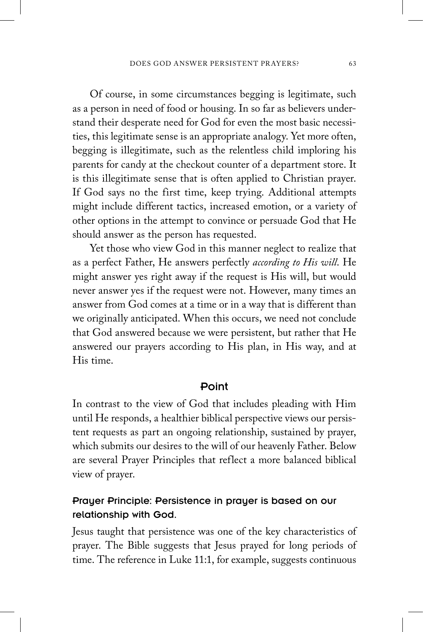Of course, in some circumstances begging is legitimate, such as a person in need of food or housing. In so far as believers understand their desperate need for God for even the most basic necessities, this legitimate sense is an appropriate analogy. Yet more often, begging is illegitimate, such as the relentless child imploring his parents for candy at the checkout counter of a department store. It is this illegitimate sense that is often applied to Christian prayer. If God says no the first time, keep trying. Additional attempts might include different tactics, increased emotion, or a variety of other options in the attempt to convince or persuade God that He should answer as the person has requested.

Yet those who view God in this manner neglect to realize that as a perfect Father, He answers perfectly *according to His will*. He might answer yes right away if the request is His will, but would never answer yes if the request were not. However, many times an answer from God comes at a time or in a way that is different than we originally anticipated. When this occurs, we need not conclude that God answered because we were persistent, but rather that He answered our prayers according to His plan, in His way, and at His time.

### Point

In contrast to the view of God that includes pleading with Him until He responds, a healthier biblical perspective views our persistent requests as part an ongoing relationship, sustained by prayer, which submits our desires to the will of our heavenly Father. Below are several Prayer Principles that reflect a more balanced biblical view of prayer.

## Prayer Principle: Persistence in prayer is based on our relationship with God.

Jesus taught that persistence was one of the key characteristics of prayer. The Bible suggests that Jesus prayed for long periods of time. The reference in Luke 11:1, for example, suggests continuous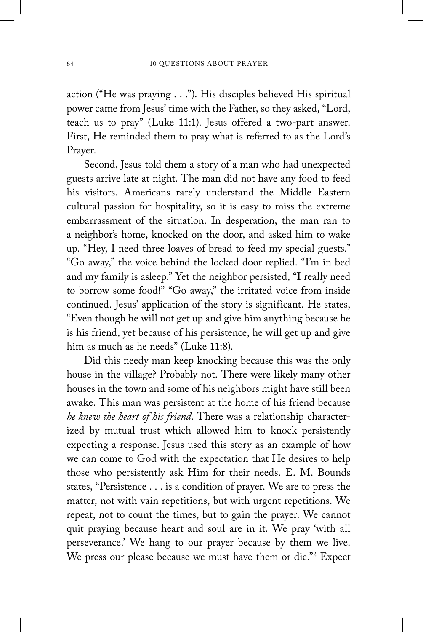action ("He was praying . . ."). His disciples believed His spiritual power came from Jesus' time with the Father, so they asked, "Lord, teach us to pray" (Luke 11:1). Jesus offered a two-part answer. First, He reminded them to pray what is referred to as the Lord's Prayer.

Second, Jesus told them a story of a man who had unexpected guests arrive late at night. The man did not have any food to feed his visitors. Americans rarely understand the Middle Eastern cultural passion for hospitality, so it is easy to miss the extreme embarrassment of the situation. In desperation, the man ran to a neighbor's home, knocked on the door, and asked him to wake up. "Hey, I need three loaves of bread to feed my special guests." "Go away," the voice behind the locked door replied. "I'm in bed and my family is asleep." Yet the neighbor persisted, "I really need to borrow some food!" "Go away," the irritated voice from inside continued. Jesus' application of the story is significant. He states, "Even though he will not get up and give him anything because he is his friend, yet because of his persistence, he will get up and give him as much as he needs" (Luke 11:8).

Did this needy man keep knocking because this was the only house in the village? Probably not. There were likely many other houses in the town and some of his neighbors might have still been awake. This man was persistent at the home of his friend because *he knew the heart of his friend*. There was a relationship characterized by mutual trust which allowed him to knock persistently expecting a response. Jesus used this story as an example of how we can come to God with the expectation that He desires to help those who persistently ask Him for their needs. E. M. Bounds states, "Persistence . . . is a condition of prayer. We are to press the matter, not with vain repetitions, but with urgent repetitions. We repeat, not to count the times, but to gain the prayer. We cannot quit praying because heart and soul are in it. We pray 'with all perseverance.' We hang to our prayer because by them we live. We press our please because we must have them or die."2 Expect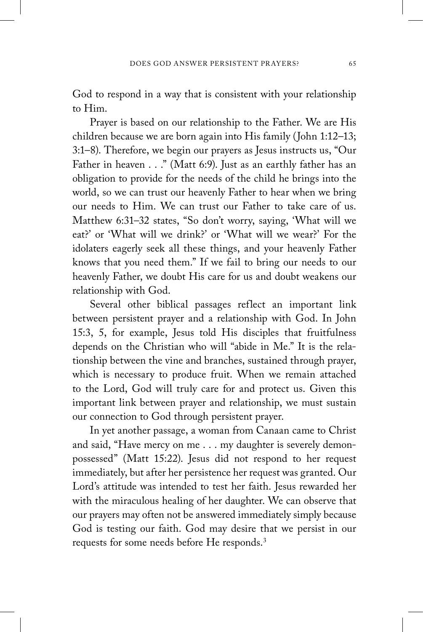God to respond in a way that is consistent with your relationship to Him.

Prayer is based on our relationship to the Father. We are His children because we are born again into His family (John 1:12–13; 3:1–8). Therefore, we begin our prayers as Jesus instructs us, "Our Father in heaven . . ." (Matt 6:9). Just as an earthly father has an obligation to provide for the needs of the child he brings into the world, so we can trust our heavenly Father to hear when we bring our needs to Him. We can trust our Father to take care of us. Matthew 6:31–32 states, "So don't worry, saying, 'What will we eat?' or 'What will we drink?' or 'What will we wear?' For the idolaters eagerly seek all these things, and your heavenly Father knows that you need them." If we fail to bring our needs to our heavenly Father, we doubt His care for us and doubt weakens our relationship with God.

Several other biblical passages reflect an important link between persistent prayer and a relationship with God. In John 15:3, 5, for example, Jesus told His disciples that fruitfulness depends on the Christian who will "abide in Me." It is the relationship between the vine and branches, sustained through prayer, which is necessary to produce fruit. When we remain attached to the Lord, God will truly care for and protect us. Given this important link between prayer and relationship, we must sustain our connection to God through persistent prayer.

In yet another passage, a woman from Canaan came to Christ and said, "Have mercy on me . . . my daughter is severely demonpossessed" (Matt 15:22). Jesus did not respond to her request immediately, but after her persistence her request was granted. Our Lord's attitude was intended to test her faith. Jesus rewarded her with the miraculous healing of her daughter. We can observe that our prayers may often not be answered immediately simply because God is testing our faith. God may desire that we persist in our requests for some needs before He responds.<sup>3</sup>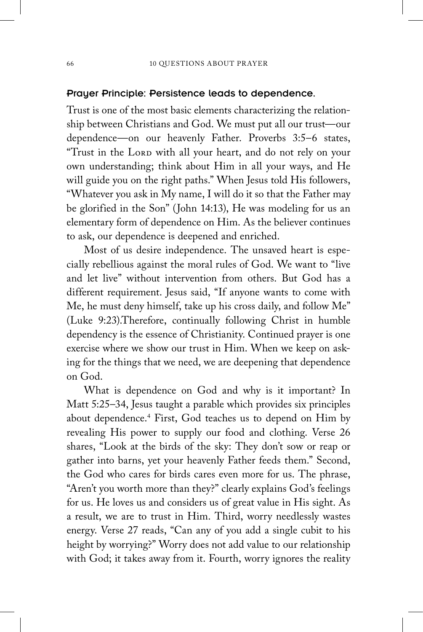#### Prayer Principle: Persistence leads to dependence.

Trust is one of the most basic elements characterizing the relationship between Christians and God. We must put all our trust—our dependence—on our heavenly Father. Proverbs 3:5–6 states, "Trust in the Lorp with all your heart, and do not rely on your own understanding; think about Him in all your ways, and He will guide you on the right paths." When Jesus told His followers, "Whatever you ask in My name, I will do it so that the Father may be glorified in the Son" (John 14:13), He was modeling for us an elementary form of dependence on Him. As the believer continues to ask, our dependence is deepened and enriched.

Most of us desire independence. The unsaved heart is especially rebellious against the moral rules of God. We want to "live and let live" without intervention from others. But God has a different requirement. Jesus said, "If anyone wants to come with Me, he must deny himself, take up his cross daily, and follow Me" (Luke 9:23).Therefore, continually following Christ in humble dependency is the essence of Christianity. Continued prayer is one exercise where we show our trust in Him. When we keep on asking for the things that we need, we are deepening that dependence on God.

What is dependence on God and why is it important? In Matt 5:25–34, Jesus taught a parable which provides six principles about dependence.4 First, God teaches us to depend on Him by revealing His power to supply our food and clothing. Verse 26 shares, "Look at the birds of the sky: They don't sow or reap or gather into barns, yet your heavenly Father feeds them." Second, the God who cares for birds cares even more for us. The phrase, "Aren't you worth more than they?" clearly explains God's feelings for us. He loves us and considers us of great value in His sight. As a result, we are to trust in Him. Third, worry needlessly wastes energy. Verse 27 reads, "Can any of you add a single cubit to his height by worrying?" Worry does not add value to our relationship with God; it takes away from it. Fourth, worry ignores the reality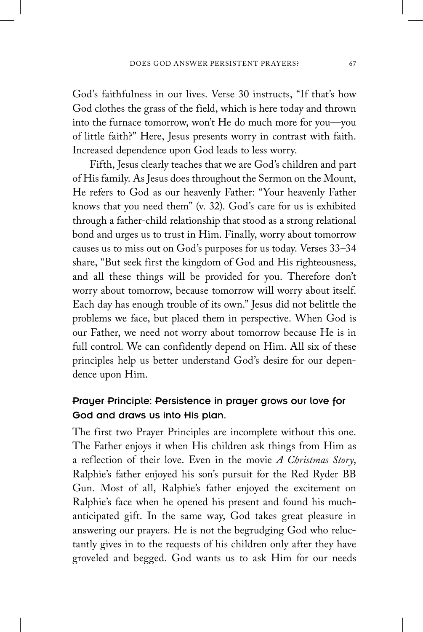God's faithfulness in our lives. Verse 30 instructs, "If that's how God clothes the grass of the field, which is here today and thrown into the furnace tomorrow, won't He do much more for you—you of little faith?" Here, Jesus presents worry in contrast with faith. Increased dependence upon God leads to less worry.

Fifth, Jesus clearly teaches that we are God's children and part of His family. As Jesus does throughout the Sermon on the Mount, He refers to God as our heavenly Father: "Your heavenly Father knows that you need them" (v. 32). God's care for us is exhibited through a father-child relationship that stood as a strong relational bond and urges us to trust in Him. Finally, worry about tomorrow causes us to miss out on God's purposes for us today. Verses 33–34 share, "But seek first the kingdom of God and His righteousness, and all these things will be provided for you. Therefore don't worry about tomorrow, because tomorrow will worry about itself. Each day has enough trouble of its own." Jesus did not belittle the problems we face, but placed them in perspective. When God is our Father, we need not worry about tomorrow because He is in full control. We can confidently depend on Him. All six of these principles help us better understand God's desire for our dependence upon Him.

### Prayer Principle: Persistence in prayer grows our love for God and draws us into His plan.

The first two Prayer Principles are incomplete without this one. The Father enjoys it when His children ask things from Him as a reflection of their love. Even in the movie *A Christmas Story*, Ralphie's father enjoyed his son's pursuit for the Red Ryder BB Gun. Most of all, Ralphie's father enjoyed the excitement on Ralphie's face when he opened his present and found his muchanticipated gift. In the same way, God takes great pleasure in answering our prayers. He is not the begrudging God who reluctantly gives in to the requests of his children only after they have groveled and begged. God wants us to ask Him for our needs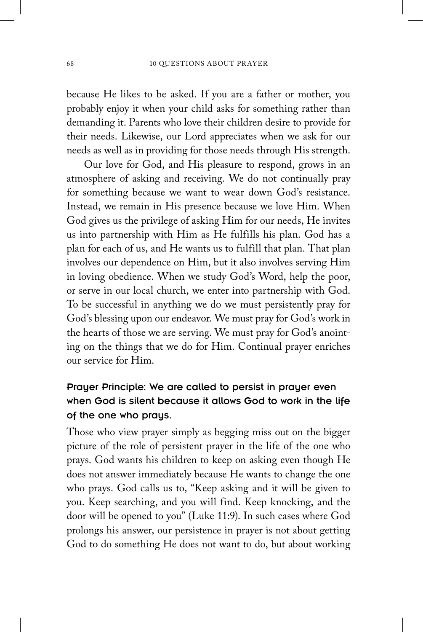because He likes to be asked. If you are a father or mother, you probably enjoy it when your child asks for something rather than demanding it. Parents who love their children desire to provide for their needs. Likewise, our Lord appreciates when we ask for our needs as well as in providing for those needs through His strength.

Our love for God, and His pleasure to respond, grows in an atmosphere of asking and receiving. We do not continually pray for something because we want to wear down God's resistance. Instead, we remain in His presence because we love Him. When God gives us the privilege of asking Him for our needs, He invites us into partnership with Him as He fulfills his plan. God has a plan for each of us, and He wants us to fulfill that plan. That plan involves our dependence on Him, but it also involves serving Him in loving obedience. When we study God's Word, help the poor, or serve in our local church, we enter into partnership with God. To be successful in anything we do we must persistently pray for God's blessing upon our endeavor. We must pray for God's work in the hearts of those we are serving. We must pray for God's anointing on the things that we do for Him. Continual prayer enriches our service for Him.

# Prayer Principle: We are called to persist in prayer even when God is silent because it allows God to work in the life of the one who prays.

Those who view prayer simply as begging miss out on the bigger picture of the role of persistent prayer in the life of the one who prays. God wants his children to keep on asking even though He does not answer immediately because He wants to change the one who prays. God calls us to, "Keep asking and it will be given to you. Keep searching, and you will find. Keep knocking, and the door will be opened to you" (Luke 11:9). In such cases where God prolongs his answer, our persistence in prayer is not about getting God to do something He does not want to do, but about working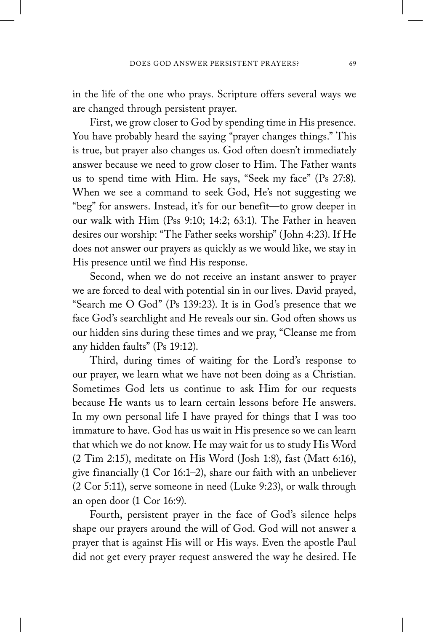in the life of the one who prays. Scripture offers several ways we are changed through persistent prayer.

First, we grow closer to God by spending time in His presence. You have probably heard the saying "prayer changes things." This is true, but prayer also changes us. God often doesn't immediately answer because we need to grow closer to Him. The Father wants us to spend time with Him. He says, "Seek my face" (Ps 27:8). When we see a command to seek God, He's not suggesting we "beg" for answers. Instead, it's for our benefit—to grow deeper in our walk with Him (Pss 9:10; 14:2; 63:1). The Father in heaven desires our worship: "The Father seeks worship" (John 4:23). If He does not answer our prayers as quickly as we would like, we stay in His presence until we find His response.

Second, when we do not receive an instant answer to prayer we are forced to deal with potential sin in our lives. David prayed, "Search me O God" (Ps 139:23). It is in God's presence that we face God's searchlight and He reveals our sin. God often shows us our hidden sins during these times and we pray, "Cleanse me from any hidden faults" (Ps 19:12).

Third, during times of waiting for the Lord's response to our prayer, we learn what we have not been doing as a Christian. Sometimes God lets us continue to ask Him for our requests because He wants us to learn certain lessons before He answers. In my own personal life I have prayed for things that I was too immature to have. God has us wait in His presence so we can learn that which we do not know. He may wait for us to study His Word (2 Tim 2:15), meditate on His Word (Josh 1:8), fast (Matt 6:16), give financially (1 Cor 16:1–2), share our faith with an unbeliever (2 Cor 5:11), serve someone in need (Luke 9:23), or walk through an open door (1 Cor 16:9).

Fourth, persistent prayer in the face of God's silence helps shape our prayers around the will of God. God will not answer a prayer that is against His will or His ways. Even the apostle Paul did not get every prayer request answered the way he desired. He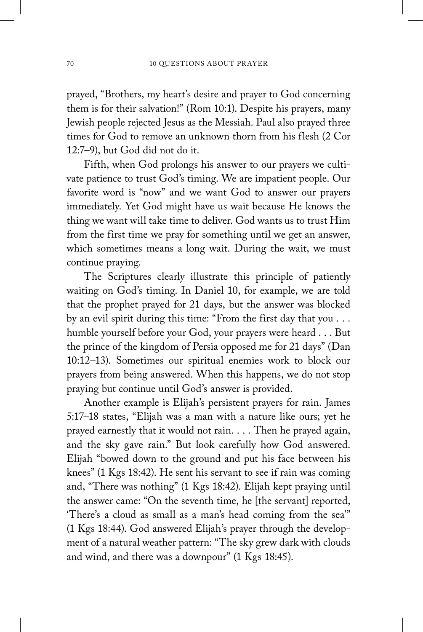prayed, "Brothers, my heart's desire and prayer to God concerning them is for their salvation!" (Rom 10:1). Despite his prayers, many Jewish people rejected Jesus as the Messiah. Paul also prayed three times for God to remove an unknown thorn from his flesh (2 Cor 12:7–9), but God did not do it.

Fifth, when God prolongs his answer to our prayers we cultivate patience to trust God's timing. We are impatient people. Our favorite word is "now" and we want God to answer our prayers immediately. Yet God might have us wait because He knows the thing we want will take time to deliver. God wants us to trust Him from the first time we pray for something until we get an answer, which sometimes means a long wait. During the wait, we must continue praying.

The Scriptures clearly illustrate this principle of patiently waiting on God's timing. In Daniel 10, for example, we are told that the prophet prayed for 21 days, but the answer was blocked by an evil spirit during this time: "From the first day that you . . . humble yourself before your God, your prayers were heard . . . But the prince of the kingdom of Persia opposed me for 21 days" (Dan 10:12–13). Sometimes our spiritual enemies work to block our prayers from being answered. When this happens, we do not stop praying but continue until God's answer is provided.

Another example is Elijah's persistent prayers for rain. James 5:17–18 states, "Elijah was a man with a nature like ours; yet he prayed earnestly that it would not rain. . . . Then he prayed again, and the sky gave rain." But look carefully how God answered. Elijah "bowed down to the ground and put his face between his knees" (1 Kgs 18:42). He sent his servant to see if rain was coming and, "There was nothing" (1 Kgs 18:42). Elijah kept praying until the answer came: "On the seventh time, he [the servant] reported, 'There's a cloud as small as a man's head coming from the sea'" (1 Kgs 18:44). God answered Elijah's prayer through the development of a natural weather pattern: "The sky grew dark with clouds and wind, and there was a downpour" (1 Kgs 18:45).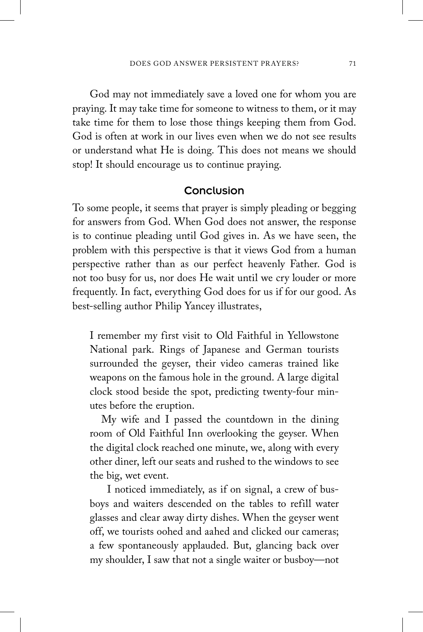God may not immediately save a loved one for whom you are praying. It may take time for someone to witness to them, or it may take time for them to lose those things keeping them from God. God is often at work in our lives even when we do not see results or understand what He is doing. This does not means we should stop! It should encourage us to continue praying.

### **Conclusion**

To some people, it seems that prayer is simply pleading or begging for answers from God. When God does not answer, the response is to continue pleading until God gives in. As we have seen, the problem with this perspective is that it views God from a human perspective rather than as our perfect heavenly Father. God is not too busy for us, nor does He wait until we cry louder or more frequently. In fact, everything God does for us if for our good. As best-selling author Philip Yancey illustrates,

I remember my first visit to Old Faithful in Yellowstone National park. Rings of Japanese and German tourists surrounded the geyser, their video cameras trained like weapons on the famous hole in the ground. A large digital clock stood beside the spot, predicting twenty-four minutes before the eruption.

My wife and I passed the countdown in the dining room of Old Faithful Inn overlooking the geyser. When the digital clock reached one minute, we, along with every other diner, left our seats and rushed to the windows to see the big, wet event.

I noticed immediately, as if on signal, a crew of busboys and waiters descended on the tables to refill water glasses and clear away dirty dishes. When the geyser went off, we tourists oohed and aahed and clicked our cameras; a few spontaneously applauded. But, glancing back over my shoulder, I saw that not a single waiter or busboy—not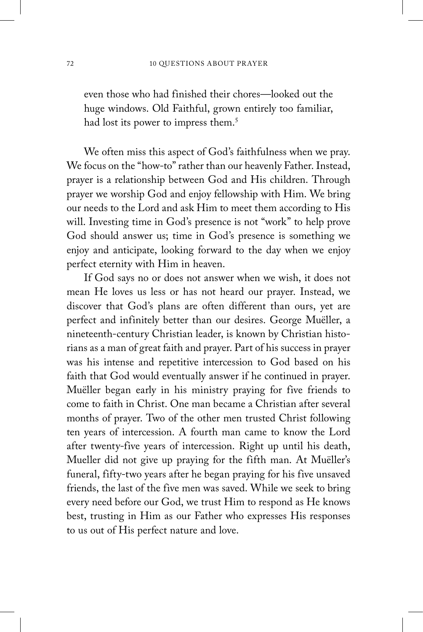even those who had finished their chores—looked out the huge windows. Old Faithful, grown entirely too familiar, had lost its power to impress them.<sup>5</sup>

We often miss this aspect of God's faithfulness when we pray. We focus on the "how-to" rather than our heavenly Father. Instead, prayer is a relationship between God and His children. Through prayer we worship God and enjoy fellowship with Him. We bring our needs to the Lord and ask Him to meet them according to His will. Investing time in God's presence is not "work" to help prove God should answer us; time in God's presence is something we enjoy and anticipate, looking forward to the day when we enjoy perfect eternity with Him in heaven.

If God says no or does not answer when we wish, it does not mean He loves us less or has not heard our prayer. Instead, we discover that God's plans are often different than ours, yet are perfect and infinitely better than our desires. George Muëller, a nineteenth-century Christian leader, is known by Christian historians as a man of great faith and prayer. Part of his success in prayer was his intense and repetitive intercession to God based on his faith that God would eventually answer if he continued in prayer. Muëller began early in his ministry praying for five friends to come to faith in Christ. One man became a Christian after several months of prayer. Two of the other men trusted Christ following ten years of intercession. A fourth man came to know the Lord after twenty-five years of intercession. Right up until his death, Mueller did not give up praying for the fifth man. At Muëller's funeral, fifty-two years after he began praying for his five unsaved friends, the last of the five men was saved. While we seek to bring every need before our God, we trust Him to respond as He knows best, trusting in Him as our Father who expresses His responses to us out of His perfect nature and love.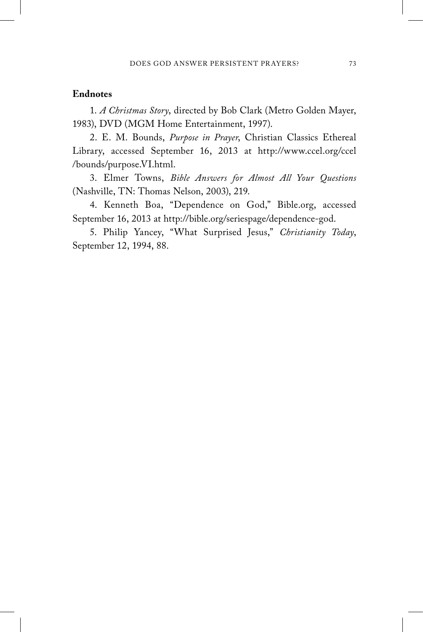#### **Endnotes**

1. *A Christmas Story*, directed by Bob Clark (Metro Golden Mayer, 1983), DVD (MGM Home Entertainment, 1997).

2. E. M. Bounds, *Purpose in Prayer*, Christian Classics Ethereal Library, accessed September 16, 2013 at http://www.ccel.org/ccel /bounds/purpose.VI.html.

3. Elmer Towns, *Bible Answers for Almost All Your Questions* (Nashville, TN: Thomas Nelson, 2003), 219.

4. Kenneth Boa, "Dependence on God," Bible.org, accessed September 16, 2013 at http://bible.org/seriespage/dependence-god.

5. Philip Yancey, "What Surprised Jesus," *Christianity Today*, September 12, 1994, 88.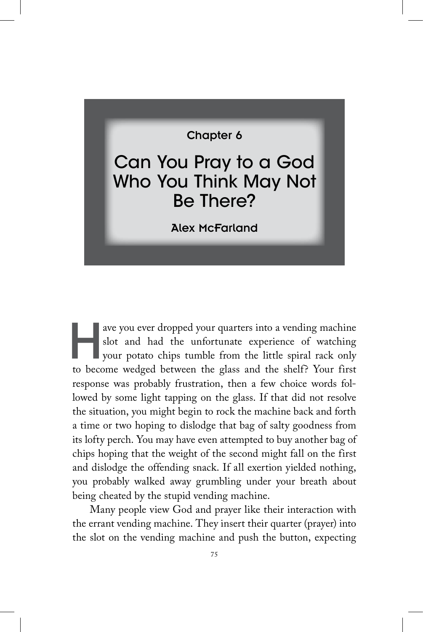

ave you ever dropped your quarters into a vending machine<br>slot and had the unfortunate experience of watching<br>your potato chips tumble from the little spiral rack only<br>to because under hattunes the class and the shelf. You slot and had the unfortunate experience of watching your potato chips tumble from the little spiral rack only to become wedged between the glass and the shelf? Your first response was probably frustration, then a few choice words followed by some light tapping on the glass. If that did not resolve the situation, you might begin to rock the machine back and forth a time or two hoping to dislodge that bag of salty goodness from its lofty perch. You may have even attempted to buy another bag of chips hoping that the weight of the second might fall on the first and dislodge the offending snack. If all exertion yielded nothing, you probably walked away grumbling under your breath about being cheated by the stupid vending machine.

Many people view God and prayer like their interaction with the errant vending machine. They insert their quarter (prayer) into the slot on the vending machine and push the button, expecting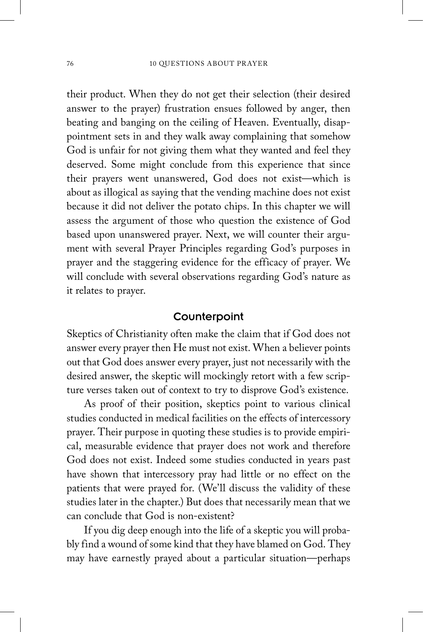their product. When they do not get their selection (their desired answer to the prayer) frustration ensues followed by anger, then beating and banging on the ceiling of Heaven. Eventually, disappointment sets in and they walk away complaining that somehow God is unfair for not giving them what they wanted and feel they deserved. Some might conclude from this experience that since their prayers went unanswered, God does not exist—which is about as illogical as saying that the vending machine does not exist because it did not deliver the potato chips. In this chapter we will assess the argument of those who question the existence of God based upon unanswered prayer. Next, we will counter their argument with several Prayer Principles regarding God's purposes in prayer and the staggering evidence for the efficacy of prayer. We will conclude with several observations regarding God's nature as it relates to prayer.

### Counterpoint

Skeptics of Christianity often make the claim that if God does not answer every prayer then He must not exist. When a believer points out that God does answer every prayer, just not necessarily with the desired answer, the skeptic will mockingly retort with a few scripture verses taken out of context to try to disprove God's existence.

As proof of their position, skeptics point to various clinical studies conducted in medical facilities on the effects of intercessory prayer. Their purpose in quoting these studies is to provide empirical, measurable evidence that prayer does not work and therefore God does not exist. Indeed some studies conducted in years past have shown that intercessory pray had little or no effect on the patients that were prayed for. (We'll discuss the validity of these studies later in the chapter.) But does that necessarily mean that we can conclude that God is non-existent?

If you dig deep enough into the life of a skeptic you will probably find a wound of some kind that they have blamed on God. They may have earnestly prayed about a particular situation—perhaps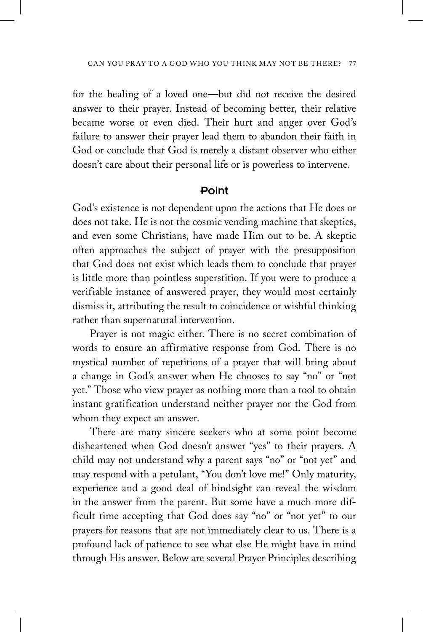for the healing of a loved one—but did not receive the desired answer to their prayer. Instead of becoming better, their relative became worse or even died. Their hurt and anger over God's failure to answer their prayer lead them to abandon their faith in God or conclude that God is merely a distant observer who either doesn't care about their personal life or is powerless to intervene.

### Point

God's existence is not dependent upon the actions that He does or does not take. He is not the cosmic vending machine that skeptics, and even some Christians, have made Him out to be. A skeptic often approaches the subject of prayer with the presupposition that God does not exist which leads them to conclude that prayer is little more than pointless superstition. If you were to produce a verifiable instance of answered prayer, they would most certainly dismiss it, attributing the result to coincidence or wishful thinking rather than supernatural intervention.

Prayer is not magic either. There is no secret combination of words to ensure an affirmative response from God. There is no mystical number of repetitions of a prayer that will bring about a change in God's answer when He chooses to say "no" or "not yet." Those who view prayer as nothing more than a tool to obtain instant gratification understand neither prayer nor the God from whom they expect an answer.

There are many sincere seekers who at some point become disheartened when God doesn't answer "yes" to their prayers. A child may not understand why a parent says "no" or "not yet" and may respond with a petulant, "You don't love me!" Only maturity, experience and a good deal of hindsight can reveal the wisdom in the answer from the parent. But some have a much more difficult time accepting that God does say "no" or "not yet" to our prayers for reasons that are not immediately clear to us. There is a profound lack of patience to see what else He might have in mind through His answer. Below are several Prayer Principles describing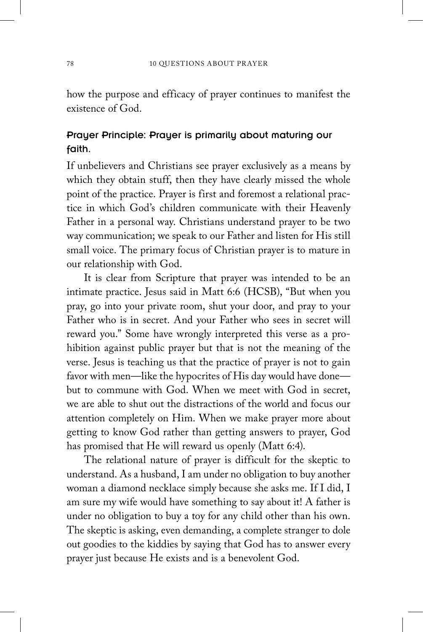how the purpose and efficacy of prayer continues to manifest the existence of God.

## Prayer Principle: Prayer is primarily about maturing our faith.

If unbelievers and Christians see prayer exclusively as a means by which they obtain stuff, then they have clearly missed the whole point of the practice. Prayer is first and foremost a relational practice in which God's children communicate with their Heavenly Father in a personal way. Christians understand prayer to be two way communication; we speak to our Father and listen for His still small voice. The primary focus of Christian prayer is to mature in our relationship with God.

It is clear from Scripture that prayer was intended to be an intimate practice. Jesus said in Matt 6:6 (HCSB), "But when you pray, go into your private room, shut your door, and pray to your Father who is in secret. And your Father who sees in secret will reward you." Some have wrongly interpreted this verse as a prohibition against public prayer but that is not the meaning of the verse. Jesus is teaching us that the practice of prayer is not to gain favor with men—like the hypocrites of His day would have done but to commune with God. When we meet with God in secret, we are able to shut out the distractions of the world and focus our attention completely on Him. When we make prayer more about getting to know God rather than getting answers to prayer, God has promised that He will reward us openly (Matt 6:4).

The relational nature of prayer is difficult for the skeptic to understand. As a husband, I am under no obligation to buy another woman a diamond necklace simply because she asks me. If I did, I am sure my wife would have something to say about it! A father is under no obligation to buy a toy for any child other than his own. The skeptic is asking, even demanding, a complete stranger to dole out goodies to the kiddies by saying that God has to answer every prayer just because He exists and is a benevolent God.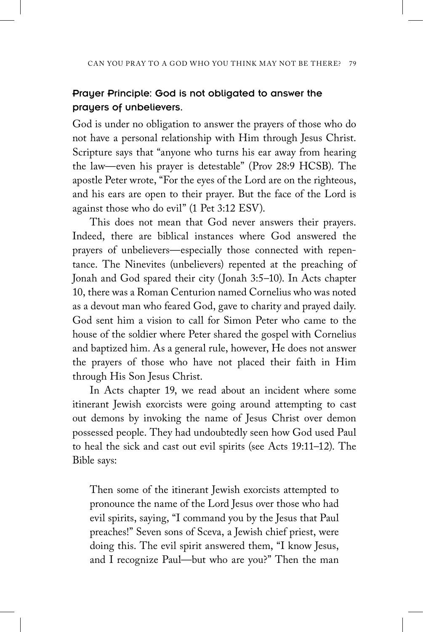# Prayer Principle: God is not obligated to answer the prayers of unbelievers.

God is under no obligation to answer the prayers of those who do not have a personal relationship with Him through Jesus Christ. Scripture says that "anyone who turns his ear away from hearing the law—even his prayer is detestable" (Prov 28:9 HCSB). The apostle Peter wrote, "For the eyes of the Lord are on the righteous, and his ears are open to their prayer. But the face of the Lord is against those who do evil" (1 Pet 3:12 ESV).

This does not mean that God never answers their prayers. Indeed, there are biblical instances where God answered the prayers of unbelievers—especially those connected with repentance. The Ninevites (unbelievers) repented at the preaching of Jonah and God spared their city (Jonah 3:5–10). In Acts chapter 10, there was a Roman Centurion named Cornelius who was noted as a devout man who feared God, gave to charity and prayed daily. God sent him a vision to call for Simon Peter who came to the house of the soldier where Peter shared the gospel with Cornelius and baptized him. As a general rule, however, He does not answer the prayers of those who have not placed their faith in Him through His Son Jesus Christ.

In Acts chapter 19, we read about an incident where some itinerant Jewish exorcists were going around attempting to cast out demons by invoking the name of Jesus Christ over demon possessed people. They had undoubtedly seen how God used Paul to heal the sick and cast out evil spirits (see Acts 19:11–12). The Bible says:

Then some of the itinerant Jewish exorcists attempted to pronounce the name of the Lord Jesus over those who had evil spirits, saying, "I command you by the Jesus that Paul preaches!" Seven sons of Sceva, a Jewish chief priest, were doing this. The evil spirit answered them, "I know Jesus, and I recognize Paul—but who are you?" Then the man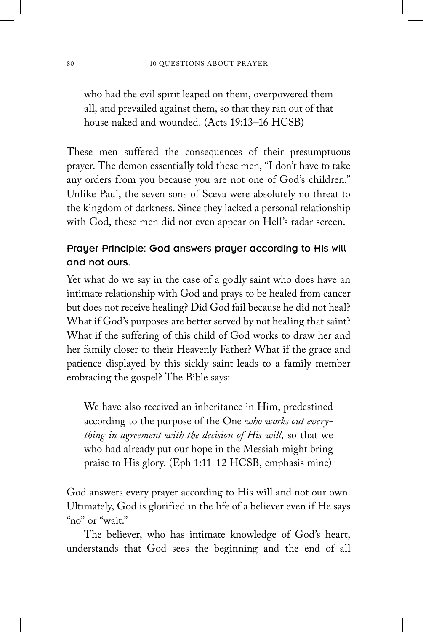who had the evil spirit leaped on them, overpowered them all, and prevailed against them, so that they ran out of that house naked and wounded. (Acts 19:13–16 HCSB)

These men suffered the consequences of their presumptuous prayer. The demon essentially told these men, "I don't have to take any orders from you because you are not one of God's children." Unlike Paul, the seven sons of Sceva were absolutely no threat to the kingdom of darkness. Since they lacked a personal relationship with God, these men did not even appear on Hell's radar screen.

# Prayer Principle: God answers prayer according to His will and not ours.

Yet what do we say in the case of a godly saint who does have an intimate relationship with God and prays to be healed from cancer but does not receive healing? Did God fail because he did not heal? What if God's purposes are better served by not healing that saint? What if the suffering of this child of God works to draw her and her family closer to their Heavenly Father? What if the grace and patience displayed by this sickly saint leads to a family member embracing the gospel? The Bible says:

We have also received an inheritance in Him, predestined according to the purpose of the One *who works out everything in agreement with the decision of His will*, so that we who had already put our hope in the Messiah might bring praise to His glory. (Eph 1:11–12 HCSB, emphasis mine)

God answers every prayer according to His will and not our own. Ultimately, God is glorified in the life of a believer even if He says "no" or "wait."

The believer, who has intimate knowledge of God's heart, understands that God sees the beginning and the end of all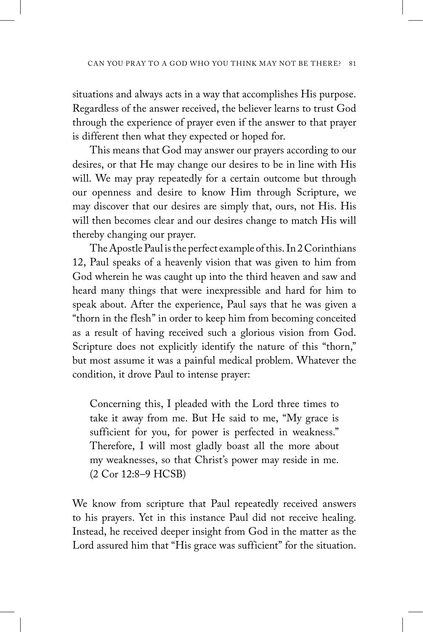situations and always acts in a way that accomplishes His purpose. Regardless of the answer received, the believer learns to trust God through the experience of prayer even if the answer to that prayer is different then what they expected or hoped for.

This means that God may answer our prayers according to our desires, or that He may change our desires to be in line with His will. We may pray repeatedly for a certain outcome but through our openness and desire to know Him through Scripture, we may discover that our desires are simply that, ours, not His. His will then becomes clear and our desires change to match His will thereby changing our prayer.

The Apostle Paul is the perfect example of this. In 2 Corinthians 12, Paul speaks of a heavenly vision that was given to him from God wherein he was caught up into the third heaven and saw and heard many things that were inexpressible and hard for him to speak about. After the experience, Paul says that he was given a "thorn in the flesh" in order to keep him from becoming conceited as a result of having received such a glorious vision from God. Scripture does not explicitly identify the nature of this "thorn," but most assume it was a painful medical problem. Whatever the condition, it drove Paul to intense prayer:

Concerning this, I pleaded with the Lord three times to take it away from me. But He said to me, "My grace is sufficient for you, for power is perfected in weakness." Therefore, I will most gladly boast all the more about my weaknesses, so that Christ's power may reside in me. (2 Cor 12:8–9 HCSB)

We know from scripture that Paul repeatedly received answers to his prayers. Yet in this instance Paul did not receive healing. Instead, he received deeper insight from God in the matter as the Lord assured him that "His grace was sufficient" for the situation.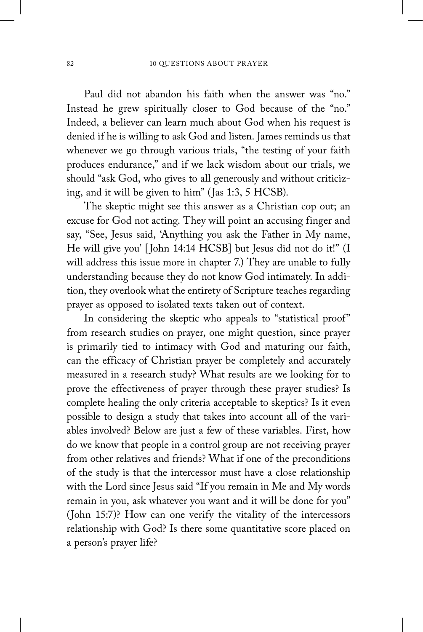Paul did not abandon his faith when the answer was "no." Instead he grew spiritually closer to God because of the "no." Indeed, a believer can learn much about God when his request is denied if he is willing to ask God and listen. James reminds us that whenever we go through various trials, "the testing of your faith produces endurance," and if we lack wisdom about our trials, we should "ask God, who gives to all generously and without criticizing, and it will be given to him" (Jas 1:3, 5 HCSB).

The skeptic might see this answer as a Christian cop out; an excuse for God not acting. They will point an accusing finger and say, "See, Jesus said, 'Anything you ask the Father in My name, He will give you' [John 14:14 HCSB] but Jesus did not do it!" (I will address this issue more in chapter 7.) They are unable to fully understanding because they do not know God intimately. In addition, they overlook what the entirety of Scripture teaches regarding prayer as opposed to isolated texts taken out of context.

In considering the skeptic who appeals to "statistical proof" from research studies on prayer, one might question, since prayer is primarily tied to intimacy with God and maturing our faith, can the efficacy of Christian prayer be completely and accurately measured in a research study? What results are we looking for to prove the effectiveness of prayer through these prayer studies? Is complete healing the only criteria acceptable to skeptics? Is it even possible to design a study that takes into account all of the variables involved? Below are just a few of these variables. First, how do we know that people in a control group are not receiving prayer from other relatives and friends? What if one of the preconditions of the study is that the intercessor must have a close relationship with the Lord since Jesus said "If you remain in Me and My words remain in you, ask whatever you want and it will be done for you" (John 15:7)? How can one verify the vitality of the intercessors relationship with God? Is there some quantitative score placed on a person's prayer life?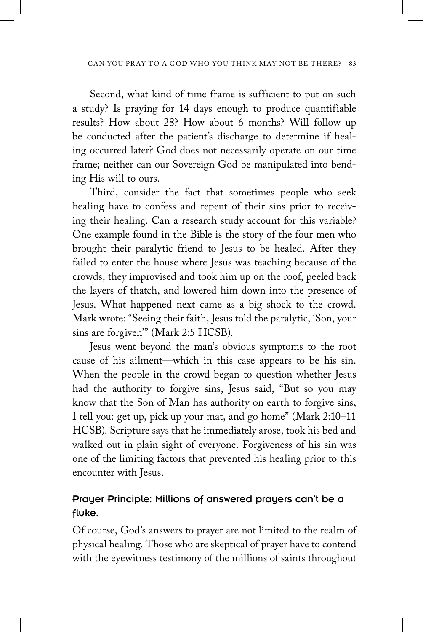Second, what kind of time frame is sufficient to put on such a study? Is praying for 14 days enough to produce quantifiable results? How about 28? How about 6 months? Will follow up be conducted after the patient's discharge to determine if healing occurred later? God does not necessarily operate on our time frame; neither can our Sovereign God be manipulated into bending His will to ours.

Third, consider the fact that sometimes people who seek healing have to confess and repent of their sins prior to receiving their healing. Can a research study account for this variable? One example found in the Bible is the story of the four men who brought their paralytic friend to Jesus to be healed. After they failed to enter the house where Jesus was teaching because of the crowds, they improvised and took him up on the roof, peeled back the layers of thatch, and lowered him down into the presence of Jesus. What happened next came as a big shock to the crowd. Mark wrote: "Seeing their faith, Jesus told the paralytic, 'Son, your sins are forgiven'" (Mark 2:5 HCSB).

Jesus went beyond the man's obvious symptoms to the root cause of his ailment—which in this case appears to be his sin. When the people in the crowd began to question whether Jesus had the authority to forgive sins, Jesus said, "But so you may know that the Son of Man has authority on earth to forgive sins, I tell you: get up, pick up your mat, and go home" (Mark 2:10–11 HCSB). Scripture says that he immediately arose, took his bed and walked out in plain sight of everyone. Forgiveness of his sin was one of the limiting factors that prevented his healing prior to this encounter with Jesus.

## Prayer Principle: Millions of answered prayers can't be a fluke.

Of course, God's answers to prayer are not limited to the realm of physical healing. Those who are skeptical of prayer have to contend with the eyewitness testimony of the millions of saints throughout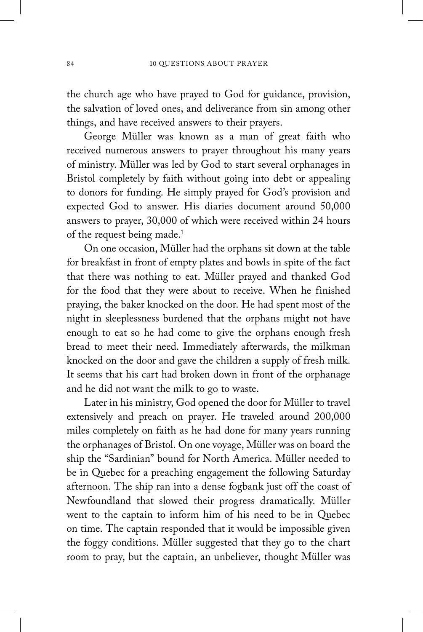the church age who have prayed to God for guidance, provision, the salvation of loved ones, and deliverance from sin among other things, and have received answers to their prayers.

George Müller was known as a man of great faith who received numerous answers to prayer throughout his many years of ministry. Müller was led by God to start several orphanages in Bristol completely by faith without going into debt or appealing to donors for funding. He simply prayed for God's provision and expected God to answer. His diaries document around 50,000 answers to prayer, 30,000 of which were received within 24 hours of the request being made.1

On one occasion, Müller had the orphans sit down at the table for breakfast in front of empty plates and bowls in spite of the fact that there was nothing to eat. Müller prayed and thanked God for the food that they were about to receive. When he finished praying, the baker knocked on the door. He had spent most of the night in sleeplessness burdened that the orphans might not have enough to eat so he had come to give the orphans enough fresh bread to meet their need. Immediately afterwards, the milkman knocked on the door and gave the children a supply of fresh milk. It seems that his cart had broken down in front of the orphanage and he did not want the milk to go to waste.

Later in his ministry, God opened the door for Müller to travel extensively and preach on prayer. He traveled around 200,000 miles completely on faith as he had done for many years running the orphanages of Bristol. On one voyage, Müller was on board the ship the "Sardinian" bound for North America. Müller needed to be in Quebec for a preaching engagement the following Saturday afternoon. The ship ran into a dense fogbank just off the coast of Newfoundland that slowed their progress dramatically. Müller went to the captain to inform him of his need to be in Quebec on time. The captain responded that it would be impossible given the foggy conditions. Müller suggested that they go to the chart room to pray, but the captain, an unbeliever, thought Müller was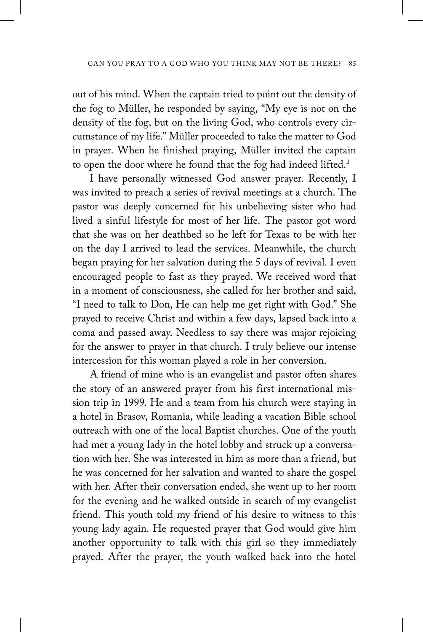out of his mind. When the captain tried to point out the density of the fog to Müller, he responded by saying, "My eye is not on the density of the fog, but on the living God, who controls every circumstance of my life." Müller proceeded to take the matter to God in prayer. When he finished praying, Müller invited the captain to open the door where he found that the fog had indeed lifted.<sup>2</sup>

I have personally witnessed God answer prayer. Recently, I was invited to preach a series of revival meetings at a church. The pastor was deeply concerned for his unbelieving sister who had lived a sinful lifestyle for most of her life. The pastor got word that she was on her deathbed so he left for Texas to be with her on the day I arrived to lead the services. Meanwhile, the church began praying for her salvation during the 5 days of revival. I even encouraged people to fast as they prayed. We received word that in a moment of consciousness, she called for her brother and said, "I need to talk to Don, He can help me get right with God." She prayed to receive Christ and within a few days, lapsed back into a coma and passed away. Needless to say there was major rejoicing for the answer to prayer in that church. I truly believe our intense intercession for this woman played a role in her conversion.

A friend of mine who is an evangelist and pastor often shares the story of an answered prayer from his first international mission trip in 1999. He and a team from his church were staying in a hotel in Brasov, Romania, while leading a vacation Bible school outreach with one of the local Baptist churches. One of the youth had met a young lady in the hotel lobby and struck up a conversation with her. She was interested in him as more than a friend, but he was concerned for her salvation and wanted to share the gospel with her. After their conversation ended, she went up to her room for the evening and he walked outside in search of my evangelist friend. This youth told my friend of his desire to witness to this young lady again. He requested prayer that God would give him another opportunity to talk with this girl so they immediately prayed. After the prayer, the youth walked back into the hotel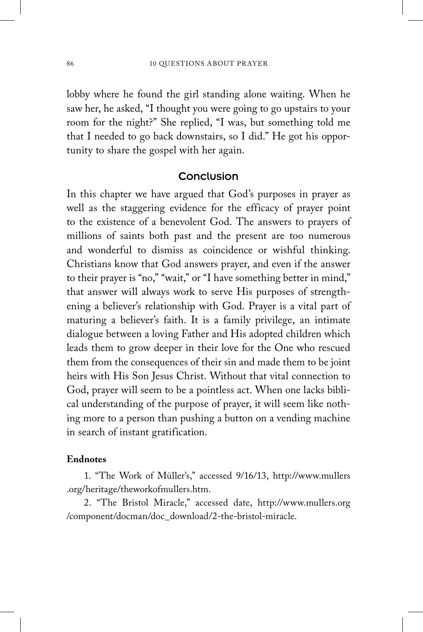lobby where he found the girl standing alone waiting. When he saw her, he asked, "I thought you were going to go upstairs to your room for the night?" She replied, "I was, but something told me that I needed to go back downstairs, so I did." He got his opportunity to share the gospel with her again.

### Conclusion

In this chapter we have argued that God's purposes in prayer as well as the staggering evidence for the efficacy of prayer point to the existence of a benevolent God. The answers to prayers of millions of saints both past and the present are too numerous and wonderful to dismiss as coincidence or wishful thinking. Christians know that God answers prayer, and even if the answer to their prayer is "no," "wait," or "I have something better in mind," that answer will always work to serve His purposes of strengthening a believer's relationship with God. Prayer is a vital part of maturing a believer's faith. It is a family privilege, an intimate dialogue between a loving Father and His adopted children which leads them to grow deeper in their love for the One who rescued them from the consequences of their sin and made them to be joint heirs with His Son Jesus Christ. Without that vital connection to God, prayer will seem to be a pointless act. When one lacks biblical understanding of the purpose of prayer, it will seem like nothing more to a person than pushing a button on a vending machine in search of instant gratification.

### **Endnotes**

1. "The Work of Müller's," accessed 9/16/13, http://www.mullers .org/heritage/theworkofmullers.htm.

2. "The Bristol Miracle," accessed date, http://www.mullers.org /component/docman/doc\_download/2-the-bristol-miracle.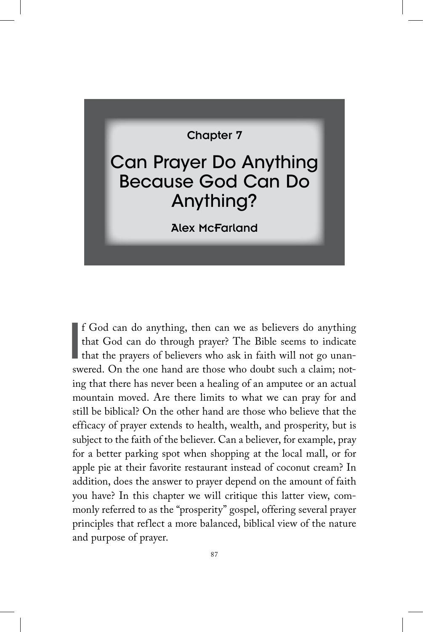

I f God can do anything, then can we as believers do anything that God can do through prayer? The Bible seems to indicate that the prayers of believers who ask in faith will not go unanswered. On the one hand are those who doubt such a claim; noting that there has never been a healing of an amputee or an actual mountain moved. Are there limits to what we can pray for and still be biblical? On the other hand are those who believe that the efficacy of prayer extends to health, wealth, and prosperity, but is subject to the faith of the believer. Can a believer, for example, pray for a better parking spot when shopping at the local mall, or for apple pie at their favorite restaurant instead of coconut cream? In addition, does the answer to prayer depend on the amount of faith you have? In this chapter we will critique this latter view, commonly referred to as the "prosperity" gospel, offering several prayer principles that reflect a more balanced, biblical view of the nature and purpose of prayer.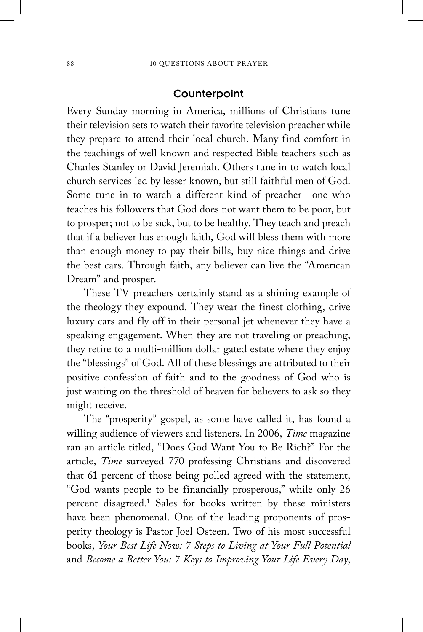### Counterpoint

Every Sunday morning in America, millions of Christians tune their television sets to watch their favorite television preacher while they prepare to attend their local church. Many find comfort in the teachings of well known and respected Bible teachers such as Charles Stanley or David Jeremiah. Others tune in to watch local church services led by lesser known, but still faithful men of God. Some tune in to watch a different kind of preacher—one who teaches his followers that God does not want them to be poor, but to prosper; not to be sick, but to be healthy. They teach and preach that if a believer has enough faith, God will bless them with more than enough money to pay their bills, buy nice things and drive the best cars. Through faith, any believer can live the "American Dream" and prosper.

These TV preachers certainly stand as a shining example of the theology they expound. They wear the finest clothing, drive luxury cars and fly off in their personal jet whenever they have a speaking engagement. When they are not traveling or preaching, they retire to a multi-million dollar gated estate where they enjoy the "blessings" of God. All of these blessings are attributed to their positive confession of faith and to the goodness of God who is just waiting on the threshold of heaven for believers to ask so they might receive.

The "prosperity" gospel, as some have called it, has found a willing audience of viewers and listeners. In 2006, *Time* magazine ran an article titled, "Does God Want You to Be Rich?" For the article, *Time* surveyed 770 professing Christians and discovered that 61 percent of those being polled agreed with the statement, "God wants people to be financially prosperous," while only 26 percent disagreed.1 Sales for books written by these ministers have been phenomenal. One of the leading proponents of prosperity theology is Pastor Joel Osteen. Two of his most successful books, *Your Best Life Now: 7 Steps to Living at Your Full Potential* and *Become a Better You: 7 Keys to Improving Your Life Every Day*,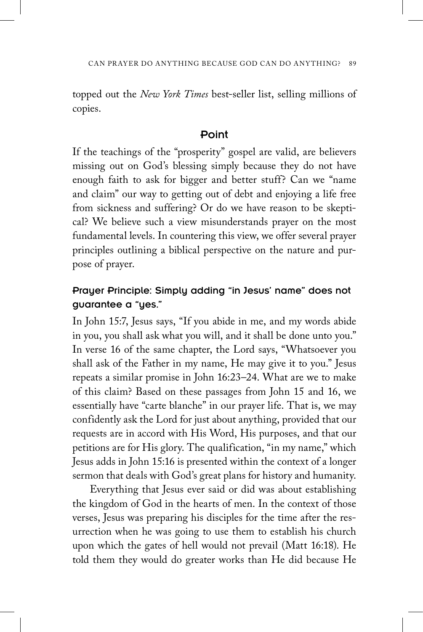topped out the *New York Times* best-seller list, selling millions of copies.

### Point

If the teachings of the "prosperity" gospel are valid, are believers missing out on God's blessing simply because they do not have enough faith to ask for bigger and better stuff? Can we "name and claim" our way to getting out of debt and enjoying a life free from sickness and suffering? Or do we have reason to be skeptical? We believe such a view misunderstands prayer on the most fundamental levels. In countering this view, we offer several prayer principles outlining a biblical perspective on the nature and purpose of prayer.

# Prayer Principle: Simply adding "in Jesus' name" does not guarantee a "yes."

In John 15:7, Jesus says, "If you abide in me, and my words abide in you, you shall ask what you will, and it shall be done unto you." In verse 16 of the same chapter, the Lord says, "Whatsoever you shall ask of the Father in my name, He may give it to you." Jesus repeats a similar promise in John 16:23–24. What are we to make of this claim? Based on these passages from John 15 and 16, we essentially have "carte blanche" in our prayer life. That is, we may confidently ask the Lord for just about anything, provided that our requests are in accord with His Word, His purposes, and that our petitions are for His glory. The qualification, "in my name," which Jesus adds in John 15:16 is presented within the context of a longer sermon that deals with God's great plans for history and humanity.

Everything that Jesus ever said or did was about establishing the kingdom of God in the hearts of men. In the context of those verses, Jesus was preparing his disciples for the time after the resurrection when he was going to use them to establish his church upon which the gates of hell would not prevail (Matt 16:18). He told them they would do greater works than He did because He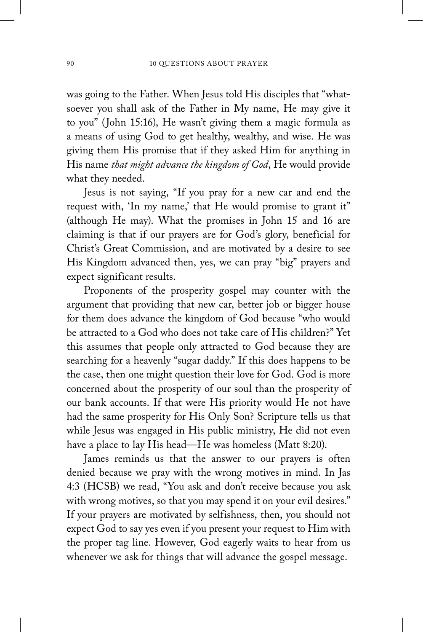was going to the Father. When Jesus told His disciples that "whatsoever you shall ask of the Father in My name, He may give it to you" (John 15:16), He wasn't giving them a magic formula as a means of using God to get healthy, wealthy, and wise. He was giving them His promise that if they asked Him for anything in His name *that might advance the kingdom of God*, He would provide what they needed.

Jesus is not saying, "If you pray for a new car and end the request with, 'In my name,' that He would promise to grant it" (although He may). What the promises in John 15 and 16 are claiming is that if our prayers are for God's glory, beneficial for Christ's Great Commission, and are motivated by a desire to see His Kingdom advanced then, yes, we can pray "big" prayers and expect significant results.

Proponents of the prosperity gospel may counter with the argument that providing that new car, better job or bigger house for them does advance the kingdom of God because "who would be attracted to a God who does not take care of His children?" Yet this assumes that people only attracted to God because they are searching for a heavenly "sugar daddy." If this does happens to be the case, then one might question their love for God. God is more concerned about the prosperity of our soul than the prosperity of our bank accounts. If that were His priority would He not have had the same prosperity for His Only Son? Scripture tells us that while Jesus was engaged in His public ministry, He did not even have a place to lay His head—He was homeless (Matt 8:20).

James reminds us that the answer to our prayers is often denied because we pray with the wrong motives in mind. In Jas 4:3 (HCSB) we read, "You ask and don't receive because you ask with wrong motives, so that you may spend it on your evil desires." If your prayers are motivated by selfishness, then, you should not expect God to say yes even if you present your request to Him with the proper tag line. However, God eagerly waits to hear from us whenever we ask for things that will advance the gospel message.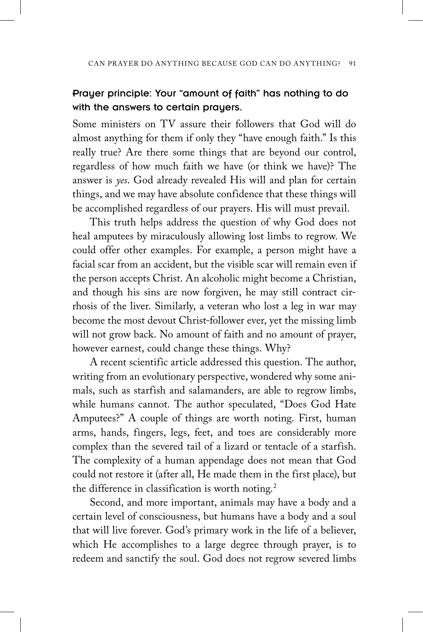## Prayer principle: Your "amount of faith" has nothing to do with the answers to certain prayers.

Some ministers on TV assure their followers that God will do almost anything for them if only they "have enough faith." Is this really true? Are there some things that are beyond our control, regardless of how much faith we have (or think we have)? The answer is *yes*. God already revealed His will and plan for certain things, and we may have absolute confidence that these things will be accomplished regardless of our prayers. His will must prevail.

This truth helps address the question of why God does not heal amputees by miraculously allowing lost limbs to regrow. We could offer other examples. For example, a person might have a facial scar from an accident, but the visible scar will remain even if the person accepts Christ. An alcoholic might become a Christian, and though his sins are now forgiven, he may still contract cirrhosis of the liver. Similarly, a veteran who lost a leg in war may become the most devout Christ-follower ever, yet the missing limb will not grow back. No amount of faith and no amount of prayer, however earnest, could change these things. Why?

A recent scientific article addressed this question. The author, writing from an evolutionary perspective, wondered why some animals, such as starfish and salamanders, are able to regrow limbs, while humans cannot. The author speculated, "Does God Hate Amputees?" A couple of things are worth noting. First, human arms, hands, fingers, legs, feet, and toes are considerably more complex than the severed tail of a lizard or tentacle of a starfish. The complexity of a human appendage does not mean that God could not restore it (after all, He made them in the first place), but the difference in classification is worth noting.<sup>2</sup>

Second, and more important, animals may have a body and a certain level of consciousness, but humans have a body and a soul that will live forever. God's primary work in the life of a believer, which He accomplishes to a large degree through prayer, is to redeem and sanctify the soul. God does not regrow severed limbs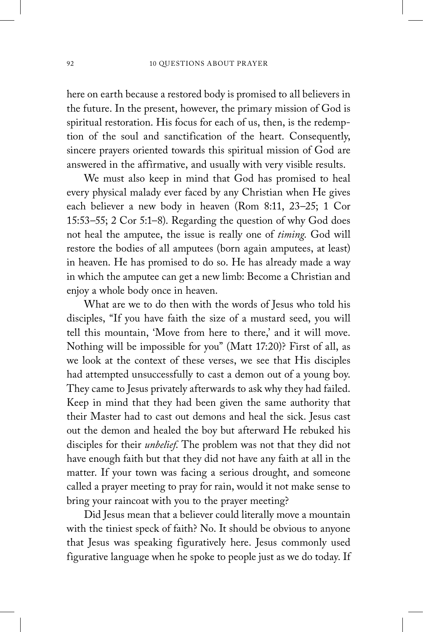here on earth because a restored body is promised to all believers in the future. In the present, however, the primary mission of God is spiritual restoration. His focus for each of us, then, is the redemption of the soul and sanctification of the heart. Consequently, sincere prayers oriented towards this spiritual mission of God are answered in the affirmative, and usually with very visible results.

We must also keep in mind that God has promised to heal every physical malady ever faced by any Christian when He gives each believer a new body in heaven (Rom 8:11, 23–25; 1 Cor 15:53–55; 2 Cor 5:1–8). Regarding the question of why God does not heal the amputee, the issue is really one of *timing*. God will restore the bodies of all amputees (born again amputees, at least) in heaven. He has promised to do so. He has already made a way in which the amputee can get a new limb: Become a Christian and enjoy a whole body once in heaven.

What are we to do then with the words of Jesus who told his disciples, "If you have faith the size of a mustard seed, you will tell this mountain, 'Move from here to there,' and it will move. Nothing will be impossible for you" (Matt 17:20)? First of all, as we look at the context of these verses, we see that His disciples had attempted unsuccessfully to cast a demon out of a young boy. They came to Jesus privately afterwards to ask why they had failed. Keep in mind that they had been given the same authority that their Master had to cast out demons and heal the sick. Jesus cast out the demon and healed the boy but afterward He rebuked his disciples for their *unbelief*. The problem was not that they did not have enough faith but that they did not have any faith at all in the matter. If your town was facing a serious drought, and someone called a prayer meeting to pray for rain, would it not make sense to bring your raincoat with you to the prayer meeting?

Did Jesus mean that a believer could literally move a mountain with the tiniest speck of faith? No. It should be obvious to anyone that Jesus was speaking figuratively here. Jesus commonly used figurative language when he spoke to people just as we do today. If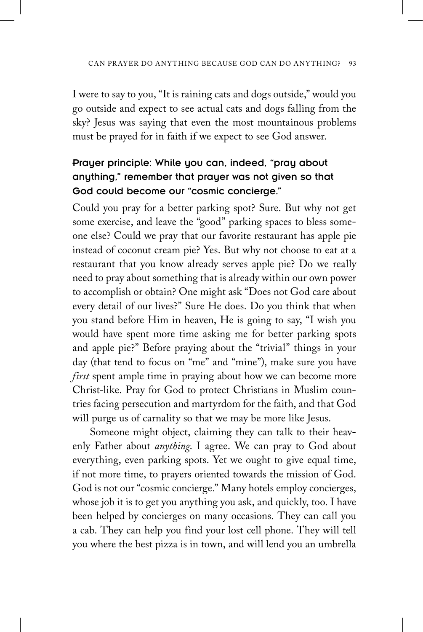I were to say to you, "It is raining cats and dogs outside," would you go outside and expect to see actual cats and dogs falling from the sky? Jesus was saying that even the most mountainous problems must be prayed for in faith if we expect to see God answer.

# Prayer principle: While you can, indeed, "pray about anything," remember that prayer was not given so that God could become our "cosmic concierge."

Could you pray for a better parking spot? Sure. But why not get some exercise, and leave the "good" parking spaces to bless someone else? Could we pray that our favorite restaurant has apple pie instead of coconut cream pie? Yes. But why not choose to eat at a restaurant that you know already serves apple pie? Do we really need to pray about something that is already within our own power to accomplish or obtain? One might ask "Does not God care about every detail of our lives?" Sure He does. Do you think that when you stand before Him in heaven, He is going to say, "I wish you would have spent more time asking me for better parking spots and apple pie?" Before praying about the "trivial" things in your day (that tend to focus on "me" and "mine"), make sure you have *first* spent ample time in praying about how we can become more Christ-like. Pray for God to protect Christians in Muslim countries facing persecution and martyrdom for the faith, and that God will purge us of carnality so that we may be more like Jesus.

Someone might object, claiming they can talk to their heavenly Father about *anything*. I agree. We can pray to God about everything, even parking spots. Yet we ought to give equal time, if not more time, to prayers oriented towards the mission of God. God is not our "cosmic concierge." Many hotels employ concierges, whose job it is to get you anything you ask, and quickly, too. I have been helped by concierges on many occasions. They can call you a cab. They can help you find your lost cell phone. They will tell you where the best pizza is in town, and will lend you an umbrella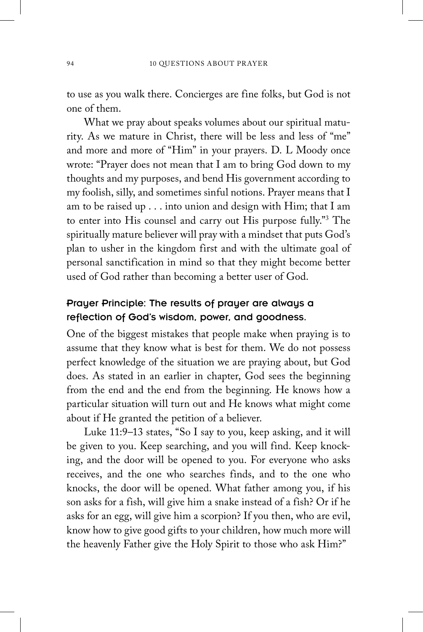to use as you walk there. Concierges are fine folks, but God is not one of them.

What we pray about speaks volumes about our spiritual maturity. As we mature in Christ, there will be less and less of "me" and more and more of "Him" in your prayers. D. L Moody once wrote: "Prayer does not mean that I am to bring God down to my thoughts and my purposes, and bend His government according to my foolish, silly, and sometimes sinful notions. Prayer means that I am to be raised up . . . into union and design with Him; that I am to enter into His counsel and carry out His purpose fully."3 The spiritually mature believer will pray with a mindset that puts God's plan to usher in the kingdom first and with the ultimate goal of personal sanctification in mind so that they might become better used of God rather than becoming a better user of God.

## Prayer Principle: The results of prayer are always a reflection of God's wisdom, power, and goodness.

One of the biggest mistakes that people make when praying is to assume that they know what is best for them. We do not possess perfect knowledge of the situation we are praying about, but God does. As stated in an earlier in chapter, God sees the beginning from the end and the end from the beginning. He knows how a particular situation will turn out and He knows what might come about if He granted the petition of a believer.

Luke 11:9–13 states, "So I say to you, keep asking, and it will be given to you. Keep searching, and you will find. Keep knocking, and the door will be opened to you. For everyone who asks receives, and the one who searches finds, and to the one who knocks, the door will be opened. What father among you, if his son asks for a fish, will give him a snake instead of a fish? Or if he asks for an egg, will give him a scorpion? If you then, who are evil, know how to give good gifts to your children, how much more will the heavenly Father give the Holy Spirit to those who ask Him?"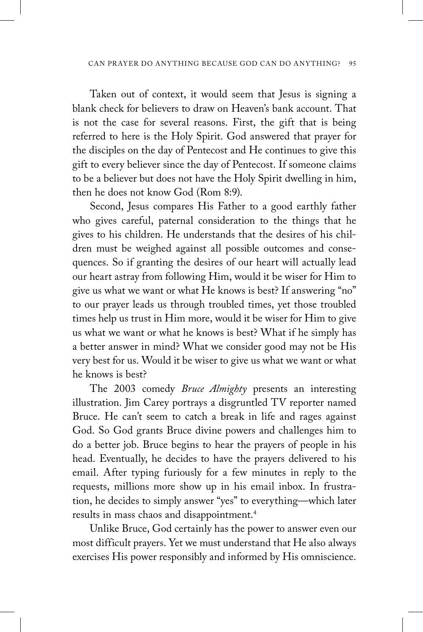Taken out of context, it would seem that Jesus is signing a blank check for believers to draw on Heaven's bank account. That is not the case for several reasons. First, the gift that is being referred to here is the Holy Spirit. God answered that prayer for the disciples on the day of Pentecost and He continues to give this gift to every believer since the day of Pentecost. If someone claims to be a believer but does not have the Holy Spirit dwelling in him, then he does not know God (Rom 8:9).

Second, Jesus compares His Father to a good earthly father who gives careful, paternal consideration to the things that he gives to his children. He understands that the desires of his children must be weighed against all possible outcomes and consequences. So if granting the desires of our heart will actually lead our heart astray from following Him, would it be wiser for Him to give us what we want or what He knows is best? If answering "no" to our prayer leads us through troubled times, yet those troubled times help us trust in Him more, would it be wiser for Him to give us what we want or what he knows is best? What if he simply has a better answer in mind? What we consider good may not be His very best for us. Would it be wiser to give us what we want or what he knows is best?

The 2003 comedy *Bruce Almighty* presents an interesting illustration. Jim Carey portrays a disgruntled TV reporter named Bruce. He can't seem to catch a break in life and rages against God. So God grants Bruce divine powers and challenges him to do a better job. Bruce begins to hear the prayers of people in his head. Eventually, he decides to have the prayers delivered to his email. After typing furiously for a few minutes in reply to the requests, millions more show up in his email inbox. In frustration, he decides to simply answer "yes" to everything—which later results in mass chaos and disappointment.4

Unlike Bruce, God certainly has the power to answer even our most difficult prayers. Yet we must understand that He also always exercises His power responsibly and informed by His omniscience.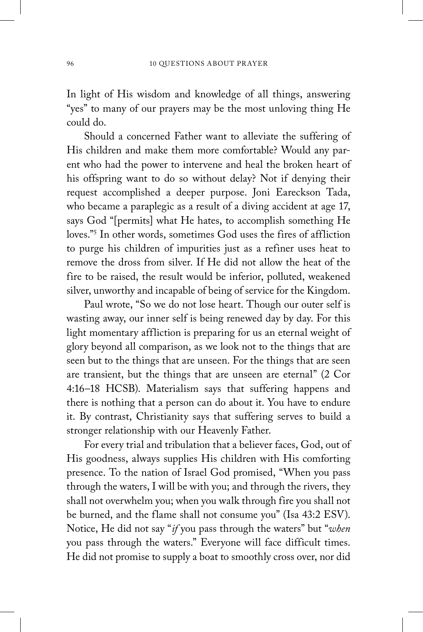In light of His wisdom and knowledge of all things, answering "yes" to many of our prayers may be the most unloving thing He could do.

Should a concerned Father want to alleviate the suffering of His children and make them more comfortable? Would any parent who had the power to intervene and heal the broken heart of his offspring want to do so without delay? Not if denying their request accomplished a deeper purpose. Joni Eareckson Tada, who became a paraplegic as a result of a diving accident at age 17, says God "[permits] what He hates, to accomplish something He loves."5 In other words, sometimes God uses the fires of affliction to purge his children of impurities just as a refiner uses heat to remove the dross from silver. If He did not allow the heat of the fire to be raised, the result would be inferior, polluted, weakened silver, unworthy and incapable of being of service for the Kingdom.

Paul wrote, "So we do not lose heart. Though our outer self is wasting away, our inner self is being renewed day by day. For this light momentary affliction is preparing for us an eternal weight of glory beyond all comparison, as we look not to the things that are seen but to the things that are unseen. For the things that are seen are transient, but the things that are unseen are eternal" (2 Cor 4:16–18 HCSB). Materialism says that suffering happens and there is nothing that a person can do about it. You have to endure it. By contrast, Christianity says that suffering serves to build a stronger relationship with our Heavenly Father.

For every trial and tribulation that a believer faces, God, out of His goodness, always supplies His children with His comforting presence. To the nation of Israel God promised, "When you pass through the waters, I will be with you; and through the rivers, they shall not overwhelm you; when you walk through fire you shall not be burned, and the flame shall not consume you" (Isa 43:2 ESV). Notice, He did not say "*if* you pass through the waters" but "*when* you pass through the waters." Everyone will face difficult times. He did not promise to supply a boat to smoothly cross over, nor did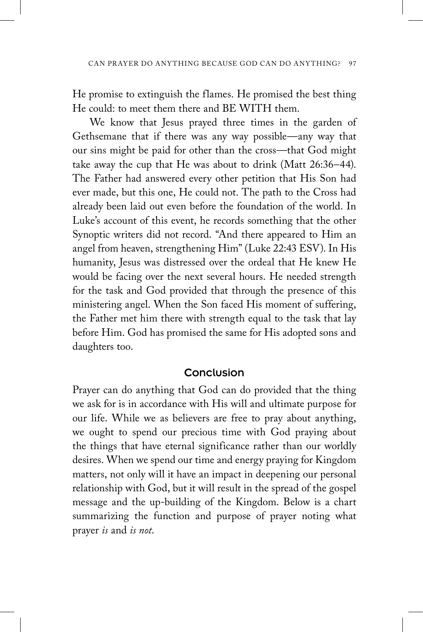He promise to extinguish the flames. He promised the best thing He could: to meet them there and BE WITH them.

We know that Jesus prayed three times in the garden of Gethsemane that if there was any way possible—any way that our sins might be paid for other than the cross—that God might take away the cup that He was about to drink (Matt 26:36–44). The Father had answered every other petition that His Son had ever made, but this one, He could not. The path to the Cross had already been laid out even before the foundation of the world. In Luke's account of this event, he records something that the other Synoptic writers did not record. "And there appeared to Him an angel from heaven, strengthening Him" (Luke 22:43 ESV). In His humanity, Jesus was distressed over the ordeal that He knew He would be facing over the next several hours. He needed strength for the task and God provided that through the presence of this ministering angel. When the Son faced His moment of suffering, the Father met him there with strength equal to the task that lay before Him. God has promised the same for His adopted sons and daughters too.

### Conclusion

Prayer can do anything that God can do provided that the thing we ask for is in accordance with His will and ultimate purpose for our life. While we as believers are free to pray about anything, we ought to spend our precious time with God praying about the things that have eternal significance rather than our worldly desires. When we spend our time and energy praying for Kingdom matters, not only will it have an impact in deepening our personal relationship with God, but it will result in the spread of the gospel message and the up-building of the Kingdom. Below is a chart summarizing the function and purpose of prayer noting what prayer *is* and *is not*.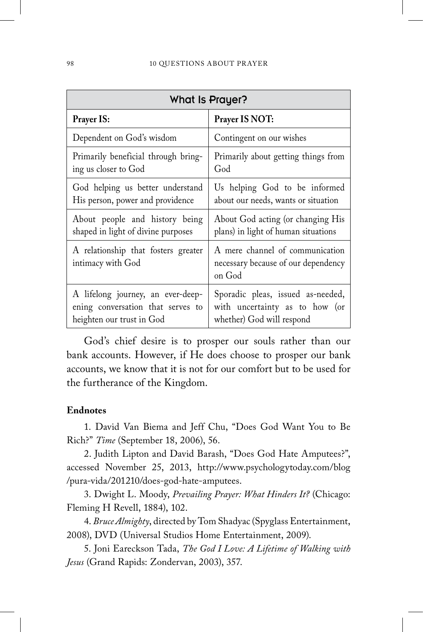| What Is Prayer?                                          |                                                                                  |
|----------------------------------------------------------|----------------------------------------------------------------------------------|
| Prayer IS:                                               | Prayer IS NOT:                                                                   |
| Dependent on God's wisdom                                | Contingent on our wishes                                                         |
| Primarily beneficial through bring-                      | Primarily about getting things from                                              |
| ing us closer to God                                     | God                                                                              |
| God helping us better understand                         | Us helping God to be informed                                                    |
| His person, power and providence                         | about our needs, wants or situation                                              |
| About people and history being                           | About God acting (or changing His                                                |
| shaped in light of divine purposes                       | plans) in light of human situations                                              |
| A relationship that fosters greater<br>intimacy with God | A mere channel of communication<br>necessary because of our dependency<br>on God |
| A lifelong journey, an ever-deep-                        | Sporadic pleas, issued as-needed,                                                |
| ening conversation that serves to                        | with uncertainty as to how (or                                                   |
| heighten our trust in God                                | whether) God will respond                                                        |

God's chief desire is to prosper our souls rather than our bank accounts. However, if He does choose to prosper our bank accounts, we know that it is not for our comfort but to be used for the furtherance of the Kingdom.

#### **Endnotes**

1. David Van Biema and Jeff Chu, "Does God Want You to Be Rich?" *Time* (September 18, 2006), 56.

2. Judith Lipton and David Barash, "Does God Hate Amputees?", accessed November 25, 2013, http://www.psychologytoday.com/blog /pura-vida/201210/does-god-hate-amputees.

3. Dwight L. Moody, *Prevailing Prayer: What Hinders It?* (Chicago: Fleming H Revell, 1884), 102.

4. *Bruce Almighty*, directed by Tom Shadyac (Spyglass Entertainment, 2008), DVD (Universal Studios Home Entertainment, 2009).

5. Joni Eareckson Tada, *The God I Love: A Lifetime of Walking with Jesus* (Grand Rapids: Zondervan, 2003), 357.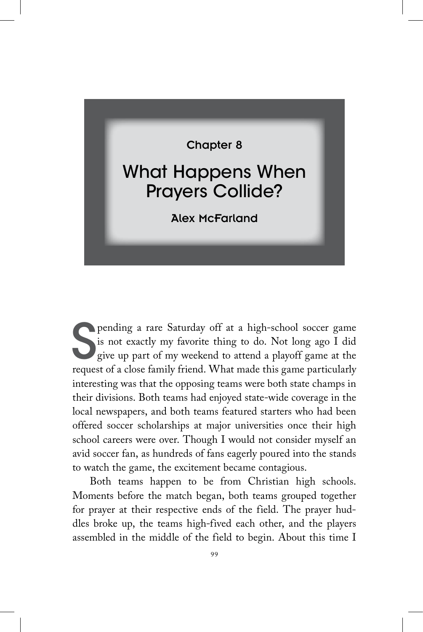

Spending a rare Saturday off at a high-school soccer game<br>is not exactly my favorite thing to do. Not long ago I did<br>give up part of my weekend to attend a playoff game at the<br>means of a class family fixed. What made this is not exactly my favorite thing to do. Not long ago I did give up part of my weekend to attend a playoff game at the request of a close family friend. What made this game particularly interesting was that the opposing teams were both state champs in their divisions. Both teams had enjoyed state-wide coverage in the local newspapers, and both teams featured starters who had been offered soccer scholarships at major universities once their high school careers were over. Though I would not consider myself an avid soccer fan, as hundreds of fans eagerly poured into the stands to watch the game, the excitement became contagious.

Both teams happen to be from Christian high schools. Moments before the match began, both teams grouped together for prayer at their respective ends of the field. The prayer huddles broke up, the teams high-fived each other, and the players assembled in the middle of the field to begin. About this time I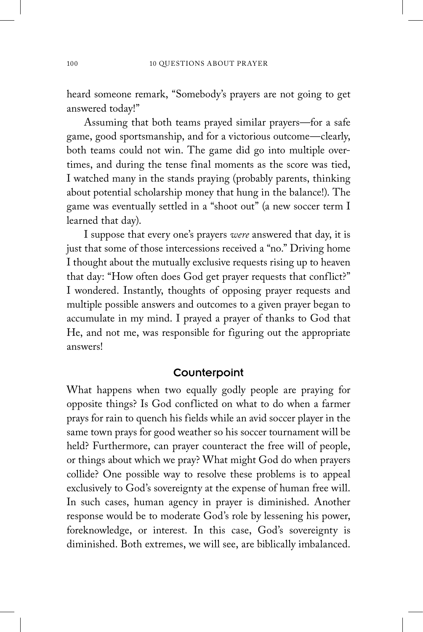heard someone remark, "Somebody's prayers are not going to get answered today!"

Assuming that both teams prayed similar prayers—for a safe game, good sportsmanship, and for a victorious outcome—clearly, both teams could not win. The game did go into multiple overtimes, and during the tense final moments as the score was tied, I watched many in the stands praying (probably parents, thinking about potential scholarship money that hung in the balance!). The game was eventually settled in a "shoot out" (a new soccer term I learned that day).

I suppose that every one's prayers *were* answered that day, it is just that some of those intercessions received a "no." Driving home I thought about the mutually exclusive requests rising up to heaven that day: "How often does God get prayer requests that conflict?" I wondered. Instantly, thoughts of opposing prayer requests and multiple possible answers and outcomes to a given prayer began to accumulate in my mind. I prayed a prayer of thanks to God that He, and not me, was responsible for figuring out the appropriate answers!

### Counterpoint

What happens when two equally godly people are praying for opposite things? Is God conflicted on what to do when a farmer prays for rain to quench his fields while an avid soccer player in the same town prays for good weather so his soccer tournament will be held? Furthermore, can prayer counteract the free will of people, or things about which we pray? What might God do when prayers collide? One possible way to resolve these problems is to appeal exclusively to God's sovereignty at the expense of human free will. In such cases, human agency in prayer is diminished. Another response would be to moderate God's role by lessening his power, foreknowledge, or interest. In this case, God's sovereignty is diminished. Both extremes, we will see, are biblically imbalanced.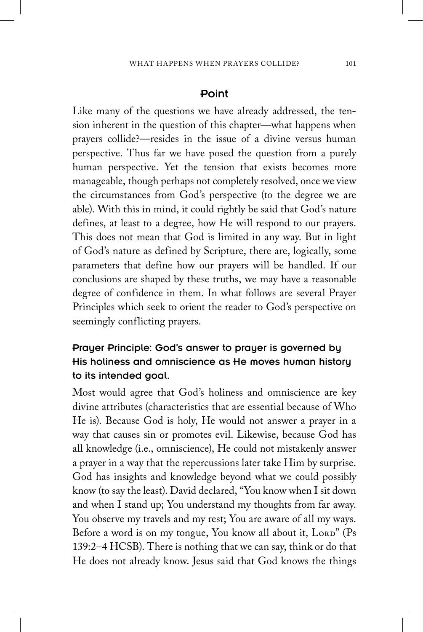#### Point

Like many of the questions we have already addressed, the tension inherent in the question of this chapter—what happens when prayers collide?—resides in the issue of a divine versus human perspective. Thus far we have posed the question from a purely human perspective. Yet the tension that exists becomes more manageable, though perhaps not completely resolved, once we view the circumstances from God's perspective (to the degree we are able). With this in mind, it could rightly be said that God's nature defines, at least to a degree, how He will respond to our prayers. This does not mean that God is limited in any way. But in light of God's nature as defined by Scripture, there are, logically, some parameters that define how our prayers will be handled. If our conclusions are shaped by these truths, we may have a reasonable degree of confidence in them. In what follows are several Prayer Principles which seek to orient the reader to God's perspective on seemingly conflicting prayers.

## Prayer Principle: God's answer to prayer is governed by His holiness and omniscience as He moves human history to its intended goal.

Most would agree that God's holiness and omniscience are key divine attributes (characteristics that are essential because of Who He is). Because God is holy, He would not answer a prayer in a way that causes sin or promotes evil. Likewise, because God has all knowledge (i.e., omniscience), He could not mistakenly answer a prayer in a way that the repercussions later take Him by surprise. God has insights and knowledge beyond what we could possibly know (to say the least). David declared, "You know when I sit down and when I stand up; You understand my thoughts from far away. You observe my travels and my rest; You are aware of all my ways. Before a word is on my tongue, You know all about it,  $\text{LORD}$ " (Ps 139:2–4 HCSB). There is nothing that we can say, think or do that He does not already know. Jesus said that God knows the things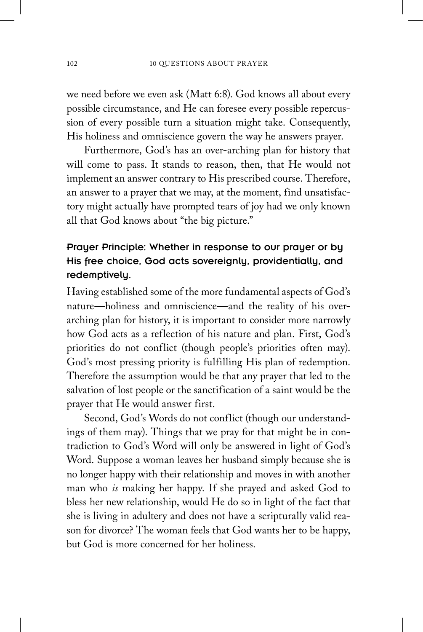we need before we even ask (Matt 6:8). God knows all about every possible circumstance, and He can foresee every possible repercussion of every possible turn a situation might take. Consequently, His holiness and omniscience govern the way he answers prayer.

Furthermore, God's has an over-arching plan for history that will come to pass. It stands to reason, then, that He would not implement an answer contrary to His prescribed course. Therefore, an answer to a prayer that we may, at the moment, find unsatisfactory might actually have prompted tears of joy had we only known all that God knows about "the big picture."

## Prayer Principle: Whether in response to our prayer or by His free choice, God acts sovereignly, providentially, and redemptively.

Having established some of the more fundamental aspects of God's nature—holiness and omniscience—and the reality of his overarching plan for history, it is important to consider more narrowly how God acts as a reflection of his nature and plan. First, God's priorities do not conflict (though people's priorities often may). God's most pressing priority is fulfilling His plan of redemption. Therefore the assumption would be that any prayer that led to the salvation of lost people or the sanctification of a saint would be the prayer that He would answer first.

Second, God's Words do not conflict (though our understandings of them may). Things that we pray for that might be in contradiction to God's Word will only be answered in light of God's Word. Suppose a woman leaves her husband simply because she is no longer happy with their relationship and moves in with another man who *is* making her happy. If she prayed and asked God to bless her new relationship, would He do so in light of the fact that she is living in adultery and does not have a scripturally valid reason for divorce? The woman feels that God wants her to be happy, but God is more concerned for her holiness.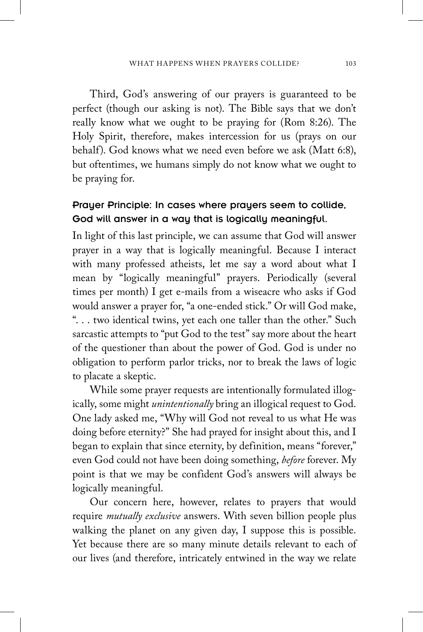Third, God's answering of our prayers is guaranteed to be perfect (though our asking is not). The Bible says that we don't really know what we ought to be praying for (Rom 8:26). The Holy Spirit, therefore, makes intercession for us (prays on our behalf). God knows what we need even before we ask (Matt 6:8), but oftentimes, we humans simply do not know what we ought to be praying for.

### Prayer Principle: In cases where prayers seem to collide, God will answer in a way that is logically meaningful.

In light of this last principle, we can assume that God will answer prayer in a way that is logically meaningful. Because I interact with many professed atheists, let me say a word about what I mean by "logically meaningful" prayers. Periodically (several times per month) I get e-mails from a wiseacre who asks if God would answer a prayer for, "a one-ended stick." Or will God make, ". . . two identical twins, yet each one taller than the other." Such sarcastic attempts to "put God to the test" say more about the heart of the questioner than about the power of God. God is under no obligation to perform parlor tricks, nor to break the laws of logic to placate a skeptic.

While some prayer requests are intentionally formulated illogically, some might *unintentionally* bring an illogical request to God. One lady asked me, "Why will God not reveal to us what He was doing before eternity?" She had prayed for insight about this, and I began to explain that since eternity, by definition, means "forever," even God could not have been doing something, *before* forever. My point is that we may be confident God's answers will always be logically meaningful.

Our concern here, however, relates to prayers that would require *mutually exclusive* answers. With seven billion people plus walking the planet on any given day, I suppose this is possible. Yet because there are so many minute details relevant to each of our lives (and therefore, intricately entwined in the way we relate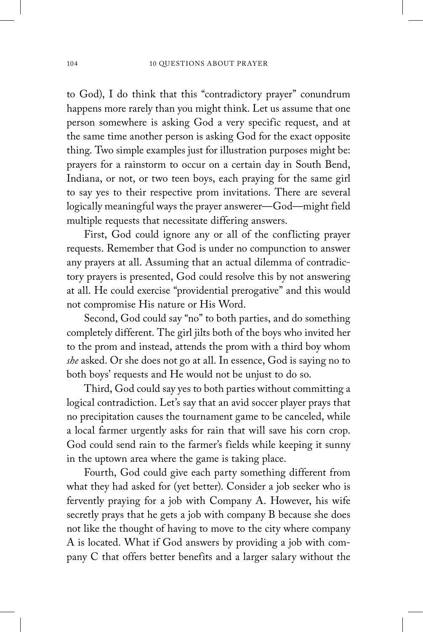to God), I do think that this "contradictory prayer" conundrum happens more rarely than you might think. Let us assume that one person somewhere is asking God a very specific request, and at the same time another person is asking God for the exact opposite thing. Two simple examples just for illustration purposes might be: prayers for a rainstorm to occur on a certain day in South Bend, Indiana, or not, or two teen boys, each praying for the same girl to say yes to their respective prom invitations. There are several logically meaningful ways the prayer answerer—God—might field multiple requests that necessitate differing answers.

First, God could ignore any or all of the conflicting prayer requests. Remember that God is under no compunction to answer any prayers at all. Assuming that an actual dilemma of contradictory prayers is presented, God could resolve this by not answering at all. He could exercise "providential prerogative" and this would not compromise His nature or His Word.

Second, God could say "no" to both parties, and do something completely different. The girl jilts both of the boys who invited her to the prom and instead, attends the prom with a third boy whom *she* asked. Or she does not go at all. In essence, God is saying no to both boys' requests and He would not be unjust to do so.

Third, God could say yes to both parties without committing a logical contradiction. Let's say that an avid soccer player prays that no precipitation causes the tournament game to be canceled, while a local farmer urgently asks for rain that will save his corn crop. God could send rain to the farmer's fields while keeping it sunny in the uptown area where the game is taking place.

Fourth, God could give each party something different from what they had asked for (yet better). Consider a job seeker who is fervently praying for a job with Company A. However, his wife secretly prays that he gets a job with company B because she does not like the thought of having to move to the city where company A is located. What if God answers by providing a job with company C that offers better benefits and a larger salary without the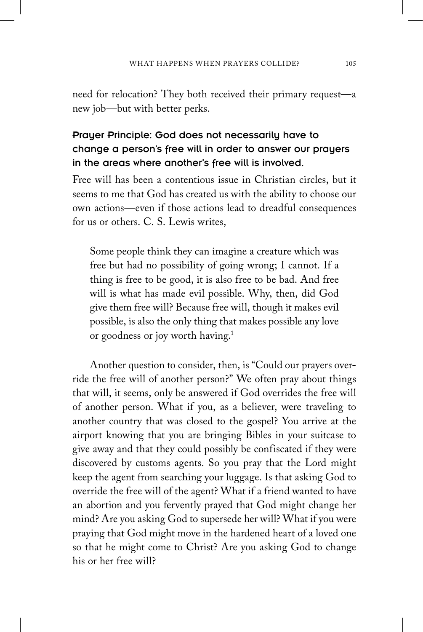need for relocation? They both received their primary request—a new job—but with better perks.

### Prayer Principle: God does not necessarily have to change a person's free will in order to answer our prayers in the areas where another's free will is involved.

Free will has been a contentious issue in Christian circles, but it seems to me that God has created us with the ability to choose our own actions—even if those actions lead to dreadful consequences for us or others. C. S. Lewis writes,

Some people think they can imagine a creature which was free but had no possibility of going wrong; I cannot. If a thing is free to be good, it is also free to be bad. And free will is what has made evil possible. Why, then, did God give them free will? Because free will, though it makes evil possible, is also the only thing that makes possible any love or goodness or joy worth having.1

Another question to consider, then, is "Could our prayers override the free will of another person?" We often pray about things that will, it seems, only be answered if God overrides the free will of another person. What if you, as a believer, were traveling to another country that was closed to the gospel? You arrive at the airport knowing that you are bringing Bibles in your suitcase to give away and that they could possibly be confiscated if they were discovered by customs agents. So you pray that the Lord might keep the agent from searching your luggage. Is that asking God to override the free will of the agent? What if a friend wanted to have an abortion and you fervently prayed that God might change her mind? Are you asking God to supersede her will? What if you were praying that God might move in the hardened heart of a loved one so that he might come to Christ? Are you asking God to change his or her free will?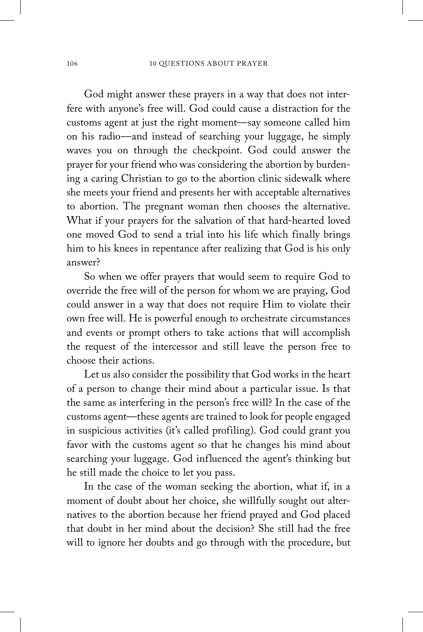God might answer these prayers in a way that does not interfere with anyone's free will. God could cause a distraction for the customs agent at just the right moment—say someone called him on his radio—and instead of searching your luggage, he simply waves you on through the checkpoint. God could answer the prayer for your friend who was considering the abortion by burdening a caring Christian to go to the abortion clinic sidewalk where she meets your friend and presents her with acceptable alternatives to abortion. The pregnant woman then chooses the alternative. What if your prayers for the salvation of that hard-hearted loved one moved God to send a trial into his life which finally brings him to his knees in repentance after realizing that God is his only answer?

So when we offer prayers that would seem to require God to override the free will of the person for whom we are praying, God could answer in a way that does not require Him to violate their own free will. He is powerful enough to orchestrate circumstances and events or prompt others to take actions that will accomplish the request of the intercessor and still leave the person free to choose their actions.

Let us also consider the possibility that God works in the heart of a person to change their mind about a particular issue. Is that the same as interfering in the person's free will? In the case of the customs agent—these agents are trained to look for people engaged in suspicious activities (it's called profiling). God could grant you favor with the customs agent so that he changes his mind about searching your luggage. God influenced the agent's thinking but he still made the choice to let you pass.

In the case of the woman seeking the abortion, what if, in a moment of doubt about her choice, she willfully sought out alternatives to the abortion because her friend prayed and God placed that doubt in her mind about the decision? She still had the free will to ignore her doubts and go through with the procedure, but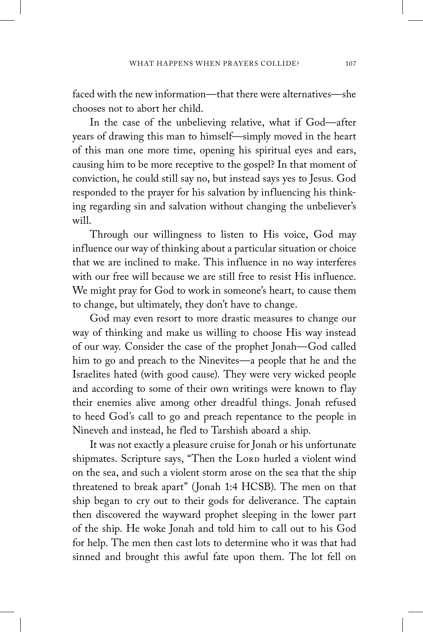faced with the new information—that there were alternatives—she chooses not to abort her child.

In the case of the unbelieving relative, what if God—after years of drawing this man to himself—simply moved in the heart of this man one more time, opening his spiritual eyes and ears, causing him to be more receptive to the gospel? In that moment of conviction, he could still say no, but instead says yes to Jesus. God responded to the prayer for his salvation by influencing his thinking regarding sin and salvation without changing the unbeliever's will.

Through our willingness to listen to His voice, God may influence our way of thinking about a particular situation or choice that we are inclined to make. This influence in no way interferes with our free will because we are still free to resist His influence. We might pray for God to work in someone's heart, to cause them to change, but ultimately, they don't have to change.

God may even resort to more drastic measures to change our way of thinking and make us willing to choose His way instead of our way. Consider the case of the prophet Jonah—God called him to go and preach to the Ninevites—a people that he and the Israelites hated (with good cause). They were very wicked people and according to some of their own writings were known to flay their enemies alive among other dreadful things. Jonah refused to heed God's call to go and preach repentance to the people in Nineveh and instead, he fled to Tarshish aboard a ship.

It was not exactly a pleasure cruise for Jonah or his unfortunate shipmates. Scripture says, "Then the Lorp hurled a violent wind on the sea, and such a violent storm arose on the sea that the ship threatened to break apart" (Jonah 1:4 HCSB). The men on that ship began to cry out to their gods for deliverance. The captain then discovered the wayward prophet sleeping in the lower part of the ship. He woke Jonah and told him to call out to his God for help. The men then cast lots to determine who it was that had sinned and brought this awful fate upon them. The lot fell on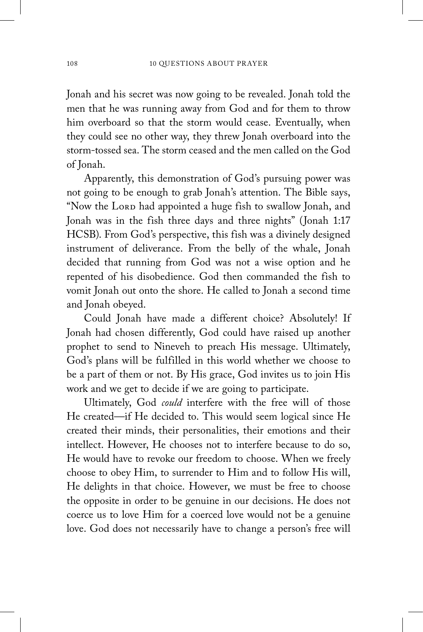Jonah and his secret was now going to be revealed. Jonah told the men that he was running away from God and for them to throw him overboard so that the storm would cease. Eventually, when they could see no other way, they threw Jonah overboard into the storm-tossed sea. The storm ceased and the men called on the God of Jonah.

Apparently, this demonstration of God's pursuing power was not going to be enough to grab Jonah's attention. The Bible says, "Now the Lorp had appointed a huge fish to swallow Jonah, and Jonah was in the fish three days and three nights" (Jonah 1:17 HCSB). From God's perspective, this fish was a divinely designed instrument of deliverance. From the belly of the whale, Jonah decided that running from God was not a wise option and he repented of his disobedience. God then commanded the fish to vomit Jonah out onto the shore. He called to Jonah a second time and Jonah obeyed.

Could Jonah have made a different choice? Absolutely! If Jonah had chosen differently, God could have raised up another prophet to send to Nineveh to preach His message. Ultimately, God's plans will be fulfilled in this world whether we choose to be a part of them or not. By His grace, God invites us to join His work and we get to decide if we are going to participate.

Ultimately, God *could* interfere with the free will of those He created—if He decided to. This would seem logical since He created their minds, their personalities, their emotions and their intellect. However, He chooses not to interfere because to do so, He would have to revoke our freedom to choose. When we freely choose to obey Him, to surrender to Him and to follow His will, He delights in that choice. However, we must be free to choose the opposite in order to be genuine in our decisions. He does not coerce us to love Him for a coerced love would not be a genuine love. God does not necessarily have to change a person's free will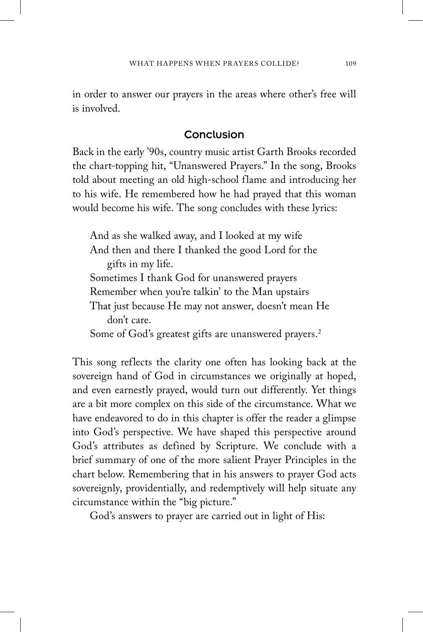in order to answer our prayers in the areas where other's free will is involved.

### Conclusion

Back in the early '90s, country music artist Garth Brooks recorded the chart-topping hit, "Unanswered Prayers." In the song, Brooks told about meeting an old high-school flame and introducing her to his wife. He remembered how he had prayed that this woman would become his wife. The song concludes with these lyrics:

And as she walked away, and I looked at my wife And then and there I thanked the good Lord for the gifts in my life. Sometimes I thank God for unanswered prayers Remember when you're talkin' to the Man upstairs That just because He may not answer, doesn't mean He don't care. Some of God's greatest gifts are unanswered prayers.<sup>2</sup>

This song reflects the clarity one often has looking back at the sovereign hand of God in circumstances we originally at hoped, and even earnestly prayed, would turn out differently. Yet things are a bit more complex on this side of the circumstance. What we have endeavored to do in this chapter is offer the reader a glimpse into God's perspective. We have shaped this perspective around God's attributes as defined by Scripture. We conclude with a brief summary of one of the more salient Prayer Principles in the chart below. Remembering that in his answers to prayer God acts sovereignly, providentially, and redemptively will help situate any circumstance within the "big picture."

God's answers to prayer are carried out in light of His: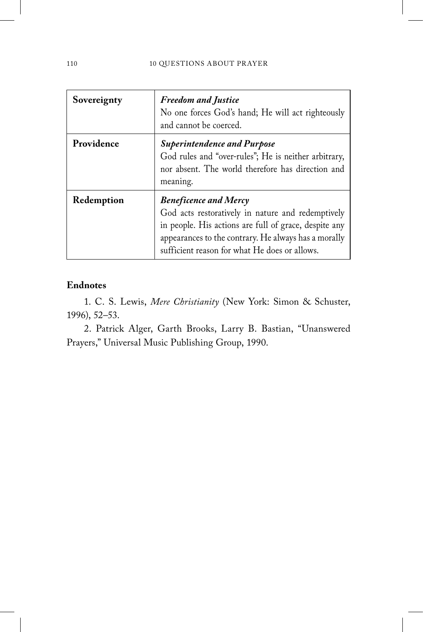| Sovereignty | <b>Freedom and Justice</b><br>No one forces God's hand; He will act righteously<br>and cannot be coerced.                                                                                                                                           |
|-------------|-----------------------------------------------------------------------------------------------------------------------------------------------------------------------------------------------------------------------------------------------------|
| Providence  | <b>Superintendence and Purpose</b><br>God rules and "over-rules"; He is neither arbitrary,<br>nor absent. The world therefore has direction and<br>meaning.                                                                                         |
| Redemption  | <b>Beneficence and Mercy</b><br>God acts restoratively in nature and redemptively<br>in people. His actions are full of grace, despite any<br>appearances to the contrary. He always has a morally<br>sufficient reason for what He does or allows. |

### **Endnotes**

1. C. S. Lewis, *Mere Christianity* (New York: Simon & Schuster, 1996), 52–53.

2. Patrick Alger, Garth Brooks, Larry B. Bastian, "Unanswered Prayers," Universal Music Publishing Group, 1990.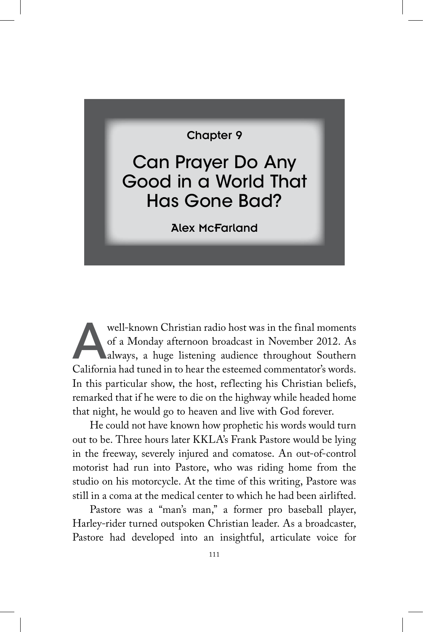

well-known Christian radio host was in the final moments<br>of a Monday afternoon broadcast in November 2012. As<br>always, a huge listening audience throughout Southern<br>California had tuned in to have the attenued commentated s of a Monday afternoon broadcast in November 2012. As always, a huge listening audience throughout Southern California had tuned in to hear the esteemed commentator's words. In this particular show, the host, reflecting his Christian beliefs, remarked that if he were to die on the highway while headed home that night, he would go to heaven and live with God forever.

He could not have known how prophetic his words would turn out to be. Three hours later KKLA's Frank Pastore would be lying in the freeway, severely injured and comatose. An out-of-control motorist had run into Pastore, who was riding home from the studio on his motorcycle. At the time of this writing, Pastore was still in a coma at the medical center to which he had been airlifted.

Pastore was a "man's man," a former pro baseball player, Harley-rider turned outspoken Christian leader. As a broadcaster, Pastore had developed into an insightful, articulate voice for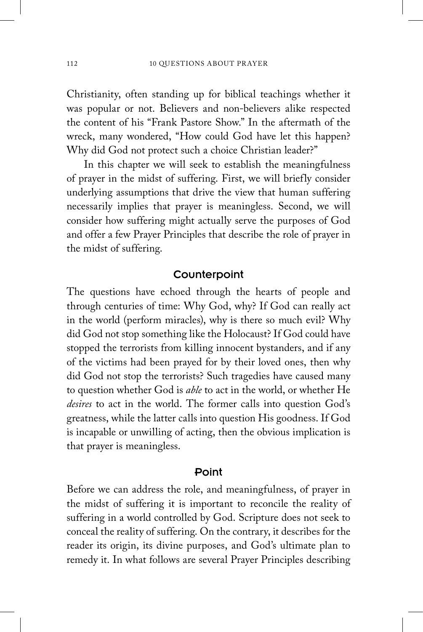Christianity, often standing up for biblical teachings whether it was popular or not. Believers and non-believers alike respected the content of his "Frank Pastore Show." In the aftermath of the wreck, many wondered, "How could God have let this happen? Why did God not protect such a choice Christian leader?"

In this chapter we will seek to establish the meaningfulness of prayer in the midst of suffering. First, we will briefly consider underlying assumptions that drive the view that human suffering necessarily implies that prayer is meaningless. Second, we will consider how suffering might actually serve the purposes of God and offer a few Prayer Principles that describe the role of prayer in the midst of suffering.

### Counterpoint

The questions have echoed through the hearts of people and through centuries of time: Why God, why? If God can really act in the world (perform miracles), why is there so much evil? Why did God not stop something like the Holocaust? If God could have stopped the terrorists from killing innocent bystanders, and if any of the victims had been prayed for by their loved ones, then why did God not stop the terrorists? Such tragedies have caused many to question whether God is *able* to act in the world, or whether He *desires* to act in the world. The former calls into question God's greatness, while the latter calls into question His goodness. If God is incapable or unwilling of acting, then the obvious implication is that prayer is meaningless.

### Point

Before we can address the role, and meaningfulness, of prayer in the midst of suffering it is important to reconcile the reality of suffering in a world controlled by God. Scripture does not seek to conceal the reality of suffering. On the contrary, it describes for the reader its origin, its divine purposes, and God's ultimate plan to remedy it. In what follows are several Prayer Principles describing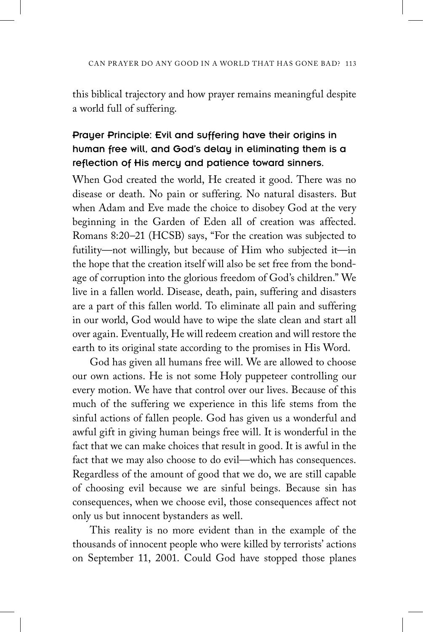this biblical trajectory and how prayer remains meaningful despite a world full of suffering.

## Prayer Principle: Evil and suffering have their origins in human free will, and God's delay in eliminating them is a reflection of His mercy and patience toward sinners.

When God created the world, He created it good. There was no disease or death. No pain or suffering. No natural disasters. But when Adam and Eve made the choice to disobey God at the very beginning in the Garden of Eden all of creation was affected. Romans 8:20–21 (HCSB) says, "For the creation was subjected to futility—not willingly, but because of Him who subjected it—in the hope that the creation itself will also be set free from the bondage of corruption into the glorious freedom of God's children." We live in a fallen world. Disease, death, pain, suffering and disasters are a part of this fallen world. To eliminate all pain and suffering in our world, God would have to wipe the slate clean and start all over again. Eventually, He will redeem creation and will restore the earth to its original state according to the promises in His Word.

God has given all humans free will. We are allowed to choose our own actions. He is not some Holy puppeteer controlling our every motion. We have that control over our lives. Because of this much of the suffering we experience in this life stems from the sinful actions of fallen people. God has given us a wonderful and awful gift in giving human beings free will. It is wonderful in the fact that we can make choices that result in good. It is awful in the fact that we may also choose to do evil—which has consequences. Regardless of the amount of good that we do, we are still capable of choosing evil because we are sinful beings. Because sin has consequences, when we choose evil, those consequences affect not only us but innocent bystanders as well.

This reality is no more evident than in the example of the thousands of innocent people who were killed by terrorists' actions on September 11, 2001. Could God have stopped those planes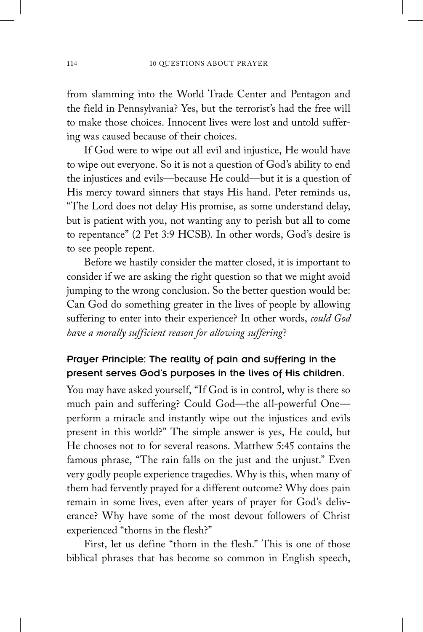from slamming into the World Trade Center and Pentagon and the field in Pennsylvania? Yes, but the terrorist's had the free will to make those choices. Innocent lives were lost and untold suffering was caused because of their choices.

If God were to wipe out all evil and injustice, He would have to wipe out everyone. So it is not a question of God's ability to end the injustices and evils—because He could—but it is a question of His mercy toward sinners that stays His hand. Peter reminds us, "The Lord does not delay His promise, as some understand delay, but is patient with you, not wanting any to perish but all to come to repentance" (2 Pet 3:9 HCSB). In other words, God's desire is to see people repent.

Before we hastily consider the matter closed, it is important to consider if we are asking the right question so that we might avoid jumping to the wrong conclusion. So the better question would be: Can God do something greater in the lives of people by allowing suffering to enter into their experience? In other words, *could God have a morally sufficient reason for allowing suffering*?

### Prayer Principle: The reality of pain and suffering in the present serves God's purposes in the lives of His children.

You may have asked yourself, "If God is in control, why is there so much pain and suffering? Could God—the all-powerful One perform a miracle and instantly wipe out the injustices and evils present in this world?" The simple answer is yes, He could, but He chooses not to for several reasons. Matthew 5:45 contains the famous phrase, "The rain falls on the just and the unjust." Even very godly people experience tragedies. Why is this, when many of them had fervently prayed for a different outcome? Why does pain remain in some lives, even after years of prayer for God's deliverance? Why have some of the most devout followers of Christ experienced "thorns in the flesh?"

First, let us define "thorn in the flesh." This is one of those biblical phrases that has become so common in English speech,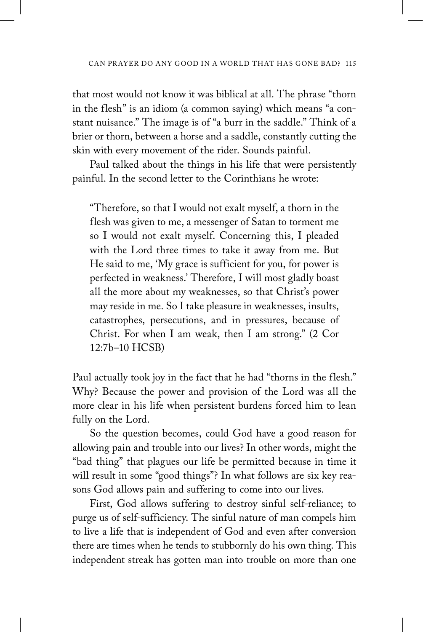that most would not know it was biblical at all. The phrase "thorn in the flesh" is an idiom (a common saying) which means "a constant nuisance." The image is of "a burr in the saddle." Think of a brier or thorn, between a horse and a saddle, constantly cutting the skin with every movement of the rider. Sounds painful.

Paul talked about the things in his life that were persistently painful. In the second letter to the Corinthians he wrote:

"Therefore, so that I would not exalt myself, a thorn in the flesh was given to me, a messenger of Satan to torment me so I would not exalt myself. Concerning this, I pleaded with the Lord three times to take it away from me. But He said to me, 'My grace is sufficient for you, for power is perfected in weakness.' Therefore, I will most gladly boast all the more about my weaknesses, so that Christ's power may reside in me. So I take pleasure in weaknesses, insults, catastrophes, persecutions, and in pressures, because of Christ. For when I am weak, then I am strong." (2 Cor 12:7b–10 HCSB)

Paul actually took joy in the fact that he had "thorns in the flesh." Why? Because the power and provision of the Lord was all the more clear in his life when persistent burdens forced him to lean fully on the Lord.

So the question becomes, could God have a good reason for allowing pain and trouble into our lives? In other words, might the "bad thing" that plagues our life be permitted because in time it will result in some "good things"? In what follows are six key reasons God allows pain and suffering to come into our lives.

First, God allows suffering to destroy sinful self-reliance; to purge us of self-sufficiency. The sinful nature of man compels him to live a life that is independent of God and even after conversion there are times when he tends to stubbornly do his own thing. This independent streak has gotten man into trouble on more than one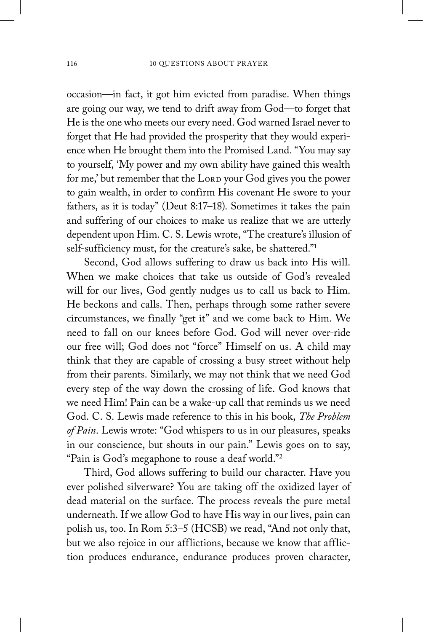occasion—in fact, it got him evicted from paradise. When things are going our way, we tend to drift away from God—to forget that He is the one who meets our every need. God warned Israel never to forget that He had provided the prosperity that they would experience when He brought them into the Promised Land. "You may say to yourself, 'My power and my own ability have gained this wealth for me,' but remember that the Lorp your God gives you the power to gain wealth, in order to confirm His covenant He swore to your fathers, as it is today" (Deut 8:17–18). Sometimes it takes the pain and suffering of our choices to make us realize that we are utterly dependent upon Him. C. S. Lewis wrote, "The creature's illusion of self-sufficiency must, for the creature's sake, be shattered."1

Second, God allows suffering to draw us back into His will. When we make choices that take us outside of God's revealed will for our lives, God gently nudges us to call us back to Him. He beckons and calls. Then, perhaps through some rather severe circumstances, we finally "get it" and we come back to Him. We need to fall on our knees before God. God will never over-ride our free will; God does not "force" Himself on us. A child may think that they are capable of crossing a busy street without help from their parents. Similarly, we may not think that we need God every step of the way down the crossing of life. God knows that we need Him! Pain can be a wake-up call that reminds us we need God. C. S. Lewis made reference to this in his book, *The Problem of Pain*. Lewis wrote: "God whispers to us in our pleasures, speaks in our conscience, but shouts in our pain." Lewis goes on to say, "Pain is God's megaphone to rouse a deaf world."2

Third, God allows suffering to build our character. Have you ever polished silverware? You are taking off the oxidized layer of dead material on the surface. The process reveals the pure metal underneath. If we allow God to have His way in our lives, pain can polish us, too. In Rom 5:3–5 (HCSB) we read, "And not only that, but we also rejoice in our afflictions, because we know that affliction produces endurance, endurance produces proven character,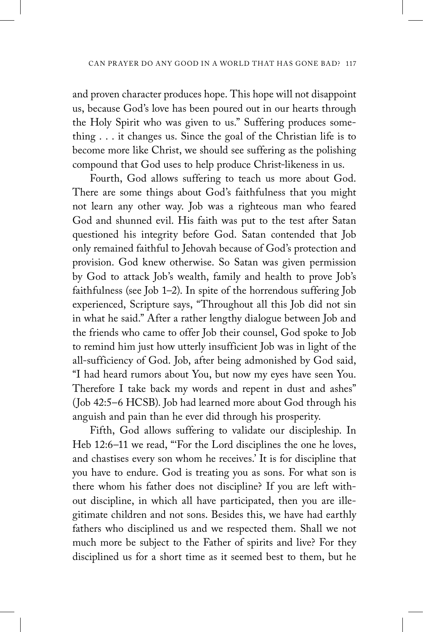and proven character produces hope. This hope will not disappoint us, because God's love has been poured out in our hearts through the Holy Spirit who was given to us." Suffering produces something . . . it changes us. Since the goal of the Christian life is to become more like Christ, we should see suffering as the polishing compound that God uses to help produce Christ-likeness in us.

Fourth, God allows suffering to teach us more about God. There are some things about God's faithfulness that you might not learn any other way. Job was a righteous man who feared God and shunned evil. His faith was put to the test after Satan questioned his integrity before God. Satan contended that Job only remained faithful to Jehovah because of God's protection and provision. God knew otherwise. So Satan was given permission by God to attack Job's wealth, family and health to prove Job's faithfulness (see Job 1–2). In spite of the horrendous suffering Job experienced, Scripture says, "Throughout all this Job did not sin in what he said." After a rather lengthy dialogue between Job and the friends who came to offer Job their counsel, God spoke to Job to remind him just how utterly insufficient Job was in light of the all-sufficiency of God. Job, after being admonished by God said, "I had heard rumors about You, but now my eyes have seen You. Therefore I take back my words and repent in dust and ashes" (Job 42:5–6 HCSB). Job had learned more about God through his anguish and pain than he ever did through his prosperity.

Fifth, God allows suffering to validate our discipleship. In Heb 12:6–11 we read, "'For the Lord disciplines the one he loves, and chastises every son whom he receives.' It is for discipline that you have to endure. God is treating you as sons. For what son is there whom his father does not discipline? If you are left without discipline, in which all have participated, then you are illegitimate children and not sons. Besides this, we have had earthly fathers who disciplined us and we respected them. Shall we not much more be subject to the Father of spirits and live? For they disciplined us for a short time as it seemed best to them, but he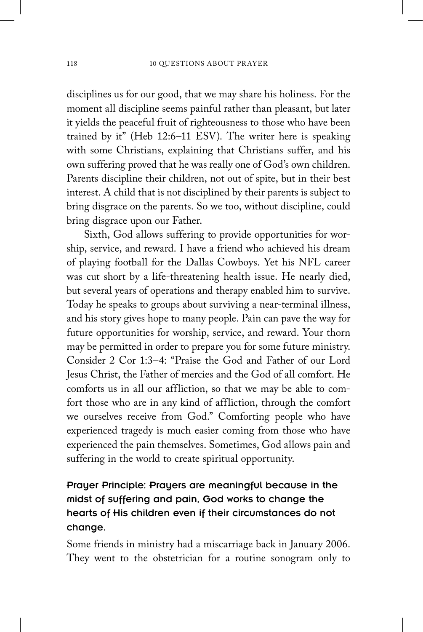disciplines us for our good, that we may share his holiness. For the moment all discipline seems painful rather than pleasant, but later it yields the peaceful fruit of righteousness to those who have been trained by it" (Heb 12:6–11 ESV). The writer here is speaking with some Christians, explaining that Christians suffer, and his own suffering proved that he was really one of God's own children. Parents discipline their children, not out of spite, but in their best interest. A child that is not disciplined by their parents is subject to bring disgrace on the parents. So we too, without discipline, could bring disgrace upon our Father.

Sixth, God allows suffering to provide opportunities for worship, service, and reward. I have a friend who achieved his dream of playing football for the Dallas Cowboys. Yet his NFL career was cut short by a life-threatening health issue. He nearly died, but several years of operations and therapy enabled him to survive. Today he speaks to groups about surviving a near-terminal illness, and his story gives hope to many people. Pain can pave the way for future opportunities for worship, service, and reward. Your thorn may be permitted in order to prepare you for some future ministry. Consider 2 Cor 1:3–4: "Praise the God and Father of our Lord Jesus Christ, the Father of mercies and the God of all comfort. He comforts us in all our affliction, so that we may be able to comfort those who are in any kind of affliction, through the comfort we ourselves receive from God." Comforting people who have experienced tragedy is much easier coming from those who have experienced the pain themselves. Sometimes, God allows pain and suffering in the world to create spiritual opportunity.

# Prayer Principle: Prayers are meaningful because in the midst of suffering and pain, God works to change the hearts of His children even if their circumstances do not change.

Some friends in ministry had a miscarriage back in January 2006. They went to the obstetrician for a routine sonogram only to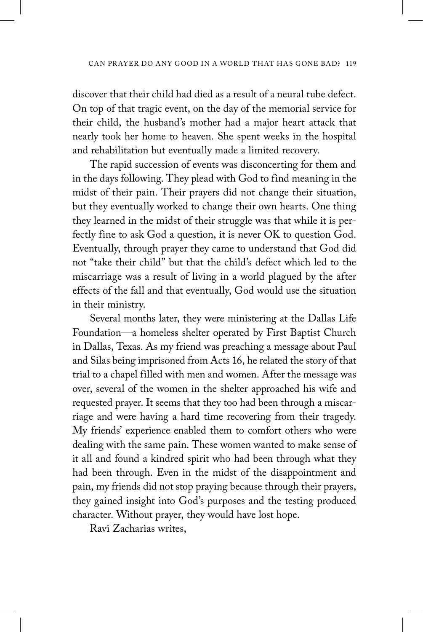discover that their child had died as a result of a neural tube defect. On top of that tragic event, on the day of the memorial service for their child, the husband's mother had a major heart attack that nearly took her home to heaven. She spent weeks in the hospital and rehabilitation but eventually made a limited recovery.

The rapid succession of events was disconcerting for them and in the days following. They plead with God to find meaning in the midst of their pain. Their prayers did not change their situation, but they eventually worked to change their own hearts. One thing they learned in the midst of their struggle was that while it is perfectly fine to ask God a question, it is never OK to question God. Eventually, through prayer they came to understand that God did not "take their child" but that the child's defect which led to the miscarriage was a result of living in a world plagued by the after effects of the fall and that eventually, God would use the situation in their ministry.

Several months later, they were ministering at the Dallas Life Foundation—a homeless shelter operated by First Baptist Church in Dallas, Texas. As my friend was preaching a message about Paul and Silas being imprisoned from Acts 16, he related the story of that trial to a chapel filled with men and women. After the message was over, several of the women in the shelter approached his wife and requested prayer. It seems that they too had been through a miscarriage and were having a hard time recovering from their tragedy. My friends' experience enabled them to comfort others who were dealing with the same pain. These women wanted to make sense of it all and found a kindred spirit who had been through what they had been through. Even in the midst of the disappointment and pain, my friends did not stop praying because through their prayers, they gained insight into God's purposes and the testing produced character. Without prayer, they would have lost hope.

Ravi Zacharias writes,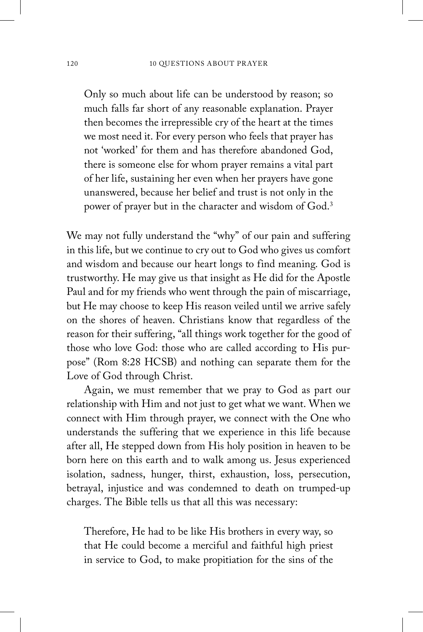Only so much about life can be understood by reason; so much falls far short of any reasonable explanation. Prayer then becomes the irrepressible cry of the heart at the times we most need it. For every person who feels that prayer has not 'worked' for them and has therefore abandoned God, there is someone else for whom prayer remains a vital part of her life, sustaining her even when her prayers have gone unanswered, because her belief and trust is not only in the power of prayer but in the character and wisdom of God.3

We may not fully understand the "why" of our pain and suffering in this life, but we continue to cry out to God who gives us comfort and wisdom and because our heart longs to find meaning. God is trustworthy. He may give us that insight as He did for the Apostle Paul and for my friends who went through the pain of miscarriage, but He may choose to keep His reason veiled until we arrive safely on the shores of heaven. Christians know that regardless of the reason for their suffering, "all things work together for the good of those who love God: those who are called according to His purpose" (Rom 8:28 HCSB) and nothing can separate them for the Love of God through Christ.

Again, we must remember that we pray to God as part our relationship with Him and not just to get what we want. When we connect with Him through prayer, we connect with the One who understands the suffering that we experience in this life because after all, He stepped down from His holy position in heaven to be born here on this earth and to walk among us. Jesus experienced isolation, sadness, hunger, thirst, exhaustion, loss, persecution, betrayal, injustice and was condemned to death on trumped-up charges. The Bible tells us that all this was necessary:

Therefore, He had to be like His brothers in every way, so that He could become a merciful and faithful high priest in service to God, to make propitiation for the sins of the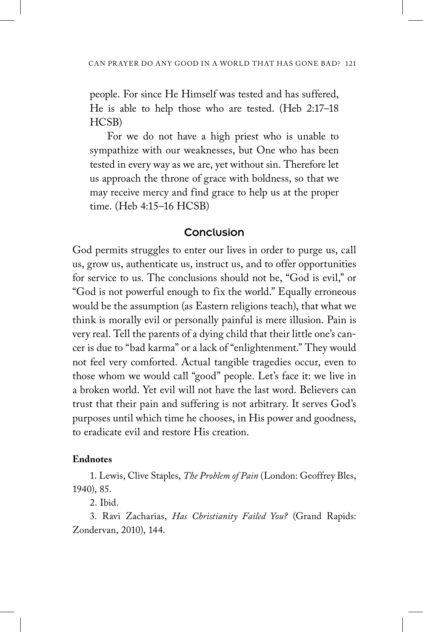people. For since He Himself was tested and has suffered, He is able to help those who are tested. (Heb 2:17–18 HCSB)

For we do not have a high priest who is unable to sympathize with our weaknesses, but One who has been tested in every way as we are, yet without sin. Therefore let us approach the throne of grace with boldness, so that we may receive mercy and find grace to help us at the proper time. (Heb 4:15–16 HCSB)

### Conclusion

God permits struggles to enter our lives in order to purge us, call us, grow us, authenticate us, instruct us, and to offer opportunities for service to us. The conclusions should not be, "God is evil," or "God is not powerful enough to fix the world." Equally erroneous would be the assumption (as Eastern religions teach), that what we think is morally evil or personally painful is mere illusion. Pain is very real. Tell the parents of a dying child that their little one's cancer is due to "bad karma" or a lack of "enlightenment." They would not feel very comforted. Actual tangible tragedies occur, even to those whom we would call "good" people. Let's face it: we live in a broken world. Yet evil will not have the last word. Believers can trust that their pain and suffering is not arbitrary. It serves God's purposes until which time he chooses, in His power and goodness, to eradicate evil and restore His creation.

#### **Endnotes**

1. Lewis, Clive Staples, *The Problem of Pain* (London: Geoffrey Bles, 1940), 85.

2. Ibid.

3. Ravi Zacharias, *Has Christianity Failed You?* (Grand Rapids: Zondervan, 2010), 144.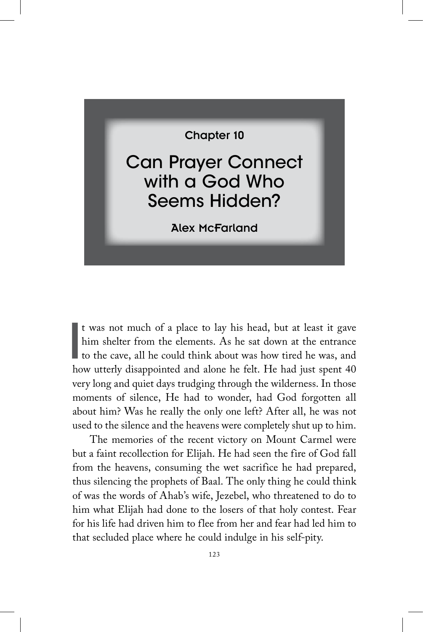

I t was not much of a place to lay his head, but at least it gave him shelter from the elements. As he sat down at the entrance to the cave, all he could think about was how tired he was, and how utterly disappointed and alone he felt. He had just spent 40 very long and quiet days trudging through the wilderness. In those moments of silence, He had to wonder, had God forgotten all about him? Was he really the only one left? After all, he was not used to the silence and the heavens were completely shut up to him.

The memories of the recent victory on Mount Carmel were but a faint recollection for Elijah. He had seen the fire of God fall from the heavens, consuming the wet sacrifice he had prepared, thus silencing the prophets of Baal. The only thing he could think of was the words of Ahab's wife, Jezebel, who threatened to do to him what Elijah had done to the losers of that holy contest. Fear for his life had driven him to flee from her and fear had led him to that secluded place where he could indulge in his self-pity.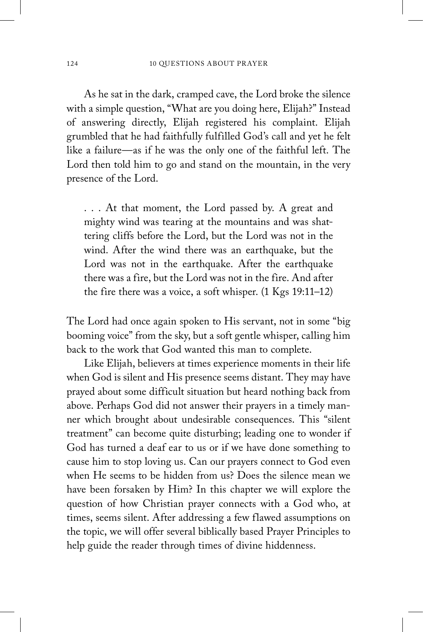As he sat in the dark, cramped cave, the Lord broke the silence with a simple question, "What are you doing here, Elijah?" Instead of answering directly, Elijah registered his complaint. Elijah grumbled that he had faithfully fulfilled God's call and yet he felt like a failure—as if he was the only one of the faithful left. The Lord then told him to go and stand on the mountain, in the very presence of the Lord.

. . . At that moment, the Lord passed by. A great and mighty wind was tearing at the mountains and was shattering cliffs before the Lord, but the Lord was not in the wind. After the wind there was an earthquake, but the Lord was not in the earthquake. After the earthquake there was a fire, but the Lord was not in the fire. And after the fire there was a voice, a soft whisper. (1 Kgs 19:11–12)

The Lord had once again spoken to His servant, not in some "big booming voice" from the sky, but a soft gentle whisper, calling him back to the work that God wanted this man to complete.

Like Elijah, believers at times experience moments in their life when God is silent and His presence seems distant. They may have prayed about some difficult situation but heard nothing back from above. Perhaps God did not answer their prayers in a timely manner which brought about undesirable consequences. This "silent treatment" can become quite disturbing; leading one to wonder if God has turned a deaf ear to us or if we have done something to cause him to stop loving us. Can our prayers connect to God even when He seems to be hidden from us? Does the silence mean we have been forsaken by Him? In this chapter we will explore the question of how Christian prayer connects with a God who, at times, seems silent. After addressing a few flawed assumptions on the topic, we will offer several biblically based Prayer Principles to help guide the reader through times of divine hiddenness.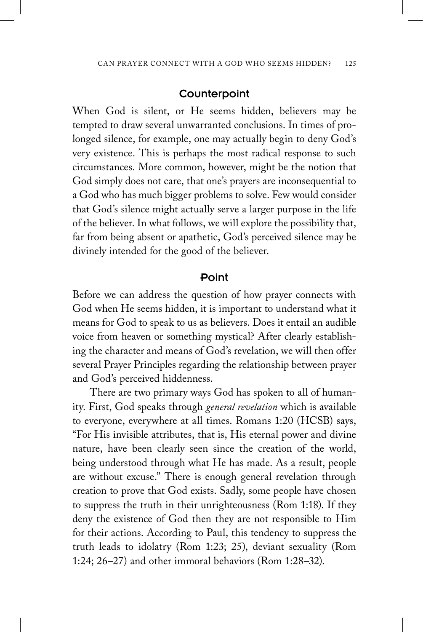### Counterpoint

When God is silent, or He seems hidden, believers may be tempted to draw several unwarranted conclusions. In times of prolonged silence, for example, one may actually begin to deny God's very existence. This is perhaps the most radical response to such circumstances. More common, however, might be the notion that God simply does not care, that one's prayers are inconsequential to a God who has much bigger problems to solve. Few would consider that God's silence might actually serve a larger purpose in the life of the believer. In what follows, we will explore the possibility that, far from being absent or apathetic, God's perceived silence may be divinely intended for the good of the believer.

#### Point

Before we can address the question of how prayer connects with God when He seems hidden, it is important to understand what it means for God to speak to us as believers. Does it entail an audible voice from heaven or something mystical? After clearly establishing the character and means of God's revelation, we will then offer several Prayer Principles regarding the relationship between prayer and God's perceived hiddenness.

There are two primary ways God has spoken to all of humanity. First, God speaks through *general revelation* which is available to everyone, everywhere at all times. Romans 1:20 (HCSB) says, "For His invisible attributes, that is, His eternal power and divine nature, have been clearly seen since the creation of the world, being understood through what He has made. As a result, people are without excuse." There is enough general revelation through creation to prove that God exists. Sadly, some people have chosen to suppress the truth in their unrighteousness (Rom 1:18). If they deny the existence of God then they are not responsible to Him for their actions. According to Paul, this tendency to suppress the truth leads to idolatry (Rom 1:23; 25), deviant sexuality (Rom 1:24; 26–27) and other immoral behaviors (Rom 1:28–32).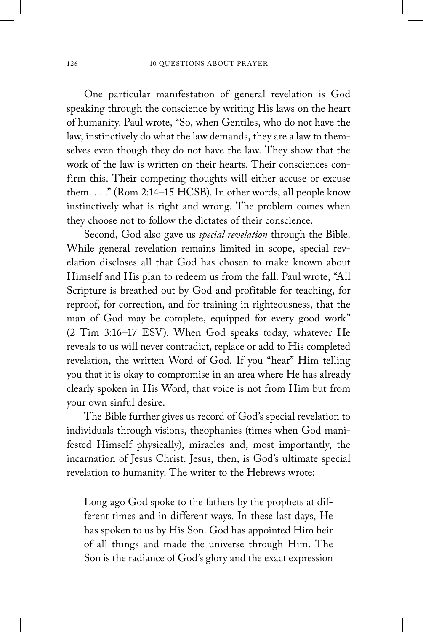One particular manifestation of general revelation is God speaking through the conscience by writing His laws on the heart of humanity. Paul wrote, "So, when Gentiles, who do not have the law, instinctively do what the law demands, they are a law to themselves even though they do not have the law. They show that the work of the law is written on their hearts. Their consciences confirm this. Their competing thoughts will either accuse or excuse them. . . ." (Rom 2:14–15 HCSB). In other words, all people know instinctively what is right and wrong. The problem comes when they choose not to follow the dictates of their conscience.

Second, God also gave us *special revelation* through the Bible. While general revelation remains limited in scope, special revelation discloses all that God has chosen to make known about Himself and His plan to redeem us from the fall. Paul wrote, "All Scripture is breathed out by God and profitable for teaching, for reproof, for correction, and for training in righteousness, that the man of God may be complete, equipped for every good work" (2 Tim 3:16–17 ESV). When God speaks today, whatever He reveals to us will never contradict, replace or add to His completed revelation, the written Word of God. If you "hear" Him telling you that it is okay to compromise in an area where He has already clearly spoken in His Word, that voice is not from Him but from your own sinful desire.

The Bible further gives us record of God's special revelation to individuals through visions, theophanies (times when God manifested Himself physically), miracles and, most importantly, the incarnation of Jesus Christ. Jesus, then, is God's ultimate special revelation to humanity. The writer to the Hebrews wrote:

Long ago God spoke to the fathers by the prophets at different times and in different ways. In these last days, He has spoken to us by His Son. God has appointed Him heir of all things and made the universe through Him. The Son is the radiance of God's glory and the exact expression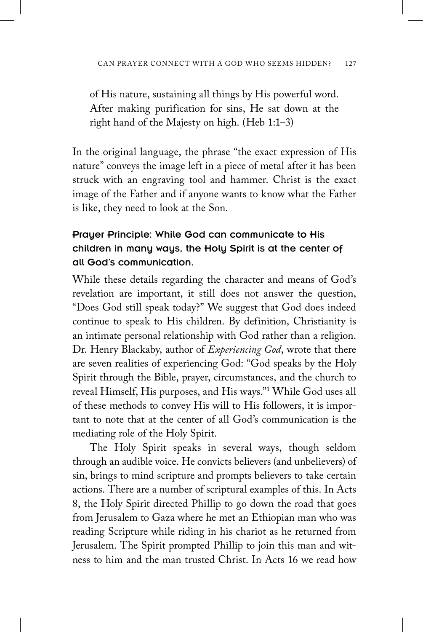of His nature, sustaining all things by His powerful word. After making purification for sins, He sat down at the right hand of the Majesty on high. (Heb 1:1–3)

In the original language, the phrase "the exact expression of His nature" conveys the image left in a piece of metal after it has been struck with an engraving tool and hammer. Christ is the exact image of the Father and if anyone wants to know what the Father is like, they need to look at the Son.

# Prayer Principle: While God can communicate to His children in many ways, the Holy Spirit is at the center of all God's communication.

While these details regarding the character and means of God's revelation are important, it still does not answer the question, "Does God still speak today?" We suggest that God does indeed continue to speak to His children. By definition, Christianity is an intimate personal relationship with God rather than a religion. Dr. Henry Blackaby, author of *Experiencing God*, wrote that there are seven realities of experiencing God: "God speaks by the Holy Spirit through the Bible, prayer, circumstances, and the church to reveal Himself, His purposes, and His ways."1 While God uses all of these methods to convey His will to His followers, it is important to note that at the center of all God's communication is the mediating role of the Holy Spirit.

The Holy Spirit speaks in several ways, though seldom through an audible voice. He convicts believers (and unbelievers) of sin, brings to mind scripture and prompts believers to take certain actions. There are a number of scriptural examples of this. In Acts 8, the Holy Spirit directed Phillip to go down the road that goes from Jerusalem to Gaza where he met an Ethiopian man who was reading Scripture while riding in his chariot as he returned from Jerusalem. The Spirit prompted Phillip to join this man and witness to him and the man trusted Christ. In Acts 16 we read how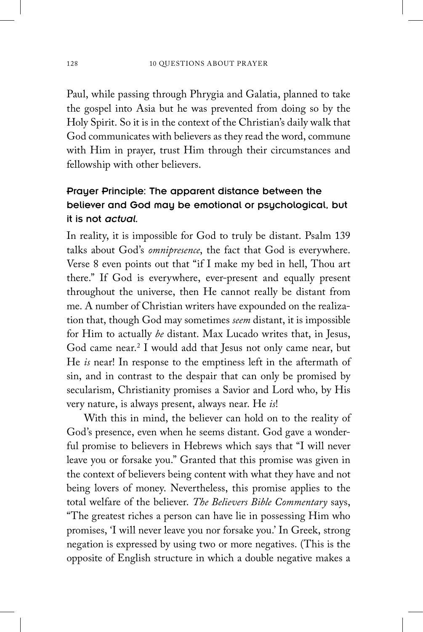Paul, while passing through Phrygia and Galatia, planned to take the gospel into Asia but he was prevented from doing so by the Holy Spirit. So it is in the context of the Christian's daily walk that God communicates with believers as they read the word, commune with Him in prayer, trust Him through their circumstances and fellowship with other believers.

## Prayer Principle: The apparent distance between the believer and God may be emotional or psychological, but it is not actual.

In reality, it is impossible for God to truly be distant. Psalm 139 talks about God's *omnipresence*, the fact that God is everywhere. Verse 8 even points out that "if I make my bed in hell, Thou art there." If God is everywhere, ever-present and equally present throughout the universe, then He cannot really be distant from me. A number of Christian writers have expounded on the realization that, though God may sometimes *seem* distant, it is impossible for Him to actually *be* distant. Max Lucado writes that, in Jesus, God came near.2 I would add that Jesus not only came near, but He *is* near! In response to the emptiness left in the aftermath of sin, and in contrast to the despair that can only be promised by secularism, Christianity promises a Savior and Lord who, by His very nature, is always present, always near. He *is*!

With this in mind, the believer can hold on to the reality of God's presence, even when he seems distant. God gave a wonderful promise to believers in Hebrews which says that "I will never leave you or forsake you." Granted that this promise was given in the context of believers being content with what they have and not being lovers of money. Nevertheless, this promise applies to the total welfare of the believer. *The Believers Bible Commentary* says, "The greatest riches a person can have lie in possessing Him who promises, 'I will never leave you nor forsake you.' In Greek, strong negation is expressed by using two or more negatives. (This is the opposite of English structure in which a double negative makes a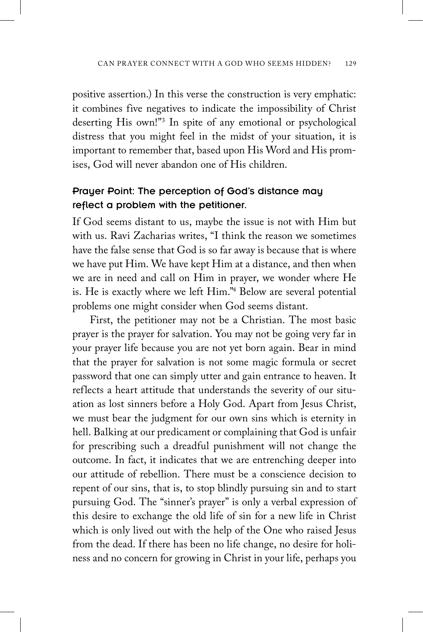positive assertion.) In this verse the construction is very emphatic: it combines five negatives to indicate the impossibility of Christ deserting His own!"3 In spite of any emotional or psychological distress that you might feel in the midst of your situation, it is important to remember that, based upon His Word and His promises, God will never abandon one of His children.

### Prayer Point: The perception of God's distance may reflect a problem with the petitioner.

If God seems distant to us, maybe the issue is not with Him but with us. Ravi Zacharias writes, "I think the reason we sometimes have the false sense that God is so far away is because that is where we have put Him. We have kept Him at a distance, and then when we are in need and call on Him in prayer, we wonder where He is. He is exactly where we left Him."4 Below are several potential problems one might consider when God seems distant.

First, the petitioner may not be a Christian. The most basic prayer is the prayer for salvation. You may not be going very far in your prayer life because you are not yet born again. Bear in mind that the prayer for salvation is not some magic formula or secret password that one can simply utter and gain entrance to heaven. It reflects a heart attitude that understands the severity of our situation as lost sinners before a Holy God. Apart from Jesus Christ, we must bear the judgment for our own sins which is eternity in hell. Balking at our predicament or complaining that God is unfair for prescribing such a dreadful punishment will not change the outcome. In fact, it indicates that we are entrenching deeper into our attitude of rebellion. There must be a conscience decision to repent of our sins, that is, to stop blindly pursuing sin and to start pursuing God. The "sinner's prayer" is only a verbal expression of this desire to exchange the old life of sin for a new life in Christ which is only lived out with the help of the One who raised Jesus from the dead. If there has been no life change, no desire for holiness and no concern for growing in Christ in your life, perhaps you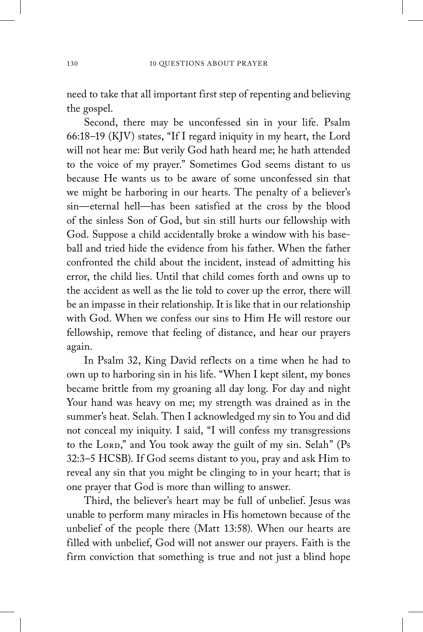need to take that all important first step of repenting and believing the gospel.

Second, there may be unconfessed sin in your life. Psalm 66:18–19 (KJV) states, "If I regard iniquity in my heart, the Lord will not hear me: But verily God hath heard me; he hath attended to the voice of my prayer." Sometimes God seems distant to us because He wants us to be aware of some unconfessed sin that we might be harboring in our hearts. The penalty of a believer's sin—eternal hell—has been satisfied at the cross by the blood of the sinless Son of God, but sin still hurts our fellowship with God. Suppose a child accidentally broke a window with his baseball and tried hide the evidence from his father. When the father confronted the child about the incident, instead of admitting his error, the child lies. Until that child comes forth and owns up to the accident as well as the lie told to cover up the error, there will be an impasse in their relationship. It is like that in our relationship with God. When we confess our sins to Him He will restore our fellowship, remove that feeling of distance, and hear our prayers again.

In Psalm 32, King David reflects on a time when he had to own up to harboring sin in his life. "When I kept silent, my bones became brittle from my groaning all day long. For day and night Your hand was heavy on me; my strength was drained as in the summer's heat. Selah. Then I acknowledged my sin to You and did not conceal my iniquity. I said, "I will confess my transgressions to the Lord," and You took away the guilt of my sin. Selah" (Ps 32:3–5 HCSB). If God seems distant to you, pray and ask Him to reveal any sin that you might be clinging to in your heart; that is one prayer that God is more than willing to answer.

Third, the believer's heart may be full of unbelief. Jesus was unable to perform many miracles in His hometown because of the unbelief of the people there (Matt 13:58). When our hearts are filled with unbelief, God will not answer our prayers. Faith is the firm conviction that something is true and not just a blind hope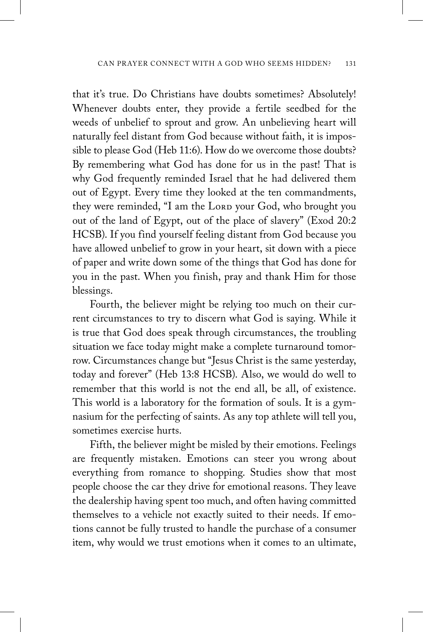that it's true. Do Christians have doubts sometimes? Absolutely! Whenever doubts enter, they provide a fertile seedbed for the weeds of unbelief to sprout and grow. An unbelieving heart will naturally feel distant from God because without faith, it is impossible to please God (Heb 11:6). How do we overcome those doubts? By remembering what God has done for us in the past! That is why God frequently reminded Israel that he had delivered them out of Egypt. Every time they looked at the ten commandments, they were reminded, "I am the Lorp your God, who brought you out of the land of Egypt, out of the place of slavery" (Exod 20:2 HCSB). If you find yourself feeling distant from God because you have allowed unbelief to grow in your heart, sit down with a piece of paper and write down some of the things that God has done for you in the past. When you finish, pray and thank Him for those blessings.

Fourth, the believer might be relying too much on their current circumstances to try to discern what God is saying. While it is true that God does speak through circumstances, the troubling situation we face today might make a complete turnaround tomorrow. Circumstances change but "Jesus Christ is the same yesterday, today and forever" (Heb 13:8 HCSB). Also, we would do well to remember that this world is not the end all, be all, of existence. This world is a laboratory for the formation of souls. It is a gymnasium for the perfecting of saints. As any top athlete will tell you, sometimes exercise hurts.

Fifth, the believer might be misled by their emotions. Feelings are frequently mistaken. Emotions can steer you wrong about everything from romance to shopping. Studies show that most people choose the car they drive for emotional reasons. They leave the dealership having spent too much, and often having committed themselves to a vehicle not exactly suited to their needs. If emotions cannot be fully trusted to handle the purchase of a consumer item, why would we trust emotions when it comes to an ultimate,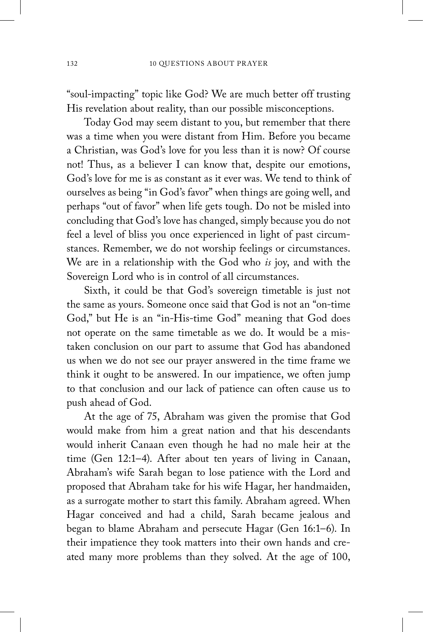"soul-impacting" topic like God? We are much better off trusting His revelation about reality, than our possible misconceptions.

Today God may seem distant to you, but remember that there was a time when you were distant from Him. Before you became a Christian, was God's love for you less than it is now? Of course not! Thus, as a believer I can know that, despite our emotions, God's love for me is as constant as it ever was. We tend to think of ourselves as being "in God's favor" when things are going well, and perhaps "out of favor" when life gets tough. Do not be misled into concluding that God's love has changed, simply because you do not feel a level of bliss you once experienced in light of past circumstances. Remember, we do not worship feelings or circumstances. We are in a relationship with the God who *is* joy, and with the Sovereign Lord who is in control of all circumstances.

Sixth, it could be that God's sovereign timetable is just not the same as yours. Someone once said that God is not an "on-time God," but He is an "in-His-time God" meaning that God does not operate on the same timetable as we do. It would be a mistaken conclusion on our part to assume that God has abandoned us when we do not see our prayer answered in the time frame we think it ought to be answered. In our impatience, we often jump to that conclusion and our lack of patience can often cause us to push ahead of God.

At the age of 75, Abraham was given the promise that God would make from him a great nation and that his descendants would inherit Canaan even though he had no male heir at the time (Gen 12:1–4). After about ten years of living in Canaan, Abraham's wife Sarah began to lose patience with the Lord and proposed that Abraham take for his wife Hagar, her handmaiden, as a surrogate mother to start this family. Abraham agreed. When Hagar conceived and had a child, Sarah became jealous and began to blame Abraham and persecute Hagar (Gen 16:1–6). In their impatience they took matters into their own hands and created many more problems than they solved. At the age of 100,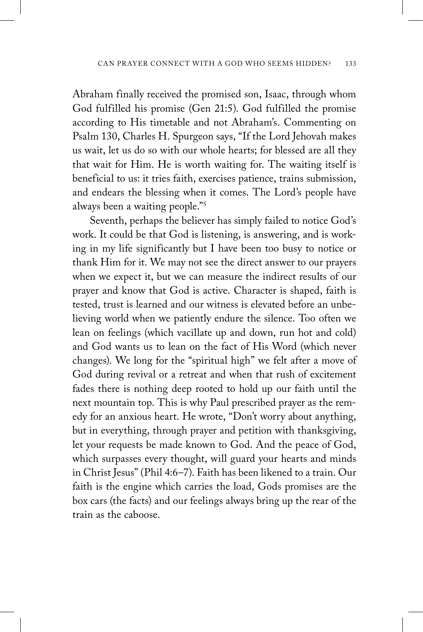Abraham finally received the promised son, Isaac, through whom God fulfilled his promise (Gen 21:5). God fulfilled the promise according to His timetable and not Abraham's. Commenting on Psalm 130, Charles H. Spurgeon says, "If the Lord Jehovah makes us wait, let us do so with our whole hearts; for blessed are all they that wait for Him. He is worth waiting for. The waiting itself is beneficial to us: it tries faith, exercises patience, trains submission, and endears the blessing when it comes. The Lord's people have always been a waiting people."5

Seventh, perhaps the believer has simply failed to notice God's work. It could be that God is listening, is answering, and is working in my life significantly but I have been too busy to notice or thank Him for it. We may not see the direct answer to our prayers when we expect it, but we can measure the indirect results of our prayer and know that God is active. Character is shaped, faith is tested, trust is learned and our witness is elevated before an unbelieving world when we patiently endure the silence. Too often we lean on feelings (which vacillate up and down, run hot and cold) and God wants us to lean on the fact of His Word (which never changes). We long for the "spiritual high" we felt after a move of God during revival or a retreat and when that rush of excitement fades there is nothing deep rooted to hold up our faith until the next mountain top. This is why Paul prescribed prayer as the remedy for an anxious heart. He wrote, "Don't worry about anything, but in everything, through prayer and petition with thanksgiving, let your requests be made known to God. And the peace of God, which surpasses every thought, will guard your hearts and minds in Christ Jesus" (Phil 4:6–7). Faith has been likened to a train. Our faith is the engine which carries the load, Gods promises are the box cars (the facts) and our feelings always bring up the rear of the train as the caboose.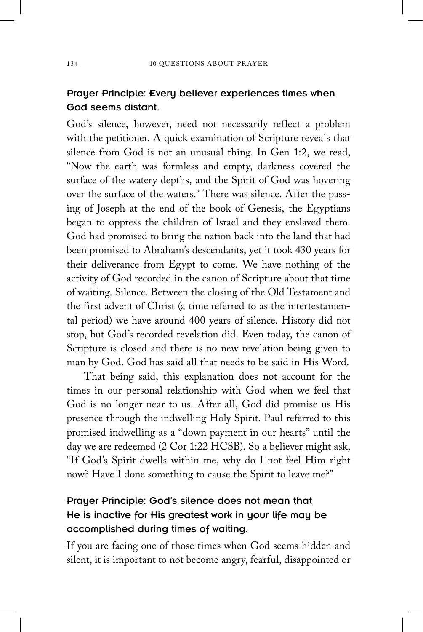# Prayer Principle: Every believer experiences times when God seems distant.

God's silence, however, need not necessarily reflect a problem with the petitioner. A quick examination of Scripture reveals that silence from God is not an unusual thing. In Gen 1:2, we read, "Now the earth was formless and empty, darkness covered the surface of the watery depths, and the Spirit of God was hovering over the surface of the waters." There was silence. After the passing of Joseph at the end of the book of Genesis, the Egyptians began to oppress the children of Israel and they enslaved them. God had promised to bring the nation back into the land that had been promised to Abraham's descendants, yet it took 430 years for their deliverance from Egypt to come. We have nothing of the activity of God recorded in the canon of Scripture about that time of waiting. Silence. Between the closing of the Old Testament and the first advent of Christ (a time referred to as the intertestamental period) we have around 400 years of silence. History did not stop, but God's recorded revelation did. Even today, the canon of Scripture is closed and there is no new revelation being given to man by God. God has said all that needs to be said in His Word.

That being said, this explanation does not account for the times in our personal relationship with God when we feel that God is no longer near to us. After all, God did promise us His presence through the indwelling Holy Spirit. Paul referred to this promised indwelling as a "down payment in our hearts" until the day we are redeemed (2 Cor 1:22 HCSB). So a believer might ask, "If God's Spirit dwells within me, why do I not feel Him right now? Have I done something to cause the Spirit to leave me?"

# Prayer Principle: God's silence does not mean that He is inactive for His greatest work in your life may be accomplished during times of waiting.

If you are facing one of those times when God seems hidden and silent, it is important to not become angry, fearful, disappointed or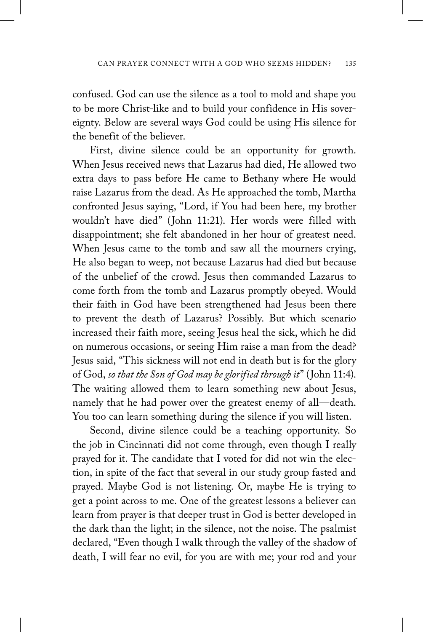confused. God can use the silence as a tool to mold and shape you to be more Christ-like and to build your confidence in His sovereignty. Below are several ways God could be using His silence for the benefit of the believer.

First, divine silence could be an opportunity for growth. When Jesus received news that Lazarus had died, He allowed two extra days to pass before He came to Bethany where He would raise Lazarus from the dead. As He approached the tomb, Martha confronted Jesus saying, "Lord, if You had been here, my brother wouldn't have died" (John 11:21). Her words were filled with disappointment; she felt abandoned in her hour of greatest need. When Jesus came to the tomb and saw all the mourners crying, He also began to weep, not because Lazarus had died but because of the unbelief of the crowd. Jesus then commanded Lazarus to come forth from the tomb and Lazarus promptly obeyed. Would their faith in God have been strengthened had Jesus been there to prevent the death of Lazarus? Possibly. But which scenario increased their faith more, seeing Jesus heal the sick, which he did on numerous occasions, or seeing Him raise a man from the dead? Jesus said, "This sickness will not end in death but is for the glory of God, *so that the Son of God may be glorified through it*" (John 11:4). The waiting allowed them to learn something new about Jesus, namely that he had power over the greatest enemy of all—death. You too can learn something during the silence if you will listen.

Second, divine silence could be a teaching opportunity. So the job in Cincinnati did not come through, even though I really prayed for it. The candidate that I voted for did not win the election, in spite of the fact that several in our study group fasted and prayed. Maybe God is not listening. Or, maybe He is trying to get a point across to me. One of the greatest lessons a believer can learn from prayer is that deeper trust in God is better developed in the dark than the light; in the silence, not the noise. The psalmist declared, "Even though I walk through the valley of the shadow of death, I will fear no evil, for you are with me; your rod and your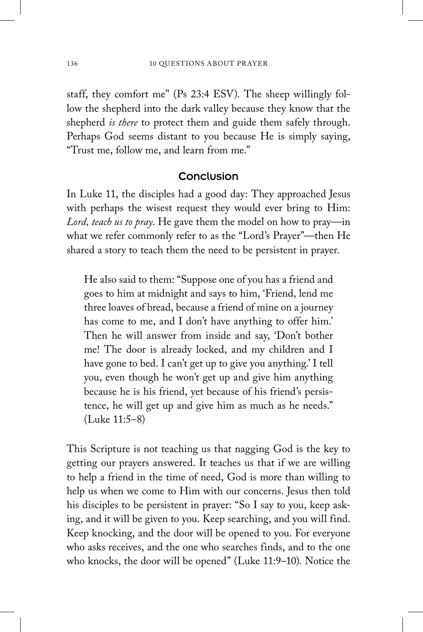staff, they comfort me" (Ps 23:4 ESV). The sheep willingly follow the shepherd into the dark valley because they know that the shepherd *is there* to protect them and guide them safely through. Perhaps God seems distant to you because He is simply saying, "Trust me, follow me, and learn from me."

## Conclusion

In Luke 11, the disciples had a good day: They approached Jesus with perhaps the wisest request they would ever bring to Him: *Lord, teach us to pray*. He gave them the model on how to pray—in what we refer commonly refer to as the "Lord's Prayer"—then He shared a story to teach them the need to be persistent in prayer.

He also said to them: "Suppose one of you has a friend and goes to him at midnight and says to him, 'Friend, lend me three loaves of bread, because a friend of mine on a journey has come to me, and I don't have anything to offer him.' Then he will answer from inside and say, 'Don't bother me! The door is already locked, and my children and I have gone to bed. I can't get up to give you anything.' I tell you, even though he won't get up and give him anything because he is his friend, yet because of his friend's persistence, he will get up and give him as much as he needs." (Luke 11:5–8)

This Scripture is not teaching us that nagging God is the key to getting our prayers answered. It teaches us that if we are willing to help a friend in the time of need, God is more than willing to help us when we come to Him with our concerns. Jesus then told his disciples to be persistent in prayer: "So I say to you, keep asking, and it will be given to you. Keep searching, and you will find. Keep knocking, and the door will be opened to you. For everyone who asks receives, and the one who searches finds, and to the one who knocks, the door will be opened" (Luke 11:9–10). Notice the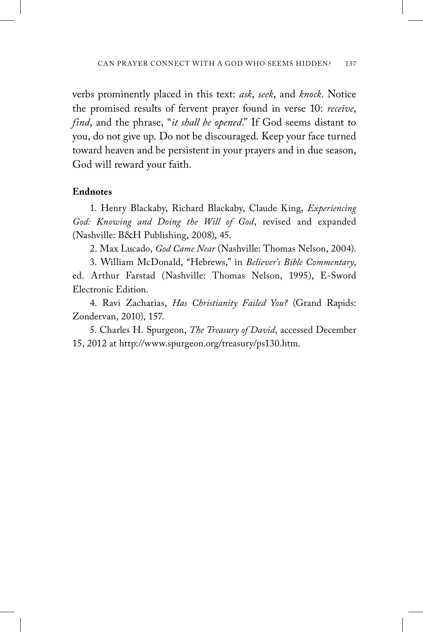verbs prominently placed in this text: *ask*, *seek*, and *knock*. Notice the promised results of fervent prayer found in verse 10: *receive*, *find*, and the phrase, "*it shall be opened*." If God seems distant to you, do not give up. Do not be discouraged. Keep your face turned toward heaven and be persistent in your prayers and in due season, God will reward your faith.

#### **Endnotes**

1. Henry Blackaby, Richard Blackaby, Claude King, *Experiencing God: Knowing and Doing the Will of God*, revised and expanded (Nashville: B&H Publishing, 2008), 45.

2. Max Lucado, *God Came Near* (Nashville: Thomas Nelson, 2004).

3. William McDonald, "Hebrews," in *Believer's Bible Commentary*, ed. Arthur Farstad (Nashville: Thomas Nelson, 1995), E-Sword Electronic Edition.

4. Ravi Zacharias, *Has Christianity Failed You?* (Grand Rapids: Zondervan, 2010), 157.

5. Charles H. Spurgeon, *The Treasury of David*, accessed December 15, 2012 at http://www.spurgeon.org/treasury/ps130.htm.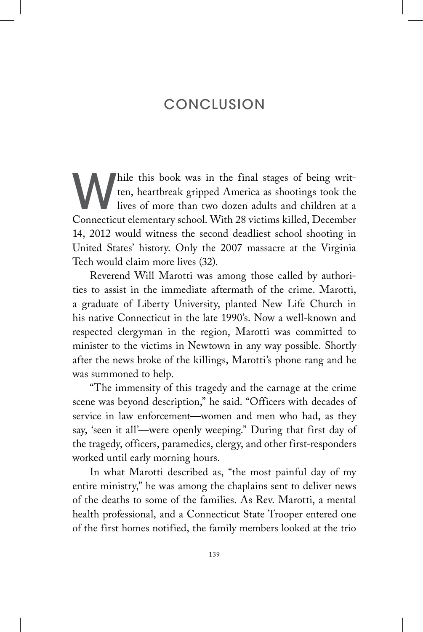While this book was in the final stages of being writ-<br>ten, heartbreak gripped America as shootings took the<br>lives of more than two dozen adults and children at a<br>Geometicate characterized al With 28 victims billed Decembe ten, heartbreak gripped America as shootings took the Connecticut elementary school. With 28 victims killed, December 14, 2012 would witness the second deadliest school shooting in United States' history. Only the 2007 massacre at the Virginia Tech would claim more lives (32).

Reverend Will Marotti was among those called by authorities to assist in the immediate aftermath of the crime. Marotti, a graduate of Liberty University, planted New Life Church in his native Connecticut in the late 1990's. Now a well-known and respected clergyman in the region, Marotti was committed to minister to the victims in Newtown in any way possible. Shortly after the news broke of the killings, Marotti's phone rang and he was summoned to help.

"The immensity of this tragedy and the carnage at the crime scene was beyond description," he said. "Officers with decades of service in law enforcement—women and men who had, as they say, 'seen it all'—were openly weeping." During that first day of the tragedy, officers, paramedics, clergy, and other first-responders worked until early morning hours.

In what Marotti described as, "the most painful day of my entire ministry," he was among the chaplains sent to deliver news of the deaths to some of the families. As Rev. Marotti, a mental health professional, and a Connecticut State Trooper entered one of the first homes notified, the family members looked at the trio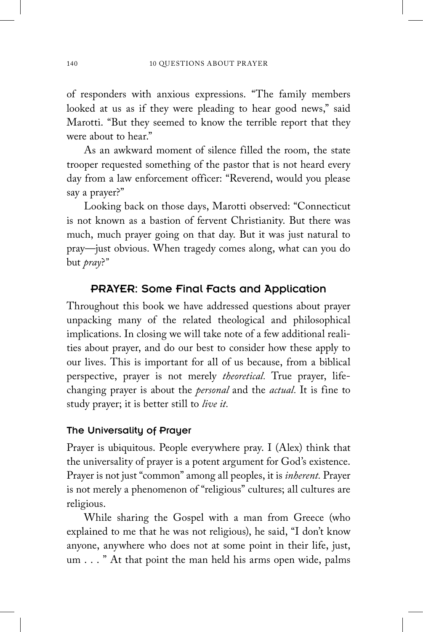of responders with anxious expressions. "The family members looked at us as if they were pleading to hear good news," said Marotti. "But they seemed to know the terrible report that they were about to hear."

As an awkward moment of silence filled the room, the state trooper requested something of the pastor that is not heard every day from a law enforcement officer: "Reverend, would you please say a prayer?"

Looking back on those days, Marotti observed: "Connecticut is not known as a bastion of fervent Christianity. But there was much, much prayer going on that day. But it was just natural to pray—just obvious. When tragedy comes along, what can you do but *pray*?*"*

## PRAYER: Some Final Facts and Application

Throughout this book we have addressed questions about prayer unpacking many of the related theological and philosophical implications. In closing we will take note of a few additional realities about prayer, and do our best to consider how these apply to our lives. This is important for all of us because, from a biblical perspective, prayer is not merely *theoretical.* True prayer, lifechanging prayer is about the *personal* and the *actual.* It is fine to study prayer; it is better still to *live it.* 

#### The Universality of Prayer

Prayer is ubiquitous. People everywhere pray. I (Alex) think that the universality of prayer is a potent argument for God's existence. Prayer is not just "common" among all peoples, it is *inherent.* Prayer is not merely a phenomenon of "religious" cultures; all cultures are religious.

While sharing the Gospel with a man from Greece (who explained to me that he was not religious), he said, "I don't know anyone, anywhere who does not at some point in their life, just, um . . . " At that point the man held his arms open wide, palms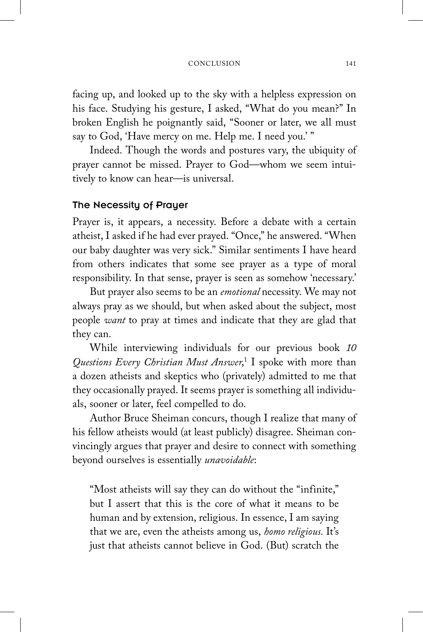facing up, and looked up to the sky with a helpless expression on his face. Studying his gesture, I asked, "What do you mean?" In broken English he poignantly said, "Sooner or later, we all must say to God, 'Have mercy on me. Help me. I need you.' "

Indeed. Though the words and postures vary, the ubiquity of prayer cannot be missed. Prayer to God—whom we seem intuitively to know can hear—is universal.

#### The Necessity of Prayer

Prayer is, it appears, a necessity. Before a debate with a certain atheist, I asked if he had ever prayed. "Once," he answered. "When our baby daughter was very sick." Similar sentiments I have heard from others indicates that some see prayer as a type of moral responsibility. In that sense, prayer is seen as somehow 'necessary.'

But prayer also seems to be an *emotional* necessity. We may not always pray as we should, but when asked about the subject, most people *want* to pray at times and indicate that they are glad that they can.

While interviewing individuals for our previous book *10 Questions Every Christian Must Answer*, 1 I spoke with more than a dozen atheists and skeptics who (privately) admitted to me that they occasionally prayed. It seems prayer is something all individuals, sooner or later, feel compelled to do.

Author Bruce Sheiman concurs, though I realize that many of his fellow atheists would (at least publicly) disagree. Sheiman convincingly argues that prayer and desire to connect with something beyond ourselves is essentially *unavoidable*:

"Most atheists will say they can do without the "infinite," but I assert that this is the core of what it means to be human and by extension, religious. In essence, I am saying that we are, even the atheists among us, *homo religious.* It's just that atheists cannot believe in God. (But) scratch the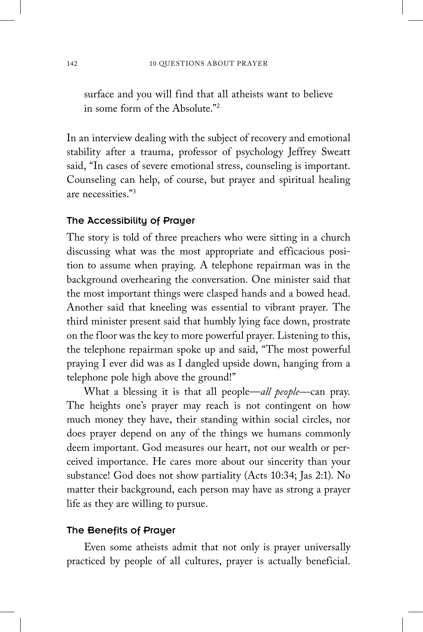surface and you will find that all atheists want to believe in some form of the Absolute."2

In an interview dealing with the subject of recovery and emotional stability after a trauma, professor of psychology Jeffrey Sweatt said, "In cases of severe emotional stress, counseling is important. Counseling can help, of course, but prayer and spiritual healing are necessities."3

#### The Accessibility of Prayer

The story is told of three preachers who were sitting in a church discussing what was the most appropriate and efficacious position to assume when praying. A telephone repairman was in the background overhearing the conversation. One minister said that the most important things were clasped hands and a bowed head. Another said that kneeling was essential to vibrant prayer. The third minister present said that humbly lying face down, prostrate on the floor was the key to more powerful prayer. Listening to this, the telephone repairman spoke up and said, "The most powerful praying I ever did was as I dangled upside down, hanging from a telephone pole high above the ground!"

What a blessing it is that all people—*all people—*can pray. The heights one's prayer may reach is not contingent on how much money they have, their standing within social circles, nor does prayer depend on any of the things we humans commonly deem important. God measures our heart, not our wealth or perceived importance. He cares more about our sincerity than your substance! God does not show partiality (Acts 10:34; Jas 2:1). No matter their background, each person may have as strong a prayer life as they are willing to pursue.

#### The Benefits of Prayer

Even some atheists admit that not only is prayer universally practiced by people of all cultures, prayer is actually beneficial.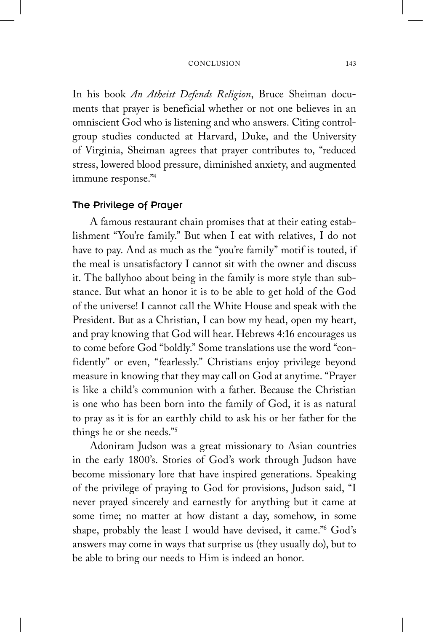In his book *An Atheist Defends Religion*, Bruce Sheiman documents that prayer is beneficial whether or not one believes in an omniscient God who is listening and who answers. Citing controlgroup studies conducted at Harvard, Duke, and the University of Virginia, Sheiman agrees that prayer contributes to, "reduced stress, lowered blood pressure, diminished anxiety, and augmented immune response."4

#### The Privilege of Prayer

A famous restaurant chain promises that at their eating establishment "You're family." But when I eat with relatives, I do not have to pay. And as much as the "you're family" motif is touted, if the meal is unsatisfactory I cannot sit with the owner and discuss it. The ballyhoo about being in the family is more style than substance. But what an honor it is to be able to get hold of the God of the universe! I cannot call the White House and speak with the President. But as a Christian, I can bow my head, open my heart, and pray knowing that God will hear. Hebrews 4:16 encourages us to come before God "boldly." Some translations use the word "confidently" or even, "fearlessly." Christians enjoy privilege beyond measure in knowing that they may call on God at anytime. "Prayer is like a child's communion with a father. Because the Christian is one who has been born into the family of God, it is as natural to pray as it is for an earthly child to ask his or her father for the things he or she needs."5

Adoniram Judson was a great missionary to Asian countries in the early 1800's. Stories of God's work through Judson have become missionary lore that have inspired generations. Speaking of the privilege of praying to God for provisions, Judson said, "I never prayed sincerely and earnestly for anything but it came at some time; no matter at how distant a day, somehow, in some shape, probably the least I would have devised, it came."6 God's answers may come in ways that surprise us (they usually do), but to be able to bring our needs to Him is indeed an honor.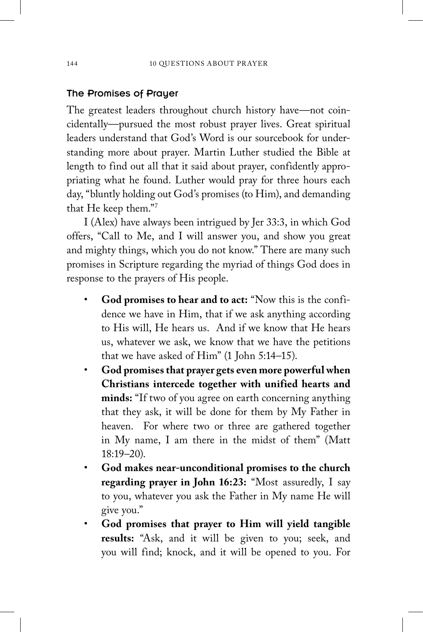#### The Promises of Prayer

The greatest leaders throughout church history have—not coincidentally—pursued the most robust prayer lives. Great spiritual leaders understand that God's Word is our sourcebook for understanding more about prayer. Martin Luther studied the Bible at length to find out all that it said about prayer, confidently appropriating what he found. Luther would pray for three hours each day, "bluntly holding out God's promises (to Him), and demanding that He keep them."7

I (Alex) have always been intrigued by Jer 33:3, in which God offers, "Call to Me, and I will answer you, and show you great and mighty things, which you do not know." There are many such promises in Scripture regarding the myriad of things God does in response to the prayers of His people.

- **God promises to hear and to act:** "Now this is the confidence we have in Him, that if we ask anything according to His will, He hears us. And if we know that He hears us, whatever we ask, we know that we have the petitions that we have asked of Him" (1 John 5:14–15).
- **God promises that prayer gets even more powerful when Christians intercede together with unified hearts and minds:** "If two of you agree on earth concerning anything that they ask, it will be done for them by My Father in heaven. For where two or three are gathered together in My name, I am there in the midst of them" (Matt 18:19–20).
- **God makes near-unconditional promises to the church regarding prayer in John 16:23:** "Most assuredly, I say to you, whatever you ask the Father in My name He will give you."
- **God promises that prayer to Him will yield tangible results:** "Ask, and it will be given to you; seek, and you will find; knock, and it will be opened to you. For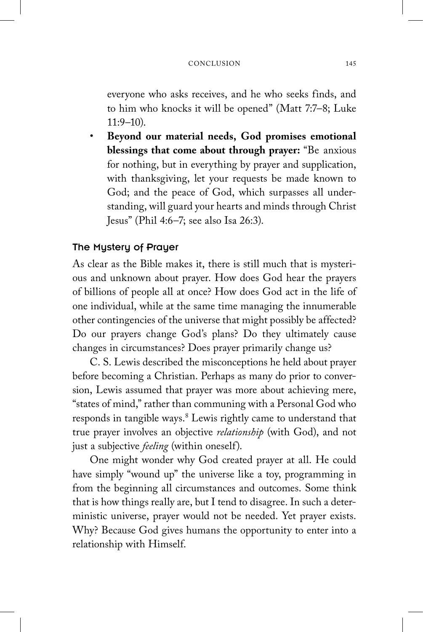everyone who asks receives, and he who seeks finds, and to him who knocks it will be opened" (Matt 7:7–8; Luke  $11:9-10$ ).

• **Beyond our material needs, God promises emotional blessings that come about through prayer:** "Be anxious for nothing, but in everything by prayer and supplication, with thanksgiving, let your requests be made known to God; and the peace of God, which surpasses all understanding, will guard your hearts and minds through Christ Jesus" (Phil 4:6–7; see also Isa 26:3).

## The Mystery of Prayer

As clear as the Bible makes it, there is still much that is mysterious and unknown about prayer. How does God hear the prayers of billions of people all at once? How does God act in the life of one individual, while at the same time managing the innumerable other contingencies of the universe that might possibly be affected? Do our prayers change God's plans? Do they ultimately cause changes in circumstances? Does prayer primarily change us?

C. S. Lewis described the misconceptions he held about prayer before becoming a Christian. Perhaps as many do prior to conversion, Lewis assumed that prayer was more about achieving mere, "states of mind," rather than communing with a Personal God who responds in tangible ways.8 Lewis rightly came to understand that true prayer involves an objective *relationship* (with God), and not just a subjective *feeling* (within oneself).

One might wonder why God created prayer at all. He could have simply "wound up" the universe like a toy, programming in from the beginning all circumstances and outcomes. Some think that is how things really are, but I tend to disagree. In such a deterministic universe, prayer would not be needed. Yet prayer exists. Why? Because God gives humans the opportunity to enter into a relationship with Himself.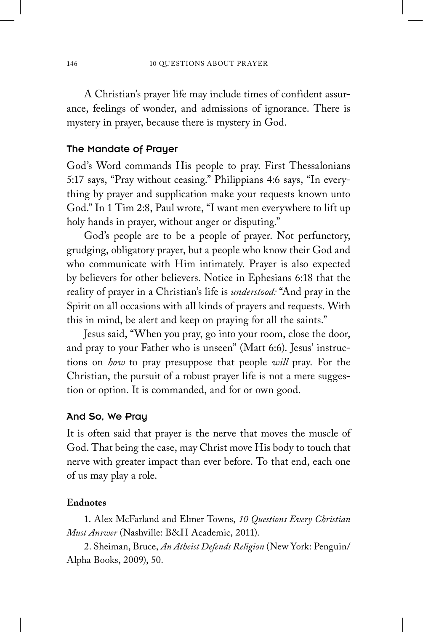A Christian's prayer life may include times of confident assurance, feelings of wonder, and admissions of ignorance. There is mystery in prayer, because there is mystery in God.

#### The Mandate of Prayer

God's Word commands His people to pray. First Thessalonians 5:17 says, "Pray without ceasing." Philippians 4:6 says, "In everything by prayer and supplication make your requests known unto God." In 1 Tim 2:8, Paul wrote, "I want men everywhere to lift up holy hands in prayer, without anger or disputing."

God's people are to be a people of prayer. Not perfunctory, grudging, obligatory prayer, but a people who know their God and who communicate with Him intimately. Prayer is also expected by believers for other believers. Notice in Ephesians 6:18 that the reality of prayer in a Christian's life is *understood:* "And pray in the Spirit on all occasions with all kinds of prayers and requests. With this in mind, be alert and keep on praying for all the saints."

Jesus said, "When you pray, go into your room, close the door, and pray to your Father who is unseen" (Matt 6:6). Jesus' instructions on *how* to pray presuppose that people *will* pray. For the Christian, the pursuit of a robust prayer life is not a mere suggestion or option. It is commanded, and for or own good.

#### And So, We Pray

It is often said that prayer is the nerve that moves the muscle of God. That being the case, may Christ move His body to touch that nerve with greater impact than ever before. To that end, each one of us may play a role.

#### **Endnotes**

1. Alex McFarland and Elmer Towns, *10 Questions Every Christian Must Answer* (Nashville: B&H Academic, 2011).

2. Sheiman, Bruce, *An Atheist Defends Religion* (New York: Penguin/ Alpha Books, 2009), 50.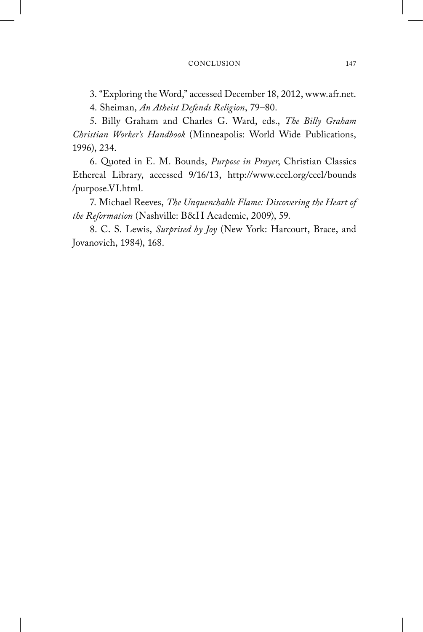3. "Exploring the Word," accessed December 18, 2012, www.afr.net.

4. Sheiman, *An Atheist Defends Religion*, 79–80.

5. Billy Graham and Charles G. Ward, eds., *The Billy Graham Christian Worker's Handbook* (Minneapolis: World Wide Publications, 1996), 234.

6. Quoted in E. M. Bounds, *Purpose in Prayer*, Christian Classics Ethereal Library, accessed 9/16/13, http://www.ccel.org/ccel/bounds /purpose.VI.html.

7. Michael Reeves, *The Unquenchable Flame: Discovering the Heart of the Reformation* (Nashville: B&H Academic, 2009), 59.

8. C. S. Lewis, *Surprised by Joy* (New York: Harcourt, Brace, and Jovanovich, 1984), 168.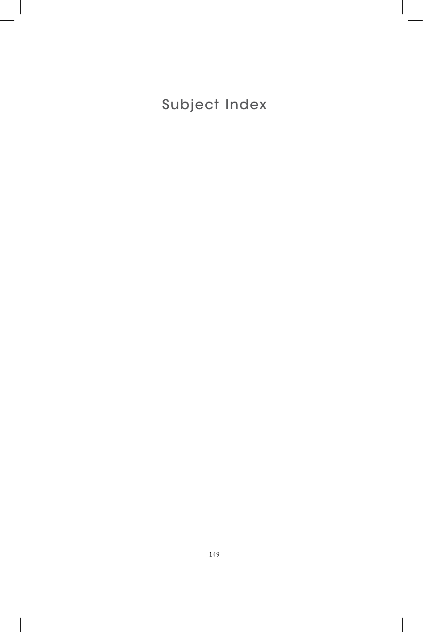Subject Index